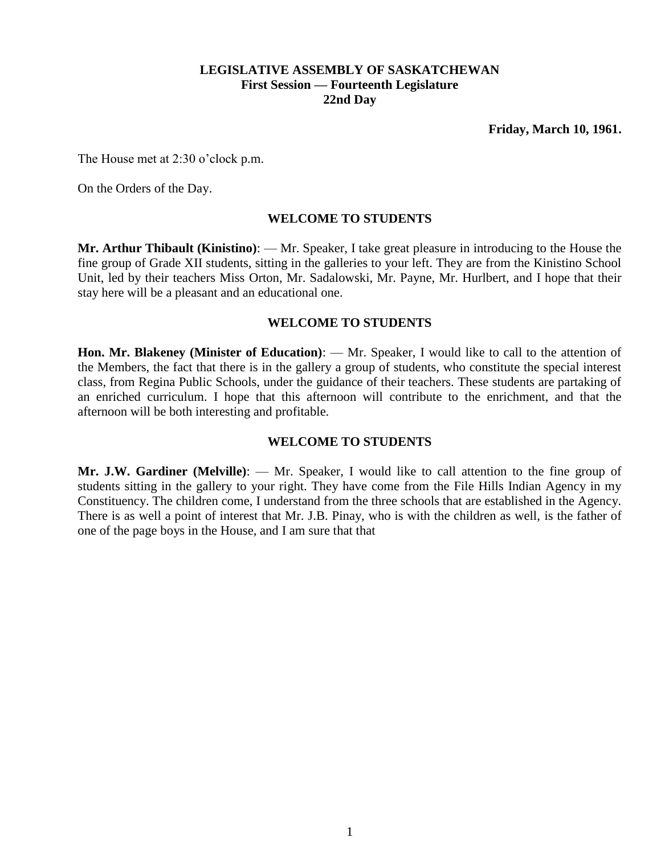### **LEGISLATIVE ASSEMBLY OF SASKATCHEWAN First Session — Fourteenth Legislature 22nd Day**

The House met at 2:30 o'clock p.m.

On the Orders of the Day.

### **WELCOME TO STUDENTS**

**Mr. Arthur Thibault (Kinistino)**: — Mr. Speaker, I take great pleasure in introducing to the House the fine group of Grade XII students, sitting in the galleries to your left. They are from the Kinistino School Unit, led by their teachers Miss Orton, Mr. Sadalowski, Mr. Payne, Mr. Hurlbert, and I hope that their stay here will be a pleasant and an educational one.

#### **WELCOME TO STUDENTS**

**Hon. Mr. Blakeney (Minister of Education)**: — Mr. Speaker, I would like to call to the attention of the Members, the fact that there is in the gallery a group of students, who constitute the special interest class, from Regina Public Schools, under the guidance of their teachers. These students are partaking of an enriched curriculum. I hope that this afternoon will contribute to the enrichment, and that the afternoon will be both interesting and profitable.

## **WELCOME TO STUDENTS**

**Mr. J.W. Gardiner (Melville)**: — Mr. Speaker, I would like to call attention to the fine group of students sitting in the gallery to your right. They have come from the File Hills Indian Agency in my Constituency. The children come, I understand from the three schools that are established in the Agency. There is as well a point of interest that Mr. J.B. Pinay, who is with the children as well, is the father of one of the page boys in the House, and I am sure that that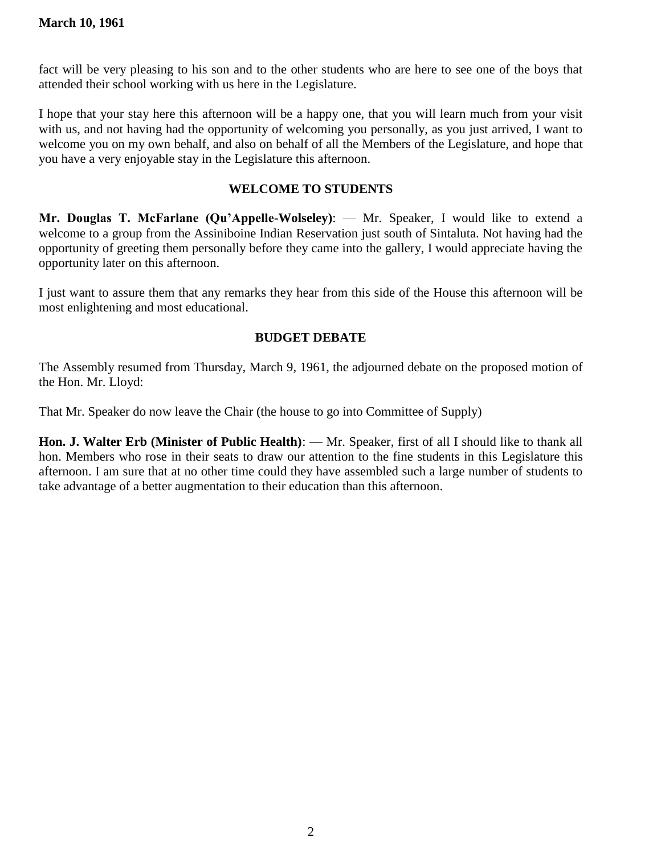fact will be very pleasing to his son and to the other students who are here to see one of the boys that attended their school working with us here in the Legislature.

I hope that your stay here this afternoon will be a happy one, that you will learn much from your visit with us, and not having had the opportunity of welcoming you personally, as you just arrived, I want to welcome you on my own behalf, and also on behalf of all the Members of the Legislature, and hope that you have a very enjoyable stay in the Legislature this afternoon.

## **WELCOME TO STUDENTS**

**Mr. Douglas T. McFarlane (Qu'Appelle-Wolseley)**: — Mr. Speaker, I would like to extend a welcome to a group from the Assiniboine Indian Reservation just south of Sintaluta. Not having had the opportunity of greeting them personally before they came into the gallery, I would appreciate having the opportunity later on this afternoon.

I just want to assure them that any remarks they hear from this side of the House this afternoon will be most enlightening and most educational.

# **BUDGET DEBATE**

The Assembly resumed from Thursday, March 9, 1961, the adjourned debate on the proposed motion of the Hon. Mr. Lloyd:

That Mr. Speaker do now leave the Chair (the house to go into Committee of Supply)

**Hon. J. Walter Erb (Minister of Public Health)**: — Mr. Speaker, first of all I should like to thank all hon. Members who rose in their seats to draw our attention to the fine students in this Legislature this afternoon. I am sure that at no other time could they have assembled such a large number of students to take advantage of a better augmentation to their education than this afternoon.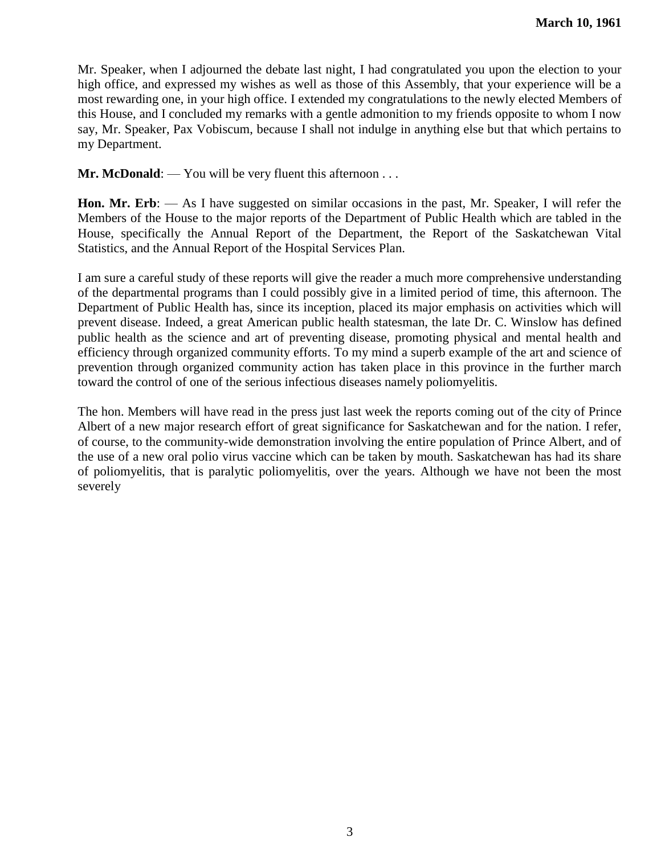Mr. Speaker, when I adjourned the debate last night, I had congratulated you upon the election to your high office, and expressed my wishes as well as those of this Assembly, that your experience will be a most rewarding one, in your high office. I extended my congratulations to the newly elected Members of this House, and I concluded my remarks with a gentle admonition to my friends opposite to whom I now say, Mr. Speaker, Pax Vobiscum, because I shall not indulge in anything else but that which pertains to my Department.

**Mr. McDonald:** — You will be very fluent this afternoon . . .

**Hon. Mr. Erb**: — As I have suggested on similar occasions in the past, Mr. Speaker, I will refer the Members of the House to the major reports of the Department of Public Health which are tabled in the House, specifically the Annual Report of the Department, the Report of the Saskatchewan Vital Statistics, and the Annual Report of the Hospital Services Plan.

I am sure a careful study of these reports will give the reader a much more comprehensive understanding of the departmental programs than I could possibly give in a limited period of time, this afternoon. The Department of Public Health has, since its inception, placed its major emphasis on activities which will prevent disease. Indeed, a great American public health statesman, the late Dr. C. Winslow has defined public health as the science and art of preventing disease, promoting physical and mental health and efficiency through organized community efforts. To my mind a superb example of the art and science of prevention through organized community action has taken place in this province in the further march toward the control of one of the serious infectious diseases namely poliomyelitis.

The hon. Members will have read in the press just last week the reports coming out of the city of Prince Albert of a new major research effort of great significance for Saskatchewan and for the nation. I refer, of course, to the community-wide demonstration involving the entire population of Prince Albert, and of the use of a new oral polio virus vaccine which can be taken by mouth. Saskatchewan has had its share of poliomyelitis, that is paralytic poliomyelitis, over the years. Although we have not been the most severely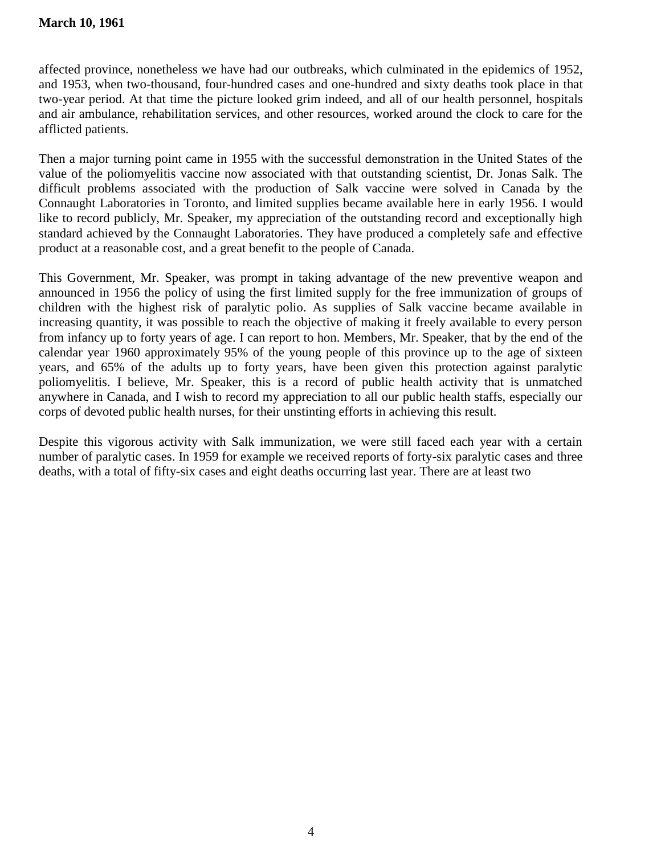affected province, nonetheless we have had our outbreaks, which culminated in the epidemics of 1952, and 1953, when two-thousand, four-hundred cases and one-hundred and sixty deaths took place in that two-year period. At that time the picture looked grim indeed, and all of our health personnel, hospitals and air ambulance, rehabilitation services, and other resources, worked around the clock to care for the afflicted patients.

Then a major turning point came in 1955 with the successful demonstration in the United States of the value of the poliomyelitis vaccine now associated with that outstanding scientist, Dr. Jonas Salk. The difficult problems associated with the production of Salk vaccine were solved in Canada by the Connaught Laboratories in Toronto, and limited supplies became available here in early 1956. I would like to record publicly, Mr. Speaker, my appreciation of the outstanding record and exceptionally high standard achieved by the Connaught Laboratories. They have produced a completely safe and effective product at a reasonable cost, and a great benefit to the people of Canada.

This Government, Mr. Speaker, was prompt in taking advantage of the new preventive weapon and announced in 1956 the policy of using the first limited supply for the free immunization of groups of children with the highest risk of paralytic polio. As supplies of Salk vaccine became available in increasing quantity, it was possible to reach the objective of making it freely available to every person from infancy up to forty years of age. I can report to hon. Members, Mr. Speaker, that by the end of the calendar year 1960 approximately 95% of the young people of this province up to the age of sixteen years, and 65% of the adults up to forty years, have been given this protection against paralytic poliomyelitis. I believe, Mr. Speaker, this is a record of public health activity that is unmatched anywhere in Canada, and I wish to record my appreciation to all our public health staffs, especially our corps of devoted public health nurses, for their unstinting efforts in achieving this result.

Despite this vigorous activity with Salk immunization, we were still faced each year with a certain number of paralytic cases. In 1959 for example we received reports of forty-six paralytic cases and three deaths, with a total of fifty-six cases and eight deaths occurring last year. There are at least two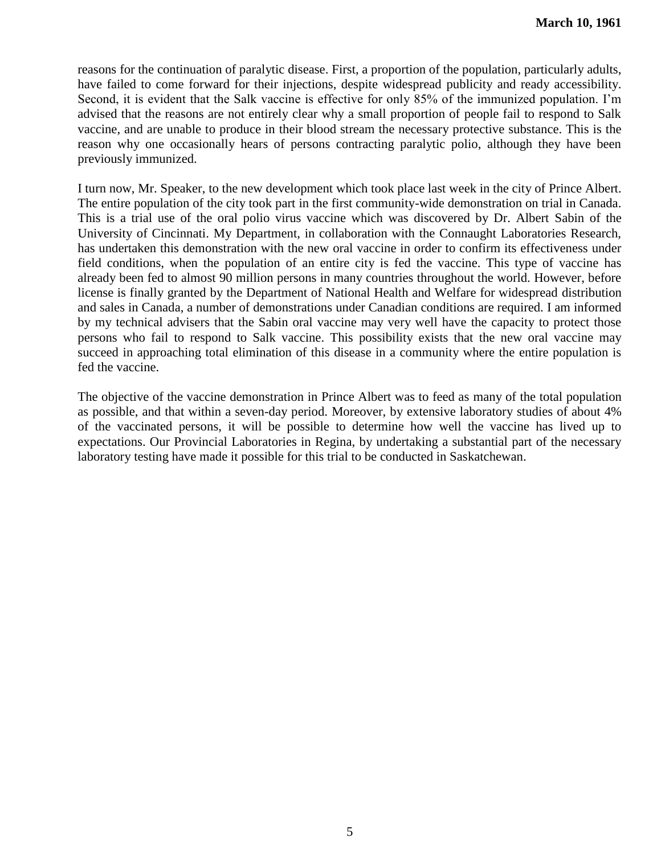reasons for the continuation of paralytic disease. First, a proportion of the population, particularly adults, have failed to come forward for their injections, despite widespread publicity and ready accessibility. Second, it is evident that the Salk vaccine is effective for only 85% of the immunized population. I'm advised that the reasons are not entirely clear why a small proportion of people fail to respond to Salk vaccine, and are unable to produce in their blood stream the necessary protective substance. This is the reason why one occasionally hears of persons contracting paralytic polio, although they have been previously immunized.

I turn now, Mr. Speaker, to the new development which took place last week in the city of Prince Albert. The entire population of the city took part in the first community-wide demonstration on trial in Canada. This is a trial use of the oral polio virus vaccine which was discovered by Dr. Albert Sabin of the University of Cincinnati. My Department, in collaboration with the Connaught Laboratories Research, has undertaken this demonstration with the new oral vaccine in order to confirm its effectiveness under field conditions, when the population of an entire city is fed the vaccine. This type of vaccine has already been fed to almost 90 million persons in many countries throughout the world. However, before license is finally granted by the Department of National Health and Welfare for widespread distribution and sales in Canada, a number of demonstrations under Canadian conditions are required. I am informed by my technical advisers that the Sabin oral vaccine may very well have the capacity to protect those persons who fail to respond to Salk vaccine. This possibility exists that the new oral vaccine may succeed in approaching total elimination of this disease in a community where the entire population is fed the vaccine.

The objective of the vaccine demonstration in Prince Albert was to feed as many of the total population as possible, and that within a seven-day period. Moreover, by extensive laboratory studies of about 4% of the vaccinated persons, it will be possible to determine how well the vaccine has lived up to expectations. Our Provincial Laboratories in Regina, by undertaking a substantial part of the necessary laboratory testing have made it possible for this trial to be conducted in Saskatchewan.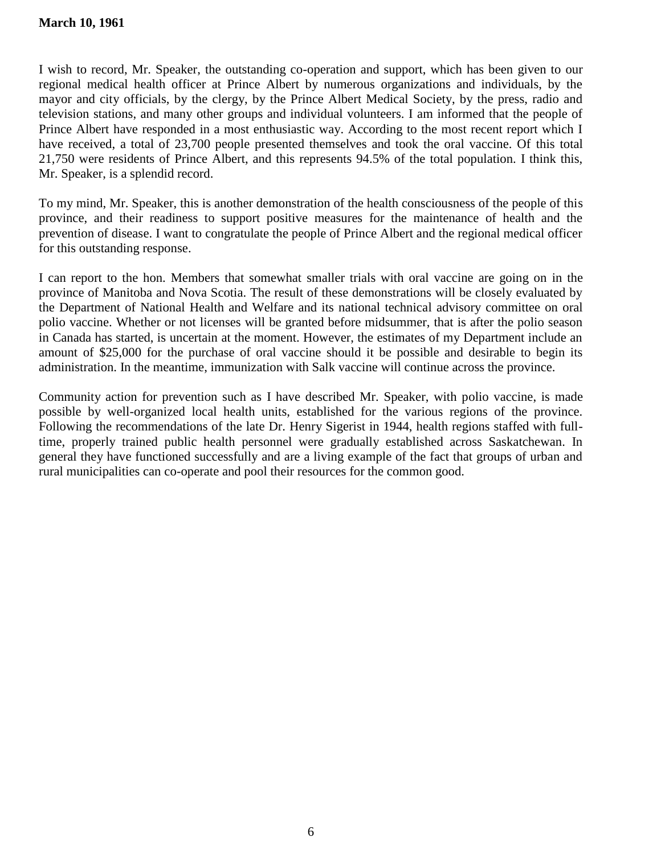I wish to record, Mr. Speaker, the outstanding co-operation and support, which has been given to our regional medical health officer at Prince Albert by numerous organizations and individuals, by the mayor and city officials, by the clergy, by the Prince Albert Medical Society, by the press, radio and television stations, and many other groups and individual volunteers. I am informed that the people of Prince Albert have responded in a most enthusiastic way. According to the most recent report which I have received, a total of 23,700 people presented themselves and took the oral vaccine. Of this total 21,750 were residents of Prince Albert, and this represents 94.5% of the total population. I think this, Mr. Speaker, is a splendid record.

To my mind, Mr. Speaker, this is another demonstration of the health consciousness of the people of this province, and their readiness to support positive measures for the maintenance of health and the prevention of disease. I want to congratulate the people of Prince Albert and the regional medical officer for this outstanding response.

I can report to the hon. Members that somewhat smaller trials with oral vaccine are going on in the province of Manitoba and Nova Scotia. The result of these demonstrations will be closely evaluated by the Department of National Health and Welfare and its national technical advisory committee on oral polio vaccine. Whether or not licenses will be granted before midsummer, that is after the polio season in Canada has started, is uncertain at the moment. However, the estimates of my Department include an amount of \$25,000 for the purchase of oral vaccine should it be possible and desirable to begin its administration. In the meantime, immunization with Salk vaccine will continue across the province.

Community action for prevention such as I have described Mr. Speaker, with polio vaccine, is made possible by well-organized local health units, established for the various regions of the province. Following the recommendations of the late Dr. Henry Sigerist in 1944, health regions staffed with fulltime, properly trained public health personnel were gradually established across Saskatchewan. In general they have functioned successfully and are a living example of the fact that groups of urban and rural municipalities can co-operate and pool their resources for the common good.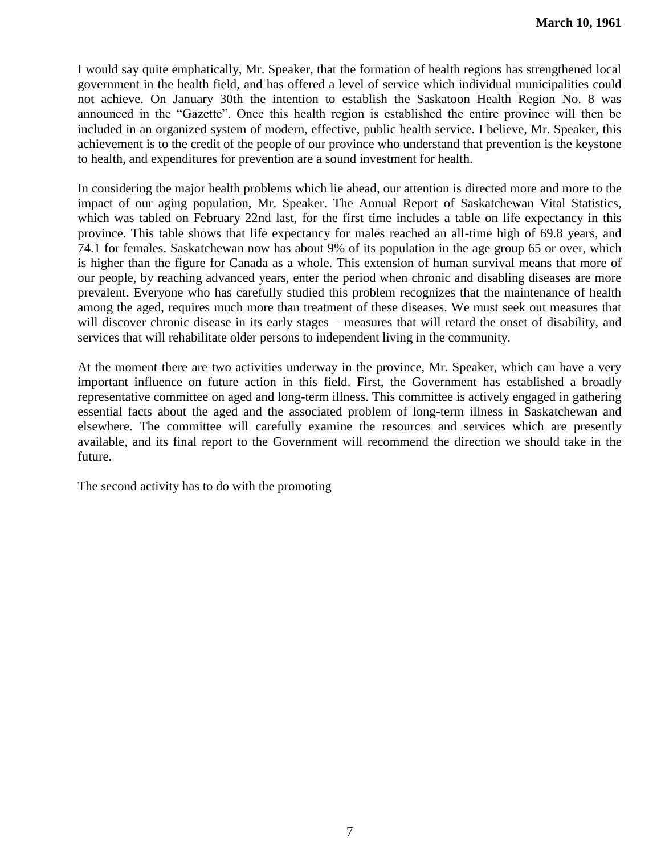I would say quite emphatically, Mr. Speaker, that the formation of health regions has strengthened local government in the health field, and has offered a level of service which individual municipalities could not achieve. On January 30th the intention to establish the Saskatoon Health Region No. 8 was announced in the "Gazette". Once this health region is established the entire province will then be included in an organized system of modern, effective, public health service. I believe, Mr. Speaker, this achievement is to the credit of the people of our province who understand that prevention is the keystone to health, and expenditures for prevention are a sound investment for health.

In considering the major health problems which lie ahead, our attention is directed more and more to the impact of our aging population, Mr. Speaker. The Annual Report of Saskatchewan Vital Statistics, which was tabled on February 22nd last, for the first time includes a table on life expectancy in this province. This table shows that life expectancy for males reached an all-time high of 69.8 years, and 74.1 for females. Saskatchewan now has about 9% of its population in the age group 65 or over, which is higher than the figure for Canada as a whole. This extension of human survival means that more of our people, by reaching advanced years, enter the period when chronic and disabling diseases are more prevalent. Everyone who has carefully studied this problem recognizes that the maintenance of health among the aged, requires much more than treatment of these diseases. We must seek out measures that will discover chronic disease in its early stages – measures that will retard the onset of disability, and services that will rehabilitate older persons to independent living in the community.

At the moment there are two activities underway in the province, Mr. Speaker, which can have a very important influence on future action in this field. First, the Government has established a broadly representative committee on aged and long-term illness. This committee is actively engaged in gathering essential facts about the aged and the associated problem of long-term illness in Saskatchewan and elsewhere. The committee will carefully examine the resources and services which are presently available, and its final report to the Government will recommend the direction we should take in the future.

The second activity has to do with the promoting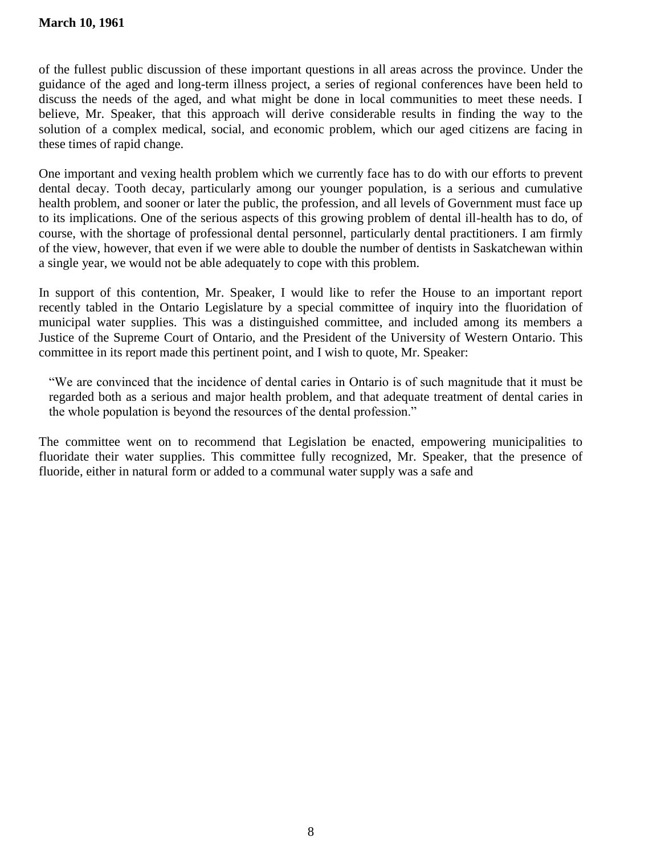of the fullest public discussion of these important questions in all areas across the province. Under the guidance of the aged and long-term illness project, a series of regional conferences have been held to discuss the needs of the aged, and what might be done in local communities to meet these needs. I believe, Mr. Speaker, that this approach will derive considerable results in finding the way to the solution of a complex medical, social, and economic problem, which our aged citizens are facing in these times of rapid change.

One important and vexing health problem which we currently face has to do with our efforts to prevent dental decay. Tooth decay, particularly among our younger population, is a serious and cumulative health problem, and sooner or later the public, the profession, and all levels of Government must face up to its implications. One of the serious aspects of this growing problem of dental ill-health has to do, of course, with the shortage of professional dental personnel, particularly dental practitioners. I am firmly of the view, however, that even if we were able to double the number of dentists in Saskatchewan within a single year, we would not be able adequately to cope with this problem.

In support of this contention, Mr. Speaker, I would like to refer the House to an important report recently tabled in the Ontario Legislature by a special committee of inquiry into the fluoridation of municipal water supplies. This was a distinguished committee, and included among its members a Justice of the Supreme Court of Ontario, and the President of the University of Western Ontario. This committee in its report made this pertinent point, and I wish to quote, Mr. Speaker:

―We are convinced that the incidence of dental caries in Ontario is of such magnitude that it must be regarded both as a serious and major health problem, and that adequate treatment of dental caries in the whole population is beyond the resources of the dental profession."

The committee went on to recommend that Legislation be enacted, empowering municipalities to fluoridate their water supplies. This committee fully recognized, Mr. Speaker, that the presence of fluoride, either in natural form or added to a communal water supply was a safe and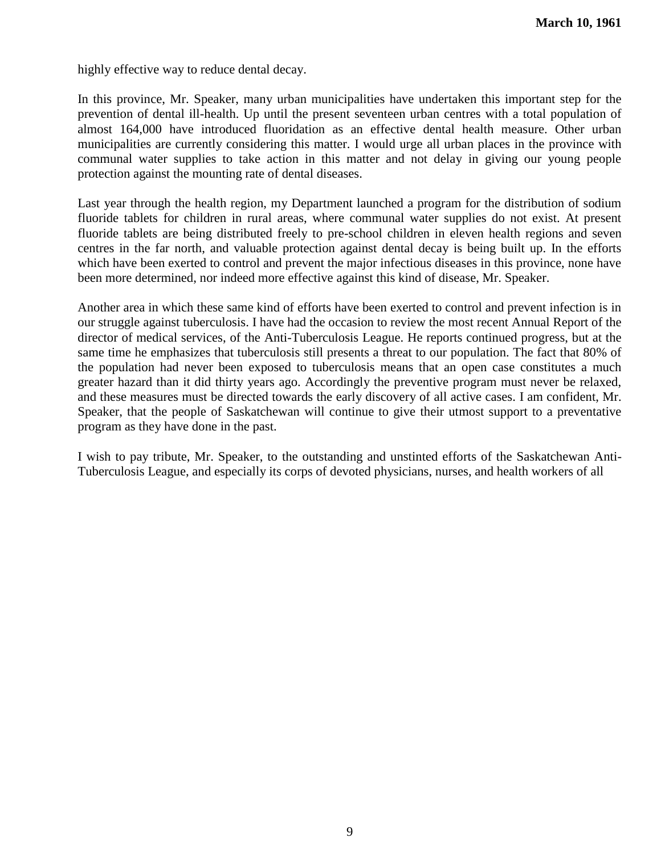highly effective way to reduce dental decay.

In this province, Mr. Speaker, many urban municipalities have undertaken this important step for the prevention of dental ill-health. Up until the present seventeen urban centres with a total population of almost 164,000 have introduced fluoridation as an effective dental health measure. Other urban municipalities are currently considering this matter. I would urge all urban places in the province with communal water supplies to take action in this matter and not delay in giving our young people protection against the mounting rate of dental diseases.

Last year through the health region, my Department launched a program for the distribution of sodium fluoride tablets for children in rural areas, where communal water supplies do not exist. At present fluoride tablets are being distributed freely to pre-school children in eleven health regions and seven centres in the far north, and valuable protection against dental decay is being built up. In the efforts which have been exerted to control and prevent the major infectious diseases in this province, none have been more determined, nor indeed more effective against this kind of disease, Mr. Speaker.

Another area in which these same kind of efforts have been exerted to control and prevent infection is in our struggle against tuberculosis. I have had the occasion to review the most recent Annual Report of the director of medical services, of the Anti-Tuberculosis League. He reports continued progress, but at the same time he emphasizes that tuberculosis still presents a threat to our population. The fact that 80% of the population had never been exposed to tuberculosis means that an open case constitutes a much greater hazard than it did thirty years ago. Accordingly the preventive program must never be relaxed, and these measures must be directed towards the early discovery of all active cases. I am confident, Mr. Speaker, that the people of Saskatchewan will continue to give their utmost support to a preventative program as they have done in the past.

I wish to pay tribute, Mr. Speaker, to the outstanding and unstinted efforts of the Saskatchewan Anti-Tuberculosis League, and especially its corps of devoted physicians, nurses, and health workers of all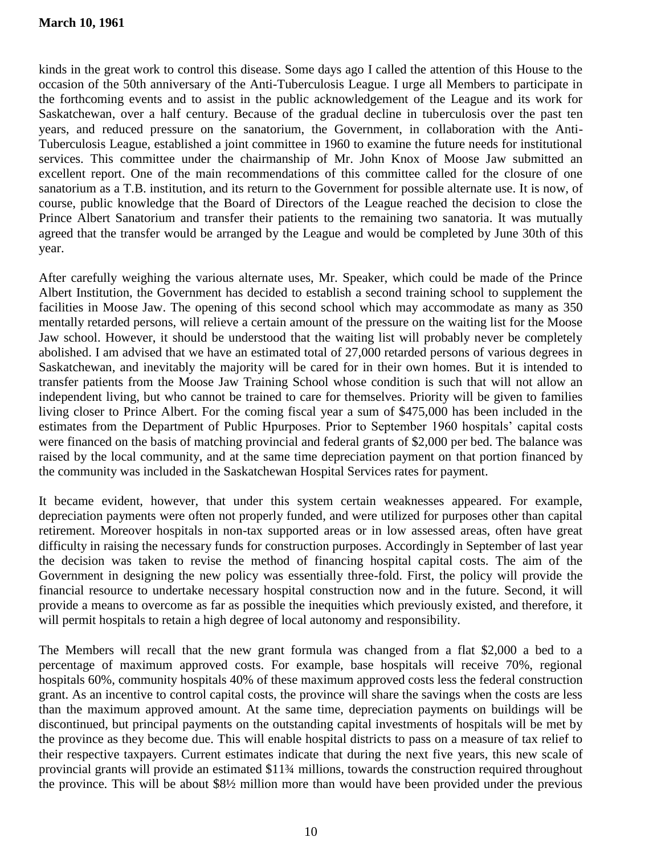kinds in the great work to control this disease. Some days ago I called the attention of this House to the occasion of the 50th anniversary of the Anti-Tuberculosis League. I urge all Members to participate in the forthcoming events and to assist in the public acknowledgement of the League and its work for Saskatchewan, over a half century. Because of the gradual decline in tuberculosis over the past ten years, and reduced pressure on the sanatorium, the Government, in collaboration with the Anti-Tuberculosis League, established a joint committee in 1960 to examine the future needs for institutional services. This committee under the chairmanship of Mr. John Knox of Moose Jaw submitted an excellent report. One of the main recommendations of this committee called for the closure of one sanatorium as a T.B. institution, and its return to the Government for possible alternate use. It is now, of course, public knowledge that the Board of Directors of the League reached the decision to close the Prince Albert Sanatorium and transfer their patients to the remaining two sanatoria. It was mutually agreed that the transfer would be arranged by the League and would be completed by June 30th of this year.

After carefully weighing the various alternate uses, Mr. Speaker, which could be made of the Prince Albert Institution, the Government has decided to establish a second training school to supplement the facilities in Moose Jaw. The opening of this second school which may accommodate as many as 350 mentally retarded persons, will relieve a certain amount of the pressure on the waiting list for the Moose Jaw school. However, it should be understood that the waiting list will probably never be completely abolished. I am advised that we have an estimated total of 27,000 retarded persons of various degrees in Saskatchewan, and inevitably the majority will be cared for in their own homes. But it is intended to transfer patients from the Moose Jaw Training School whose condition is such that will not allow an independent living, but who cannot be trained to care for themselves. Priority will be given to families living closer to Prince Albert. For the coming fiscal year a sum of \$475,000 has been included in the estimates from the Department of Public Hpurposes. Prior to September 1960 hospitals' capital costs were financed on the basis of matching provincial and federal grants of \$2,000 per bed. The balance was raised by the local community, and at the same time depreciation payment on that portion financed by the community was included in the Saskatchewan Hospital Services rates for payment.

It became evident, however, that under this system certain weaknesses appeared. For example, depreciation payments were often not properly funded, and were utilized for purposes other than capital retirement. Moreover hospitals in non-tax supported areas or in low assessed areas, often have great difficulty in raising the necessary funds for construction purposes. Accordingly in September of last year the decision was taken to revise the method of financing hospital capital costs. The aim of the Government in designing the new policy was essentially three-fold. First, the policy will provide the financial resource to undertake necessary hospital construction now and in the future. Second, it will provide a means to overcome as far as possible the inequities which previously existed, and therefore, it will permit hospitals to retain a high degree of local autonomy and responsibility.

The Members will recall that the new grant formula was changed from a flat \$2,000 a bed to a percentage of maximum approved costs. For example, base hospitals will receive 70%, regional hospitals 60%, community hospitals 40% of these maximum approved costs less the federal construction grant. As an incentive to control capital costs, the province will share the savings when the costs are less than the maximum approved amount. At the same time, depreciation payments on buildings will be discontinued, but principal payments on the outstanding capital investments of hospitals will be met by the province as they become due. This will enable hospital districts to pass on a measure of tax relief to their respective taxpayers. Current estimates indicate that during the next five years, this new scale of provincial grants will provide an estimated \$11¾ millions, towards the construction required throughout the province. This will be about \$8½ million more than would have been provided under the previous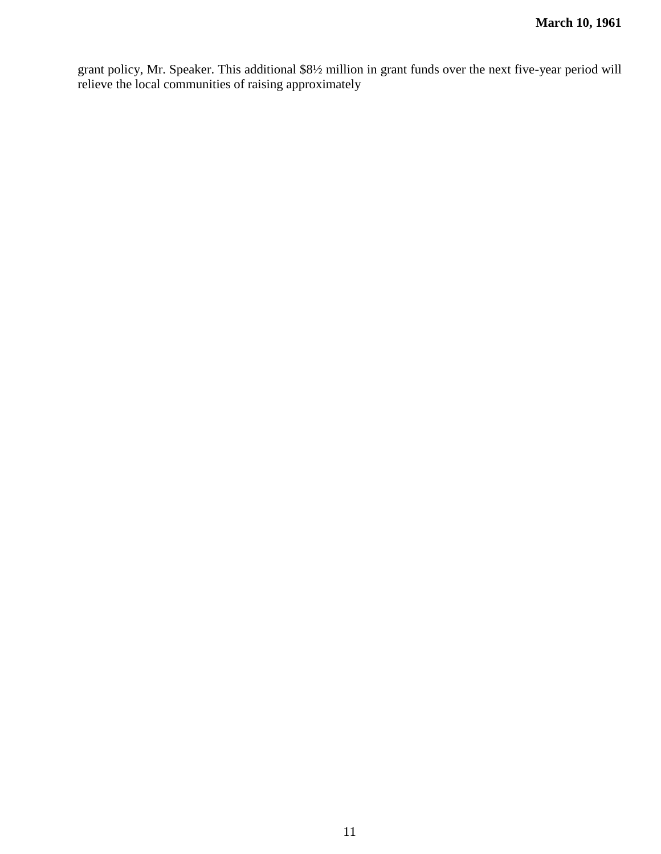grant policy, Mr. Speaker. This additional \$8½ million in grant funds over the next five-year period will relieve the local communities of raising approximately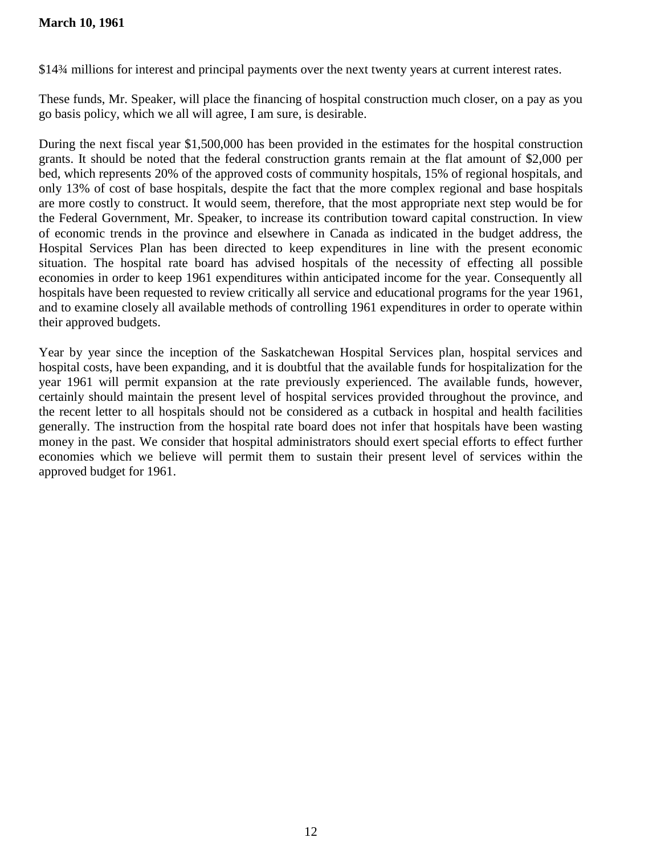# **March 10, 1961**

\$14¾ millions for interest and principal payments over the next twenty years at current interest rates.

These funds, Mr. Speaker, will place the financing of hospital construction much closer, on a pay as you go basis policy, which we all will agree, I am sure, is desirable.

During the next fiscal year \$1,500,000 has been provided in the estimates for the hospital construction grants. It should be noted that the federal construction grants remain at the flat amount of \$2,000 per bed, which represents 20% of the approved costs of community hospitals, 15% of regional hospitals, and only 13% of cost of base hospitals, despite the fact that the more complex regional and base hospitals are more costly to construct. It would seem, therefore, that the most appropriate next step would be for the Federal Government, Mr. Speaker, to increase its contribution toward capital construction. In view of economic trends in the province and elsewhere in Canada as indicated in the budget address, the Hospital Services Plan has been directed to keep expenditures in line with the present economic situation. The hospital rate board has advised hospitals of the necessity of effecting all possible economies in order to keep 1961 expenditures within anticipated income for the year. Consequently all hospitals have been requested to review critically all service and educational programs for the year 1961, and to examine closely all available methods of controlling 1961 expenditures in order to operate within their approved budgets.

Year by year since the inception of the Saskatchewan Hospital Services plan, hospital services and hospital costs, have been expanding, and it is doubtful that the available funds for hospitalization for the year 1961 will permit expansion at the rate previously experienced. The available funds, however, certainly should maintain the present level of hospital services provided throughout the province, and the recent letter to all hospitals should not be considered as a cutback in hospital and health facilities generally. The instruction from the hospital rate board does not infer that hospitals have been wasting money in the past. We consider that hospital administrators should exert special efforts to effect further economies which we believe will permit them to sustain their present level of services within the approved budget for 1961.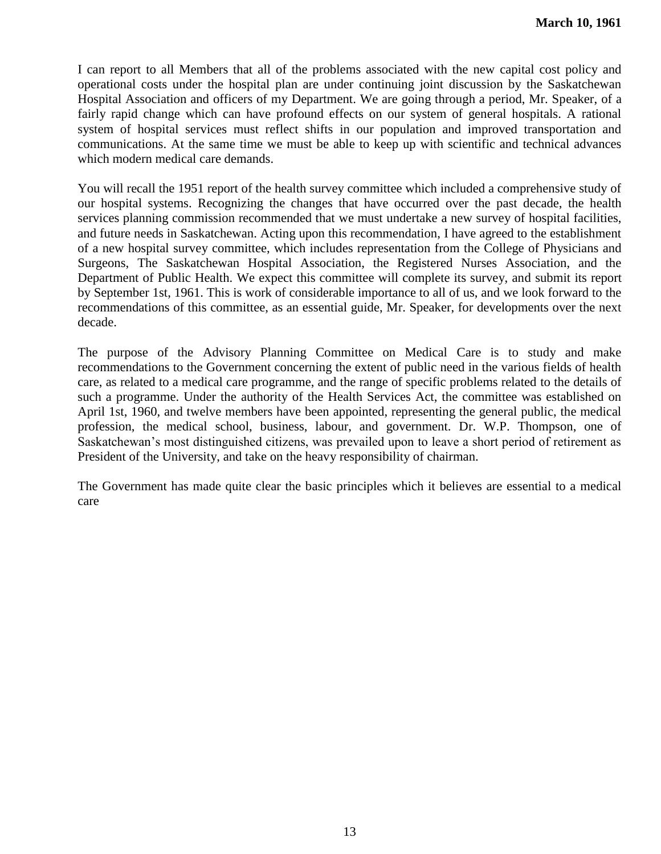I can report to all Members that all of the problems associated with the new capital cost policy and operational costs under the hospital plan are under continuing joint discussion by the Saskatchewan Hospital Association and officers of my Department. We are going through a period, Mr. Speaker, of a fairly rapid change which can have profound effects on our system of general hospitals. A rational system of hospital services must reflect shifts in our population and improved transportation and communications. At the same time we must be able to keep up with scientific and technical advances which modern medical care demands.

You will recall the 1951 report of the health survey committee which included a comprehensive study of our hospital systems. Recognizing the changes that have occurred over the past decade, the health services planning commission recommended that we must undertake a new survey of hospital facilities, and future needs in Saskatchewan. Acting upon this recommendation, I have agreed to the establishment of a new hospital survey committee, which includes representation from the College of Physicians and Surgeons, The Saskatchewan Hospital Association, the Registered Nurses Association, and the Department of Public Health. We expect this committee will complete its survey, and submit its report by September 1st, 1961. This is work of considerable importance to all of us, and we look forward to the recommendations of this committee, as an essential guide, Mr. Speaker, for developments over the next decade.

The purpose of the Advisory Planning Committee on Medical Care is to study and make recommendations to the Government concerning the extent of public need in the various fields of health care, as related to a medical care programme, and the range of specific problems related to the details of such a programme. Under the authority of the Health Services Act, the committee was established on April 1st, 1960, and twelve members have been appointed, representing the general public, the medical profession, the medical school, business, labour, and government. Dr. W.P. Thompson, one of Saskatchewan's most distinguished citizens, was prevailed upon to leave a short period of retirement as President of the University, and take on the heavy responsibility of chairman.

The Government has made quite clear the basic principles which it believes are essential to a medical care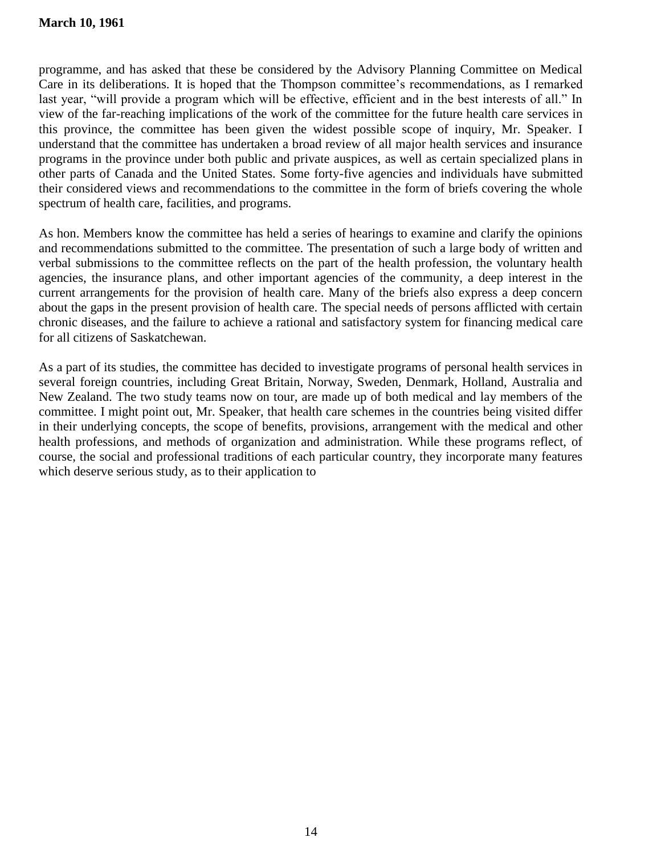programme, and has asked that these be considered by the Advisory Planning Committee on Medical Care in its deliberations. It is hoped that the Thompson committee's recommendations, as I remarked last year, "will provide a program which will be effective, efficient and in the best interests of all." In view of the far-reaching implications of the work of the committee for the future health care services in this province, the committee has been given the widest possible scope of inquiry, Mr. Speaker. I understand that the committee has undertaken a broad review of all major health services and insurance programs in the province under both public and private auspices, as well as certain specialized plans in other parts of Canada and the United States. Some forty-five agencies and individuals have submitted their considered views and recommendations to the committee in the form of briefs covering the whole spectrum of health care, facilities, and programs.

As hon. Members know the committee has held a series of hearings to examine and clarify the opinions and recommendations submitted to the committee. The presentation of such a large body of written and verbal submissions to the committee reflects on the part of the health profession, the voluntary health agencies, the insurance plans, and other important agencies of the community, a deep interest in the current arrangements for the provision of health care. Many of the briefs also express a deep concern about the gaps in the present provision of health care. The special needs of persons afflicted with certain chronic diseases, and the failure to achieve a rational and satisfactory system for financing medical care for all citizens of Saskatchewan.

As a part of its studies, the committee has decided to investigate programs of personal health services in several foreign countries, including Great Britain, Norway, Sweden, Denmark, Holland, Australia and New Zealand. The two study teams now on tour, are made up of both medical and lay members of the committee. I might point out, Mr. Speaker, that health care schemes in the countries being visited differ in their underlying concepts, the scope of benefits, provisions, arrangement with the medical and other health professions, and methods of organization and administration. While these programs reflect, of course, the social and professional traditions of each particular country, they incorporate many features which deserve serious study, as to their application to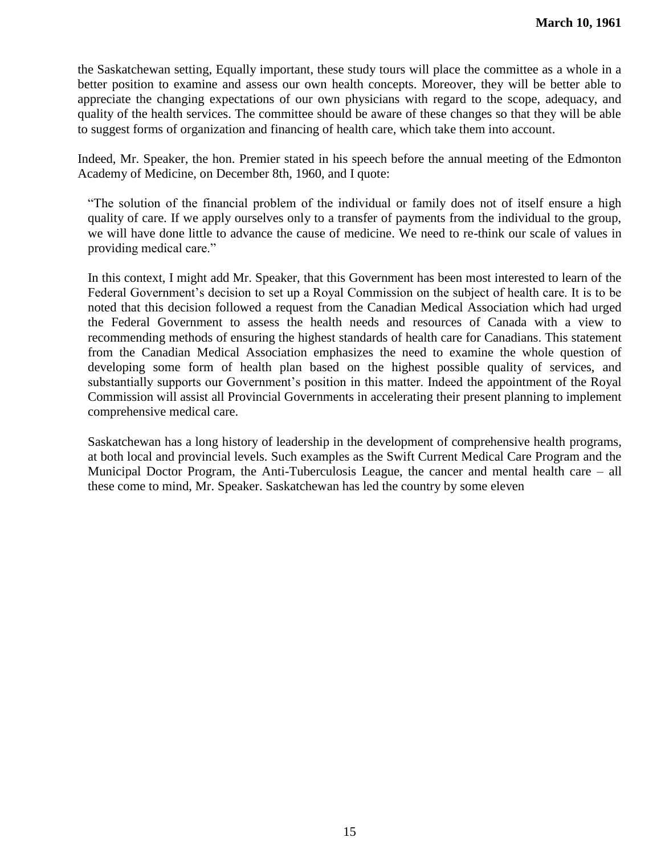the Saskatchewan setting, Equally important, these study tours will place the committee as a whole in a better position to examine and assess our own health concepts. Moreover, they will be better able to appreciate the changing expectations of our own physicians with regard to the scope, adequacy, and quality of the health services. The committee should be aware of these changes so that they will be able to suggest forms of organization and financing of health care, which take them into account.

Indeed, Mr. Speaker, the hon. Premier stated in his speech before the annual meeting of the Edmonton Academy of Medicine, on December 8th, 1960, and I quote:

―The solution of the financial problem of the individual or family does not of itself ensure a high quality of care. If we apply ourselves only to a transfer of payments from the individual to the group, we will have done little to advance the cause of medicine. We need to re-think our scale of values in providing medical care."

In this context, I might add Mr. Speaker, that this Government has been most interested to learn of the Federal Government's decision to set up a Royal Commission on the subject of health care. It is to be noted that this decision followed a request from the Canadian Medical Association which had urged the Federal Government to assess the health needs and resources of Canada with a view to recommending methods of ensuring the highest standards of health care for Canadians. This statement from the Canadian Medical Association emphasizes the need to examine the whole question of developing some form of health plan based on the highest possible quality of services, and substantially supports our Government's position in this matter. Indeed the appointment of the Royal Commission will assist all Provincial Governments in accelerating their present planning to implement comprehensive medical care.

Saskatchewan has a long history of leadership in the development of comprehensive health programs, at both local and provincial levels. Such examples as the Swift Current Medical Care Program and the Municipal Doctor Program, the Anti-Tuberculosis League, the cancer and mental health care – all these come to mind, Mr. Speaker. Saskatchewan has led the country by some eleven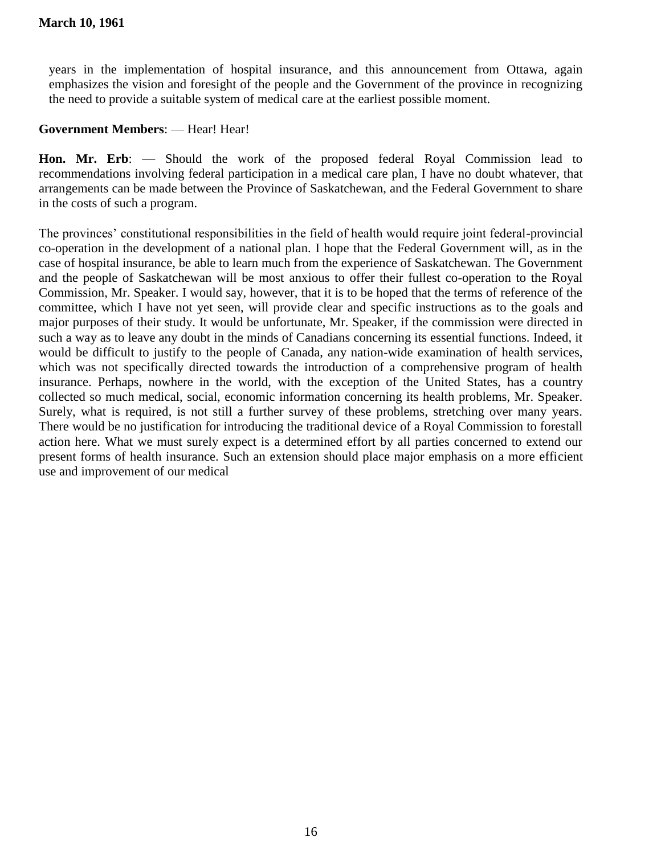years in the implementation of hospital insurance, and this announcement from Ottawa, again emphasizes the vision and foresight of the people and the Government of the province in recognizing the need to provide a suitable system of medical care at the earliest possible moment.

# **Government Members**: — Hear! Hear!

**Hon. Mr. Erb**: — Should the work of the proposed federal Royal Commission lead to recommendations involving federal participation in a medical care plan, I have no doubt whatever, that arrangements can be made between the Province of Saskatchewan, and the Federal Government to share in the costs of such a program.

The provinces' constitutional responsibilities in the field of health would require joint federal-provincial co-operation in the development of a national plan. I hope that the Federal Government will, as in the case of hospital insurance, be able to learn much from the experience of Saskatchewan. The Government and the people of Saskatchewan will be most anxious to offer their fullest co-operation to the Royal Commission, Mr. Speaker. I would say, however, that it is to be hoped that the terms of reference of the committee, which I have not yet seen, will provide clear and specific instructions as to the goals and major purposes of their study. It would be unfortunate, Mr. Speaker, if the commission were directed in such a way as to leave any doubt in the minds of Canadians concerning its essential functions. Indeed, it would be difficult to justify to the people of Canada, any nation-wide examination of health services, which was not specifically directed towards the introduction of a comprehensive program of health insurance. Perhaps, nowhere in the world, with the exception of the United States, has a country collected so much medical, social, economic information concerning its health problems, Mr. Speaker. Surely, what is required, is not still a further survey of these problems, stretching over many years. There would be no justification for introducing the traditional device of a Royal Commission to forestall action here. What we must surely expect is a determined effort by all parties concerned to extend our present forms of health insurance. Such an extension should place major emphasis on a more efficient use and improvement of our medical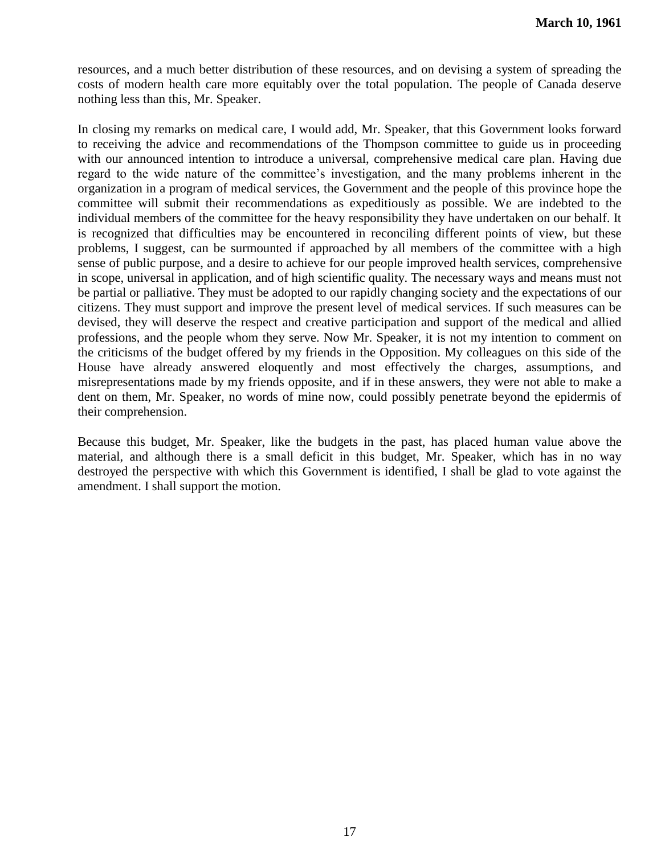resources, and a much better distribution of these resources, and on devising a system of spreading the costs of modern health care more equitably over the total population. The people of Canada deserve nothing less than this, Mr. Speaker.

In closing my remarks on medical care, I would add, Mr. Speaker, that this Government looks forward to receiving the advice and recommendations of the Thompson committee to guide us in proceeding with our announced intention to introduce a universal, comprehensive medical care plan. Having due regard to the wide nature of the committee's investigation, and the many problems inherent in the organization in a program of medical services, the Government and the people of this province hope the committee will submit their recommendations as expeditiously as possible. We are indebted to the individual members of the committee for the heavy responsibility they have undertaken on our behalf. It is recognized that difficulties may be encountered in reconciling different points of view, but these problems, I suggest, can be surmounted if approached by all members of the committee with a high sense of public purpose, and a desire to achieve for our people improved health services, comprehensive in scope, universal in application, and of high scientific quality. The necessary ways and means must not be partial or palliative. They must be adopted to our rapidly changing society and the expectations of our citizens. They must support and improve the present level of medical services. If such measures can be devised, they will deserve the respect and creative participation and support of the medical and allied professions, and the people whom they serve. Now Mr. Speaker, it is not my intention to comment on the criticisms of the budget offered by my friends in the Opposition. My colleagues on this side of the House have already answered eloquently and most effectively the charges, assumptions, and misrepresentations made by my friends opposite, and if in these answers, they were not able to make a dent on them, Mr. Speaker, no words of mine now, could possibly penetrate beyond the epidermis of their comprehension.

Because this budget, Mr. Speaker, like the budgets in the past, has placed human value above the material, and although there is a small deficit in this budget, Mr. Speaker, which has in no way destroyed the perspective with which this Government is identified, I shall be glad to vote against the amendment. I shall support the motion.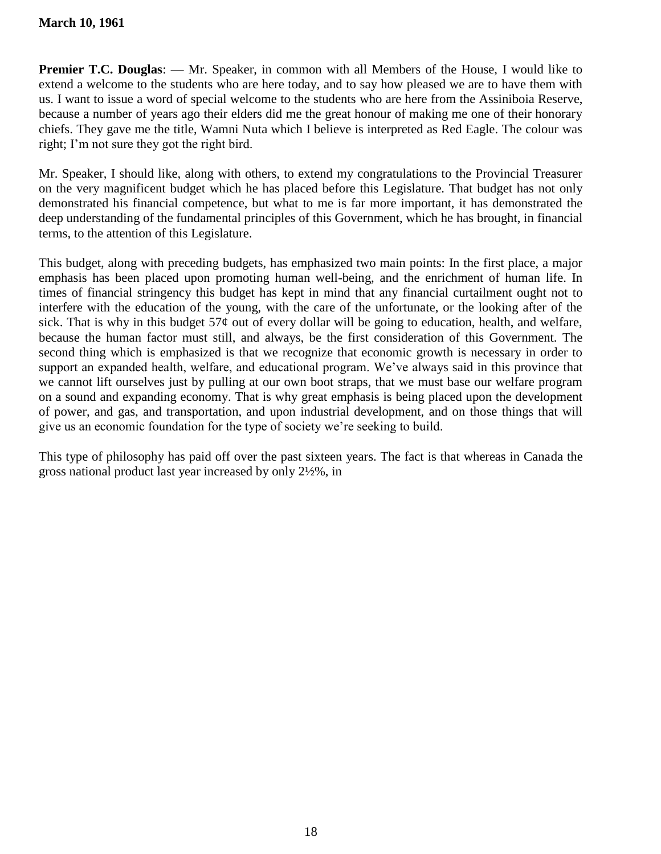**Premier T.C. Douglas:** — Mr. Speaker, in common with all Members of the House, I would like to extend a welcome to the students who are here today, and to say how pleased we are to have them with us. I want to issue a word of special welcome to the students who are here from the Assiniboia Reserve, because a number of years ago their elders did me the great honour of making me one of their honorary chiefs. They gave me the title, Wamni Nuta which I believe is interpreted as Red Eagle. The colour was right; I'm not sure they got the right bird.

Mr. Speaker, I should like, along with others, to extend my congratulations to the Provincial Treasurer on the very magnificent budget which he has placed before this Legislature. That budget has not only demonstrated his financial competence, but what to me is far more important, it has demonstrated the deep understanding of the fundamental principles of this Government, which he has brought, in financial terms, to the attention of this Legislature.

This budget, along with preceding budgets, has emphasized two main points: In the first place, a major emphasis has been placed upon promoting human well-being, and the enrichment of human life. In times of financial stringency this budget has kept in mind that any financial curtailment ought not to interfere with the education of the young, with the care of the unfortunate, or the looking after of the sick. That is why in this budget  $57¢$  out of every dollar will be going to education, health, and welfare, because the human factor must still, and always, be the first consideration of this Government. The second thing which is emphasized is that we recognize that economic growth is necessary in order to support an expanded health, welfare, and educational program. We've always said in this province that we cannot lift ourselves just by pulling at our own boot straps, that we must base our welfare program on a sound and expanding economy. That is why great emphasis is being placed upon the development of power, and gas, and transportation, and upon industrial development, and on those things that will give us an economic foundation for the type of society we're seeking to build.

This type of philosophy has paid off over the past sixteen years. The fact is that whereas in Canada the gross national product last year increased by only 2½%, in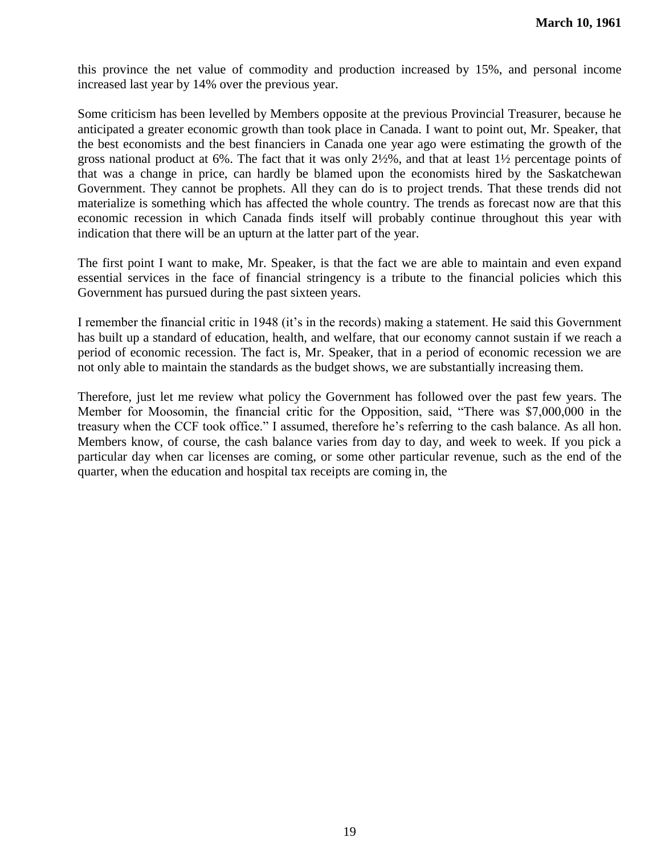this province the net value of commodity and production increased by 15%, and personal income increased last year by 14% over the previous year.

Some criticism has been levelled by Members opposite at the previous Provincial Treasurer, because he anticipated a greater economic growth than took place in Canada. I want to point out, Mr. Speaker, that the best economists and the best financiers in Canada one year ago were estimating the growth of the gross national product at 6%. The fact that it was only 2½%, and that at least 1½ percentage points of that was a change in price, can hardly be blamed upon the economists hired by the Saskatchewan Government. They cannot be prophets. All they can do is to project trends. That these trends did not materialize is something which has affected the whole country. The trends as forecast now are that this economic recession in which Canada finds itself will probably continue throughout this year with indication that there will be an upturn at the latter part of the year.

The first point I want to make, Mr. Speaker, is that the fact we are able to maintain and even expand essential services in the face of financial stringency is a tribute to the financial policies which this Government has pursued during the past sixteen years.

I remember the financial critic in 1948 (it's in the records) making a statement. He said this Government has built up a standard of education, health, and welfare, that our economy cannot sustain if we reach a period of economic recession. The fact is, Mr. Speaker, that in a period of economic recession we are not only able to maintain the standards as the budget shows, we are substantially increasing them.

Therefore, just let me review what policy the Government has followed over the past few years. The Member for Moosomin, the financial critic for the Opposition, said, "There was \$7,000,000 in the treasury when the CCF took office." I assumed, therefore he's referring to the cash balance. As all hon. Members know, of course, the cash balance varies from day to day, and week to week. If you pick a particular day when car licenses are coming, or some other particular revenue, such as the end of the quarter, when the education and hospital tax receipts are coming in, the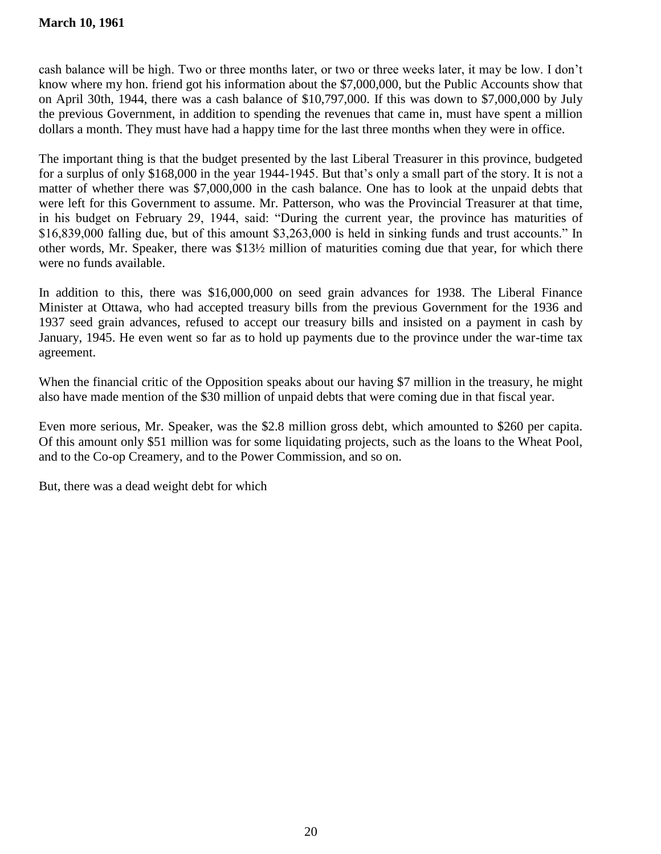cash balance will be high. Two or three months later, or two or three weeks later, it may be low. I don't know where my hon. friend got his information about the \$7,000,000, but the Public Accounts show that on April 30th, 1944, there was a cash balance of \$10,797,000. If this was down to \$7,000,000 by July the previous Government, in addition to spending the revenues that came in, must have spent a million dollars a month. They must have had a happy time for the last three months when they were in office.

The important thing is that the budget presented by the last Liberal Treasurer in this province, budgeted for a surplus of only \$168,000 in the year 1944-1945. But that's only a small part of the story. It is not a matter of whether there was \$7,000,000 in the cash balance. One has to look at the unpaid debts that were left for this Government to assume. Mr. Patterson, who was the Provincial Treasurer at that time, in his budget on February 29, 1944, said: "During the current year, the province has maturities of  $$16,839,000$  falling due, but of this amount  $$3,263,000$  is held in sinking funds and trust accounts." In other words, Mr. Speaker, there was \$13½ million of maturities coming due that year, for which there were no funds available.

In addition to this, there was \$16,000,000 on seed grain advances for 1938. The Liberal Finance Minister at Ottawa, who had accepted treasury bills from the previous Government for the 1936 and 1937 seed grain advances, refused to accept our treasury bills and insisted on a payment in cash by January, 1945. He even went so far as to hold up payments due to the province under the war-time tax agreement.

When the financial critic of the Opposition speaks about our having \$7 million in the treasury, he might also have made mention of the \$30 million of unpaid debts that were coming due in that fiscal year.

Even more serious, Mr. Speaker, was the \$2.8 million gross debt, which amounted to \$260 per capita. Of this amount only \$51 million was for some liquidating projects, such as the loans to the Wheat Pool, and to the Co-op Creamery, and to the Power Commission, and so on.

But, there was a dead weight debt for which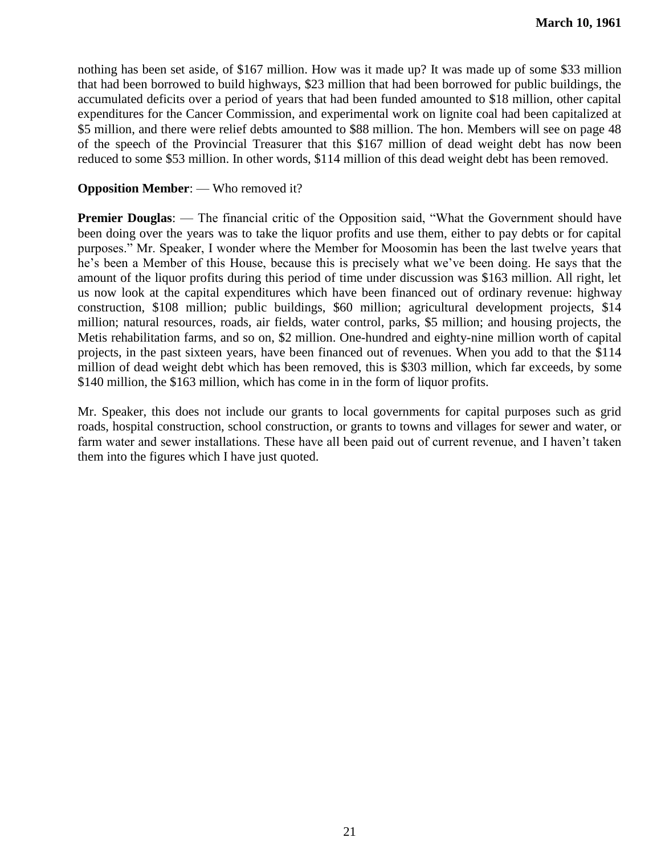nothing has been set aside, of \$167 million. How was it made up? It was made up of some \$33 million that had been borrowed to build highways, \$23 million that had been borrowed for public buildings, the accumulated deficits over a period of years that had been funded amounted to \$18 million, other capital expenditures for the Cancer Commission, and experimental work on lignite coal had been capitalized at \$5 million, and there were relief debts amounted to \$88 million. The hon. Members will see on page 48 of the speech of the Provincial Treasurer that this \$167 million of dead weight debt has now been reduced to some \$53 million. In other words, \$114 million of this dead weight debt has been removed.

### **Opposition Member**: — Who removed it?

**Premier Douglas:** — The financial critic of the Opposition said, "What the Government should have been doing over the years was to take the liquor profits and use them, either to pay debts or for capital purposes.‖ Mr. Speaker, I wonder where the Member for Moosomin has been the last twelve years that he's been a Member of this House, because this is precisely what we've been doing. He says that the amount of the liquor profits during this period of time under discussion was \$163 million. All right, let us now look at the capital expenditures which have been financed out of ordinary revenue: highway construction, \$108 million; public buildings, \$60 million; agricultural development projects, \$14 million; natural resources, roads, air fields, water control, parks, \$5 million; and housing projects, the Metis rehabilitation farms, and so on, \$2 million. One-hundred and eighty-nine million worth of capital projects, in the past sixteen years, have been financed out of revenues. When you add to that the \$114 million of dead weight debt which has been removed, this is \$303 million, which far exceeds, by some \$140 million, the \$163 million, which has come in in the form of liquor profits.

Mr. Speaker, this does not include our grants to local governments for capital purposes such as grid roads, hospital construction, school construction, or grants to towns and villages for sewer and water, or farm water and sewer installations. These have all been paid out of current revenue, and I haven't taken them into the figures which I have just quoted.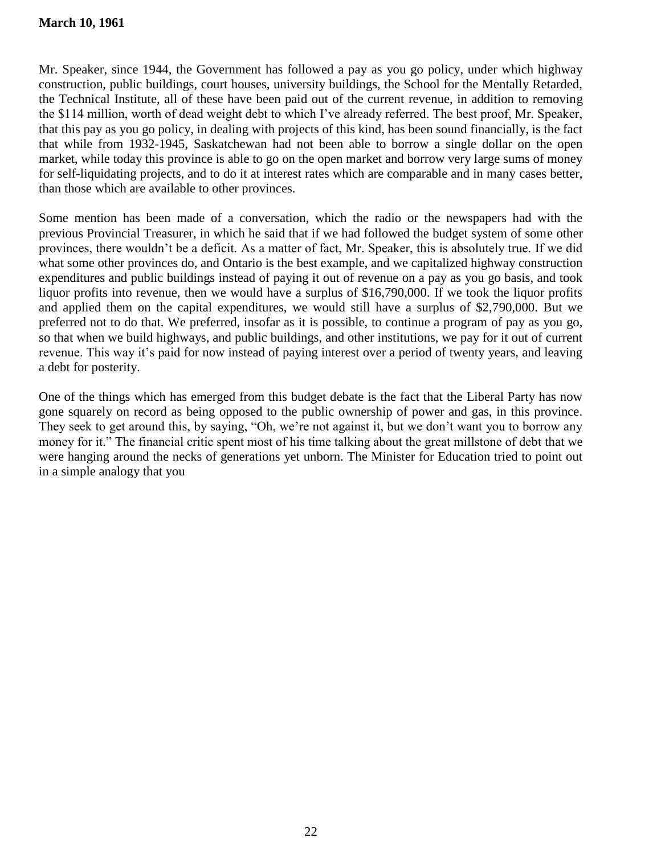Mr. Speaker, since 1944, the Government has followed a pay as you go policy, under which highway construction, public buildings, court houses, university buildings, the School for the Mentally Retarded, the Technical Institute, all of these have been paid out of the current revenue, in addition to removing the \$114 million, worth of dead weight debt to which I've already referred. The best proof, Mr. Speaker, that this pay as you go policy, in dealing with projects of this kind, has been sound financially, is the fact that while from 1932-1945, Saskatchewan had not been able to borrow a single dollar on the open market, while today this province is able to go on the open market and borrow very large sums of money for self-liquidating projects, and to do it at interest rates which are comparable and in many cases better, than those which are available to other provinces.

Some mention has been made of a conversation, which the radio or the newspapers had with the previous Provincial Treasurer, in which he said that if we had followed the budget system of some other provinces, there wouldn't be a deficit. As a matter of fact, Mr. Speaker, this is absolutely true. If we did what some other provinces do, and Ontario is the best example, and we capitalized highway construction expenditures and public buildings instead of paying it out of revenue on a pay as you go basis, and took liquor profits into revenue, then we would have a surplus of \$16,790,000. If we took the liquor profits and applied them on the capital expenditures, we would still have a surplus of \$2,790,000. But we preferred not to do that. We preferred, insofar as it is possible, to continue a program of pay as you go, so that when we build highways, and public buildings, and other institutions, we pay for it out of current revenue. This way it's paid for now instead of paying interest over a period of twenty years, and leaving a debt for posterity.

One of the things which has emerged from this budget debate is the fact that the Liberal Party has now gone squarely on record as being opposed to the public ownership of power and gas, in this province. They seek to get around this, by saying, "Oh, we're not against it, but we don't want you to borrow any money for it." The financial critic spent most of his time talking about the great millstone of debt that we were hanging around the necks of generations yet unborn. The Minister for Education tried to point out in a simple analogy that you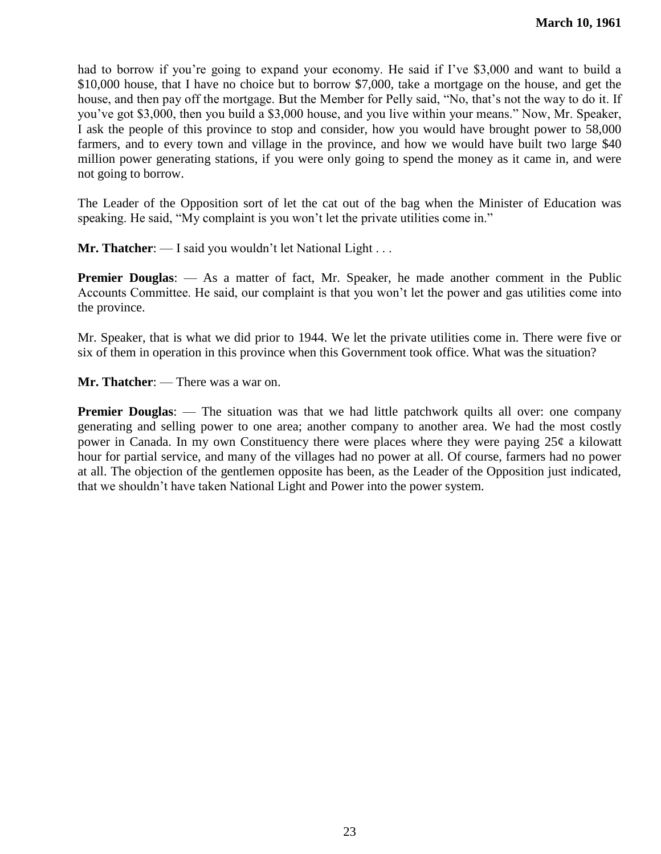had to borrow if you're going to expand your economy. He said if I've \$3,000 and want to build a \$10,000 house, that I have no choice but to borrow \$7,000, take a mortgage on the house, and get the house, and then pay off the mortgage. But the Member for Pelly said, "No, that's not the way to do it. If you've got \$3,000, then you build a \$3,000 house, and you live within your means." Now, Mr. Speaker, I ask the people of this province to stop and consider, how you would have brought power to 58,000 farmers, and to every town and village in the province, and how we would have built two large \$40 million power generating stations, if you were only going to spend the money as it came in, and were not going to borrow.

The Leader of the Opposition sort of let the cat out of the bag when the Minister of Education was speaking. He said, "My complaint is you won't let the private utilities come in."

**Mr. Thatcher:** — I said you wouldn't let National Light . . .

**Premier Douglas:** — As a matter of fact, Mr. Speaker, he made another comment in the Public Accounts Committee. He said, our complaint is that you won't let the power and gas utilities come into the province.

Mr. Speaker, that is what we did prior to 1944. We let the private utilities come in. There were five or six of them in operation in this province when this Government took office. What was the situation?

**Mr. Thatcher**: — There was a war on.

**Premier Douglas:** — The situation was that we had little patchwork quilts all over: one company generating and selling power to one area; another company to another area. We had the most costly power in Canada. In my own Constituency there were places where they were paying 25¢ a kilowatt hour for partial service, and many of the villages had no power at all. Of course, farmers had no power at all. The objection of the gentlemen opposite has been, as the Leader of the Opposition just indicated, that we shouldn't have taken National Light and Power into the power system.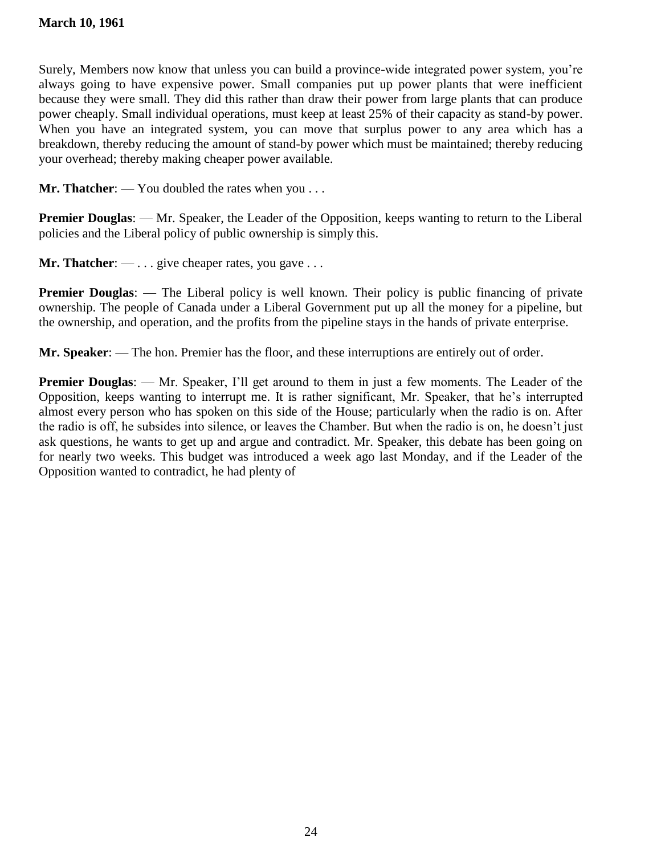Surely, Members now know that unless you can build a province-wide integrated power system, you're always going to have expensive power. Small companies put up power plants that were inefficient because they were small. They did this rather than draw their power from large plants that can produce power cheaply. Small individual operations, must keep at least 25% of their capacity as stand-by power. When you have an integrated system, you can move that surplus power to any area which has a breakdown, thereby reducing the amount of stand-by power which must be maintained; thereby reducing your overhead; thereby making cheaper power available.

**Mr. Thatcher**: — You doubled the rates when you . . .

**Premier Douglas:** — Mr. Speaker, the Leader of the Opposition, keeps wanting to return to the Liberal policies and the Liberal policy of public ownership is simply this.

**Mr. Thatcher:** — . . . give cheaper rates, you gave . . .

**Premier Douglas:** — The Liberal policy is well known. Their policy is public financing of private ownership. The people of Canada under a Liberal Government put up all the money for a pipeline, but the ownership, and operation, and the profits from the pipeline stays in the hands of private enterprise.

**Mr. Speaker**: — The hon. Premier has the floor, and these interruptions are entirely out of order.

**Premier Douglas:** — Mr. Speaker, I'll get around to them in just a few moments. The Leader of the Opposition, keeps wanting to interrupt me. It is rather significant, Mr. Speaker, that he's interrupted almost every person who has spoken on this side of the House; particularly when the radio is on. After the radio is off, he subsides into silence, or leaves the Chamber. But when the radio is on, he doesn't just ask questions, he wants to get up and argue and contradict. Mr. Speaker, this debate has been going on for nearly two weeks. This budget was introduced a week ago last Monday, and if the Leader of the Opposition wanted to contradict, he had plenty of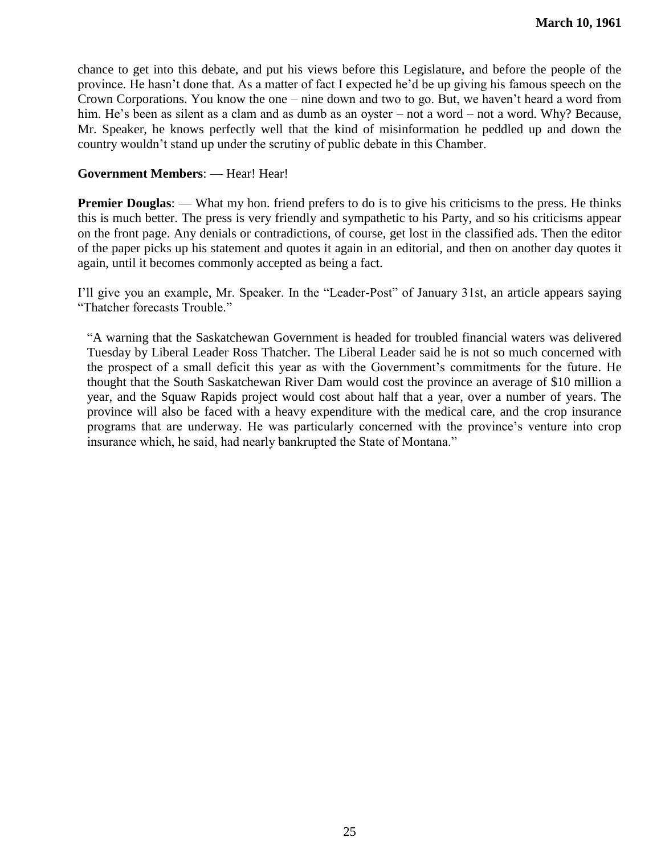chance to get into this debate, and put his views before this Legislature, and before the people of the province. He hasn't done that. As a matter of fact I expected he'd be up giving his famous speech on the Crown Corporations. You know the one – nine down and two to go. But, we haven't heard a word from him. He's been as silent as a clam and as dumb as an oyster – not a word – not a word. Why? Because, Mr. Speaker, he knows perfectly well that the kind of misinformation he peddled up and down the country wouldn't stand up under the scrutiny of public debate in this Chamber.

### **Government Members**: — Hear! Hear!

**Premier Douglas:** — What my hon. friend prefers to do is to give his criticisms to the press. He thinks this is much better. The press is very friendly and sympathetic to his Party, and so his criticisms appear on the front page. Any denials or contradictions, of course, get lost in the classified ads. Then the editor of the paper picks up his statement and quotes it again in an editorial, and then on another day quotes it again, until it becomes commonly accepted as being a fact.

I'll give you an example, Mr. Speaker. In the "Leader-Post" of January 31st, an article appears saying "Thatcher forecasts Trouble."

―A warning that the Saskatchewan Government is headed for troubled financial waters was delivered Tuesday by Liberal Leader Ross Thatcher. The Liberal Leader said he is not so much concerned with the prospect of a small deficit this year as with the Government's commitments for the future. He thought that the South Saskatchewan River Dam would cost the province an average of \$10 million a year, and the Squaw Rapids project would cost about half that a year, over a number of years. The province will also be faced with a heavy expenditure with the medical care, and the crop insurance programs that are underway. He was particularly concerned with the province's venture into crop insurance which, he said, had nearly bankrupted the State of Montana."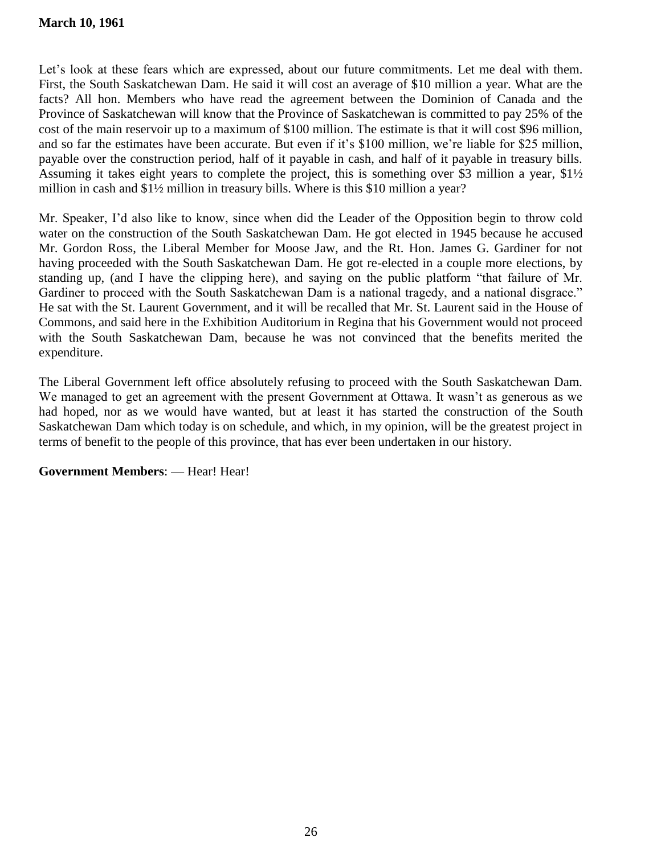Let's look at these fears which are expressed, about our future commitments. Let me deal with them. First, the South Saskatchewan Dam. He said it will cost an average of \$10 million a year. What are the facts? All hon. Members who have read the agreement between the Dominion of Canada and the Province of Saskatchewan will know that the Province of Saskatchewan is committed to pay 25% of the cost of the main reservoir up to a maximum of \$100 million. The estimate is that it will cost \$96 million, and so far the estimates have been accurate. But even if it's \$100 million, we're liable for \$25 million, payable over the construction period, half of it payable in cash, and half of it payable in treasury bills. Assuming it takes eight years to complete the project, this is something over \$3 million a year, \$1½ million in cash and \$1½ million in treasury bills. Where is this \$10 million a year?

Mr. Speaker, I'd also like to know, since when did the Leader of the Opposition begin to throw cold water on the construction of the South Saskatchewan Dam. He got elected in 1945 because he accused Mr. Gordon Ross, the Liberal Member for Moose Jaw, and the Rt. Hon. James G. Gardiner for not having proceeded with the South Saskatchewan Dam. He got re-elected in a couple more elections, by standing up, (and I have the clipping here), and saying on the public platform "that failure of Mr. Gardiner to proceed with the South Saskatchewan Dam is a national tragedy, and a national disgrace." He sat with the St. Laurent Government, and it will be recalled that Mr. St. Laurent said in the House of Commons, and said here in the Exhibition Auditorium in Regina that his Government would not proceed with the South Saskatchewan Dam, because he was not convinced that the benefits merited the expenditure.

The Liberal Government left office absolutely refusing to proceed with the South Saskatchewan Dam. We managed to get an agreement with the present Government at Ottawa. It wasn't as generous as we had hoped, nor as we would have wanted, but at least it has started the construction of the South Saskatchewan Dam which today is on schedule, and which, in my opinion, will be the greatest project in terms of benefit to the people of this province, that has ever been undertaken in our history.

**Government Members**: — Hear! Hear!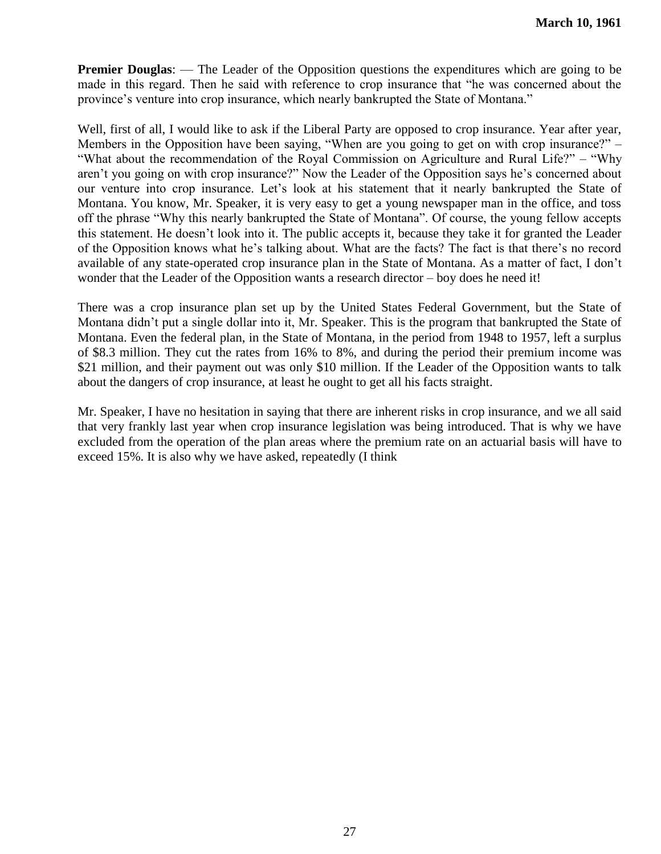**Premier Douglas:** — The Leader of the Opposition questions the expenditures which are going to be made in this regard. Then he said with reference to crop insurance that "he was concerned about the province's venture into crop insurance, which nearly bankrupted the State of Montana."

Well, first of all, I would like to ask if the Liberal Party are opposed to crop insurance. Year after year, Members in the Opposition have been saying, "When are you going to get on with crop insurance?"  $-$ "What about the recommendation of the Royal Commission on Agriculture and Rural Life?" – "Why" aren't you going on with crop insurance?" Now the Leader of the Opposition says he's concerned about our venture into crop insurance. Let's look at his statement that it nearly bankrupted the State of Montana. You know, Mr. Speaker, it is very easy to get a young newspaper man in the office, and toss off the phrase "Why this nearly bankrupted the State of Montana". Of course, the young fellow accepts this statement. He doesn't look into it. The public accepts it, because they take it for granted the Leader of the Opposition knows what he's talking about. What are the facts? The fact is that there's no record available of any state-operated crop insurance plan in the State of Montana. As a matter of fact, I don't wonder that the Leader of the Opposition wants a research director – boy does he need it!

There was a crop insurance plan set up by the United States Federal Government, but the State of Montana didn't put a single dollar into it, Mr. Speaker. This is the program that bankrupted the State of Montana. Even the federal plan, in the State of Montana, in the period from 1948 to 1957, left a surplus of \$8.3 million. They cut the rates from 16% to 8%, and during the period their premium income was \$21 million, and their payment out was only \$10 million. If the Leader of the Opposition wants to talk about the dangers of crop insurance, at least he ought to get all his facts straight.

Mr. Speaker, I have no hesitation in saying that there are inherent risks in crop insurance, and we all said that very frankly last year when crop insurance legislation was being introduced. That is why we have excluded from the operation of the plan areas where the premium rate on an actuarial basis will have to exceed 15%. It is also why we have asked, repeatedly (I think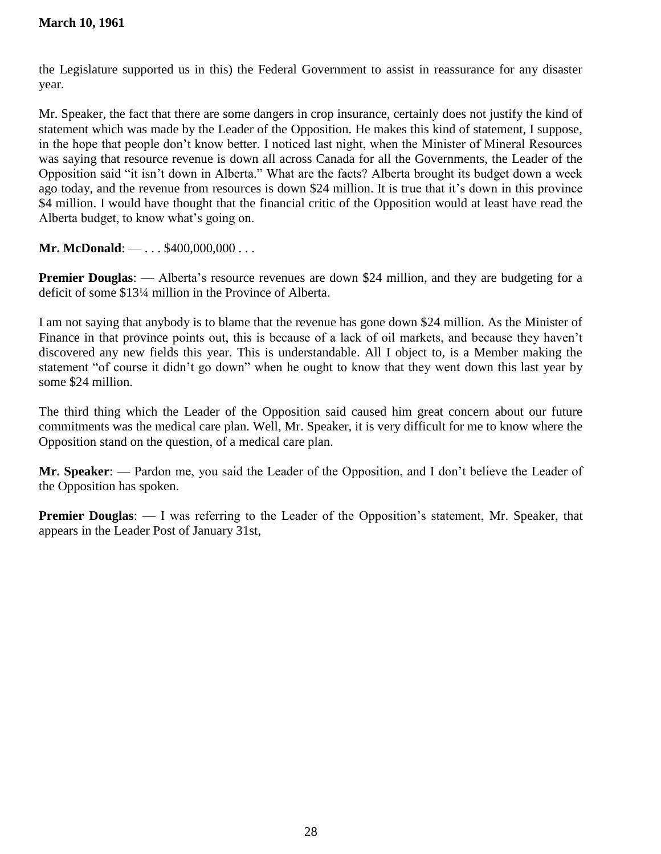the Legislature supported us in this) the Federal Government to assist in reassurance for any disaster year.

Mr. Speaker, the fact that there are some dangers in crop insurance, certainly does not justify the kind of statement which was made by the Leader of the Opposition. He makes this kind of statement, I suppose, in the hope that people don't know better. I noticed last night, when the Minister of Mineral Resources was saying that resource revenue is down all across Canada for all the Governments, the Leader of the Opposition said "it isn't down in Alberta." What are the facts? Alberta brought its budget down a week ago today, and the revenue from resources is down \$24 million. It is true that it's down in this province \$4 million. I would have thought that the financial critic of the Opposition would at least have read the Alberta budget, to know what's going on.

**Mr. McDonald:** — . . . \$400,000,000 . . .

**Premier Douglas:** — Alberta's resource revenues are down \$24 million, and they are budgeting for a deficit of some \$13¼ million in the Province of Alberta.

I am not saying that anybody is to blame that the revenue has gone down \$24 million. As the Minister of Finance in that province points out, this is because of a lack of oil markets, and because they haven't discovered any new fields this year. This is understandable. All I object to, is a Member making the statement "of course it didn't go down" when he ought to know that they went down this last year by some \$24 million.

The third thing which the Leader of the Opposition said caused him great concern about our future commitments was the medical care plan. Well, Mr. Speaker, it is very difficult for me to know where the Opposition stand on the question, of a medical care plan.

**Mr. Speaker**: — Pardon me, you said the Leader of the Opposition, and I don't believe the Leader of the Opposition has spoken.

**Premier Douglas:** — I was referring to the Leader of the Opposition's statement, Mr. Speaker, that appears in the Leader Post of January 31st,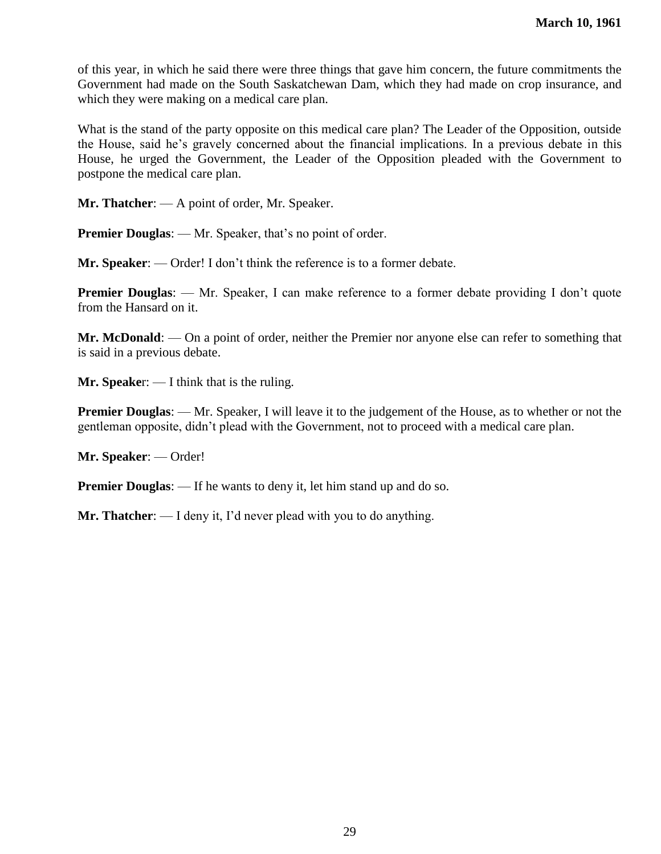of this year, in which he said there were three things that gave him concern, the future commitments the Government had made on the South Saskatchewan Dam, which they had made on crop insurance, and which they were making on a medical care plan.

What is the stand of the party opposite on this medical care plan? The Leader of the Opposition, outside the House, said he's gravely concerned about the financial implications. In a previous debate in this House, he urged the Government, the Leader of the Opposition pleaded with the Government to postpone the medical care plan.

**Mr. Thatcher**: — A point of order, Mr. Speaker.

**Premier Douglas:** — Mr. Speaker, that's no point of order.

**Mr. Speaker**: — Order! I don't think the reference is to a former debate.

**Premier Douglas:** — Mr. Speaker, I can make reference to a former debate providing I don't quote from the Hansard on it.

**Mr. McDonald**: — On a point of order, neither the Premier nor anyone else can refer to something that is said in a previous debate.

**Mr. Speake**r: — I think that is the ruling.

**Premier Douglas:** — Mr. Speaker, I will leave it to the judgement of the House, as to whether or not the gentleman opposite, didn't plead with the Government, not to proceed with a medical care plan.

**Mr. Speaker**: — Order!

**Premier Douglas:** — If he wants to deny it, let him stand up and do so.

**Mr. Thatcher**: — I deny it, I'd never plead with you to do anything.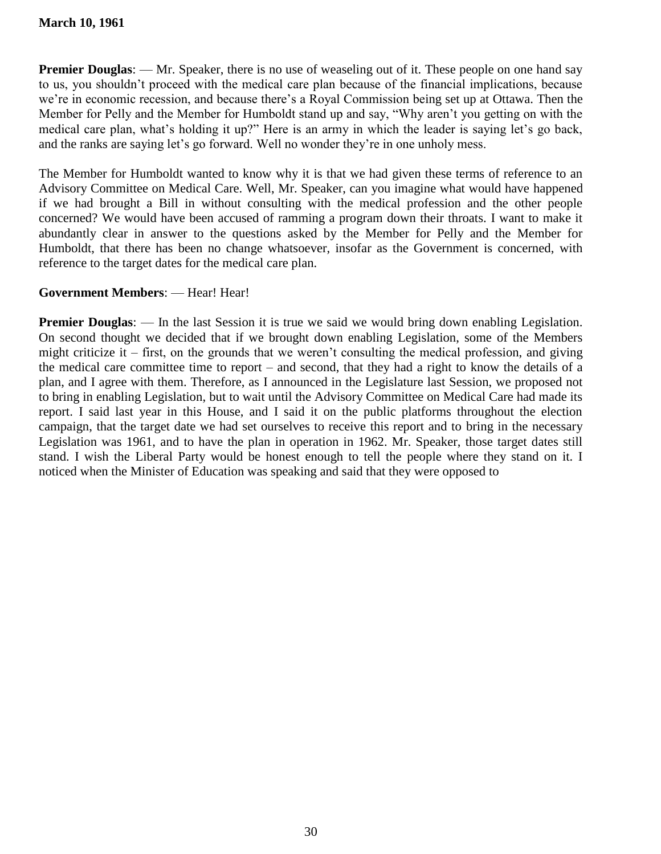**Premier Douglas:** — Mr. Speaker, there is no use of weaseling out of it. These people on one hand say to us, you shouldn't proceed with the medical care plan because of the financial implications, because we're in economic recession, and because there's a Royal Commission being set up at Ottawa. Then the Member for Pelly and the Member for Humboldt stand up and say, "Why aren't you getting on with the medical care plan, what's holding it up?" Here is an army in which the leader is saying let's go back, and the ranks are saying let's go forward. Well no wonder they're in one unholy mess.

The Member for Humboldt wanted to know why it is that we had given these terms of reference to an Advisory Committee on Medical Care. Well, Mr. Speaker, can you imagine what would have happened if we had brought a Bill in without consulting with the medical profession and the other people concerned? We would have been accused of ramming a program down their throats. I want to make it abundantly clear in answer to the questions asked by the Member for Pelly and the Member for Humboldt, that there has been no change whatsoever, insofar as the Government is concerned, with reference to the target dates for the medical care plan.

# **Government Members**: — Hear! Hear!

**Premier Douglas:** — In the last Session it is true we said we would bring down enabling Legislation. On second thought we decided that if we brought down enabling Legislation, some of the Members might criticize it – first, on the grounds that we weren't consulting the medical profession, and giving the medical care committee time to report – and second, that they had a right to know the details of a plan, and I agree with them. Therefore, as I announced in the Legislature last Session, we proposed not to bring in enabling Legislation, but to wait until the Advisory Committee on Medical Care had made its report. I said last year in this House, and I said it on the public platforms throughout the election campaign, that the target date we had set ourselves to receive this report and to bring in the necessary Legislation was 1961, and to have the plan in operation in 1962. Mr. Speaker, those target dates still stand. I wish the Liberal Party would be honest enough to tell the people where they stand on it. I noticed when the Minister of Education was speaking and said that they were opposed to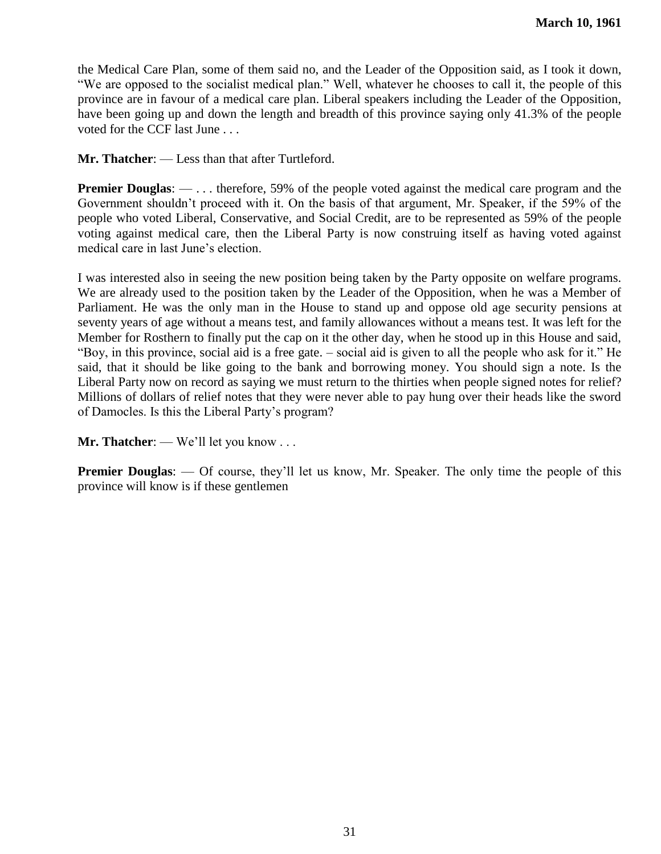the Medical Care Plan, some of them said no, and the Leader of the Opposition said, as I took it down, "We are opposed to the socialist medical plan." Well, whatever he chooses to call it, the people of this province are in favour of a medical care plan. Liberal speakers including the Leader of the Opposition, have been going up and down the length and breadth of this province saying only 41.3% of the people voted for the CCF last June . . .

**Mr. Thatcher**: — Less than that after Turtleford.

**Premier Douglas:** — . . . therefore, 59% of the people voted against the medical care program and the Government shouldn't proceed with it. On the basis of that argument, Mr. Speaker, if the 59% of the people who voted Liberal, Conservative, and Social Credit, are to be represented as 59% of the people voting against medical care, then the Liberal Party is now construing itself as having voted against medical care in last June's election.

I was interested also in seeing the new position being taken by the Party opposite on welfare programs. We are already used to the position taken by the Leader of the Opposition, when he was a Member of Parliament. He was the only man in the House to stand up and oppose old age security pensions at seventy years of age without a means test, and family allowances without a means test. It was left for the Member for Rosthern to finally put the cap on it the other day, when he stood up in this House and said, "Boy, in this province, social aid is a free gate. – social aid is given to all the people who ask for it." He said, that it should be like going to the bank and borrowing money. You should sign a note. Is the Liberal Party now on record as saying we must return to the thirties when people signed notes for relief? Millions of dollars of relief notes that they were never able to pay hung over their heads like the sword of Damocles. Is this the Liberal Party's program?

**Mr. Thatcher**: — We'll let you know . . .

**Premier Douglas:** — Of course, they'll let us know, Mr. Speaker. The only time the people of this province will know is if these gentlemen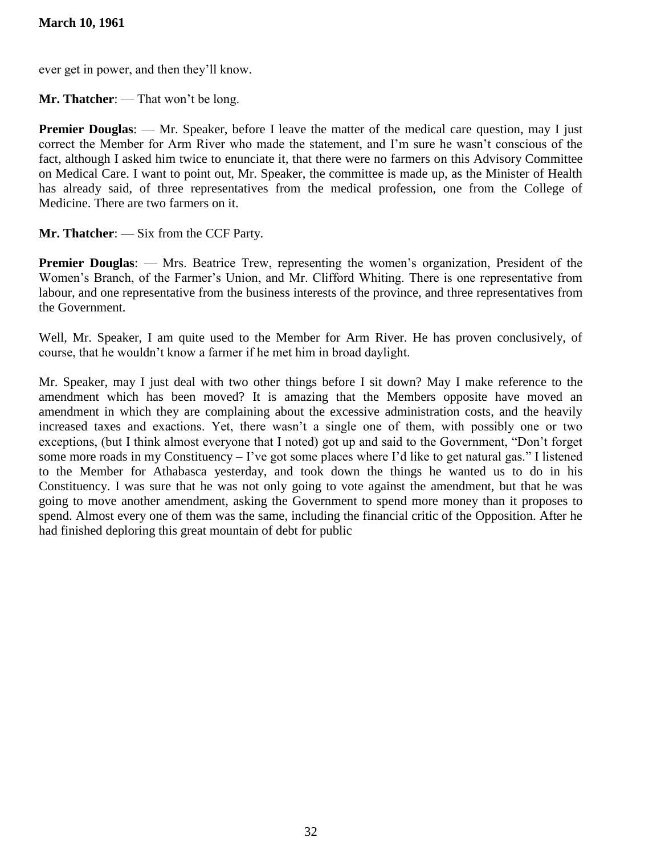# **March 10, 1961**

ever get in power, and then they'll know.

**Mr. Thatcher**: — That won't be long.

**Premier Douglas:** — Mr. Speaker, before I leave the matter of the medical care question, may I just correct the Member for Arm River who made the statement, and I'm sure he wasn't conscious of the fact, although I asked him twice to enunciate it, that there were no farmers on this Advisory Committee on Medical Care. I want to point out, Mr. Speaker, the committee is made up, as the Minister of Health has already said, of three representatives from the medical profession, one from the College of Medicine. There are two farmers on it.

**Mr. Thatcher**: — Six from the CCF Party.

**Premier Douglas:** — Mrs. Beatrice Trew, representing the women's organization, President of the Women's Branch, of the Farmer's Union, and Mr. Clifford Whiting. There is one representative from labour, and one representative from the business interests of the province, and three representatives from the Government.

Well, Mr. Speaker, I am quite used to the Member for Arm River. He has proven conclusively, of course, that he wouldn't know a farmer if he met him in broad daylight.

Mr. Speaker, may I just deal with two other things before I sit down? May I make reference to the amendment which has been moved? It is amazing that the Members opposite have moved an amendment in which they are complaining about the excessive administration costs, and the heavily increased taxes and exactions. Yet, there wasn't a single one of them, with possibly one or two exceptions, (but I think almost everyone that I noted) got up and said to the Government, "Don't forget some more roads in my Constituency – I've got some places where I'd like to get natural gas." I listened to the Member for Athabasca yesterday, and took down the things he wanted us to do in his Constituency. I was sure that he was not only going to vote against the amendment, but that he was going to move another amendment, asking the Government to spend more money than it proposes to spend. Almost every one of them was the same, including the financial critic of the Opposition. After he had finished deploring this great mountain of debt for public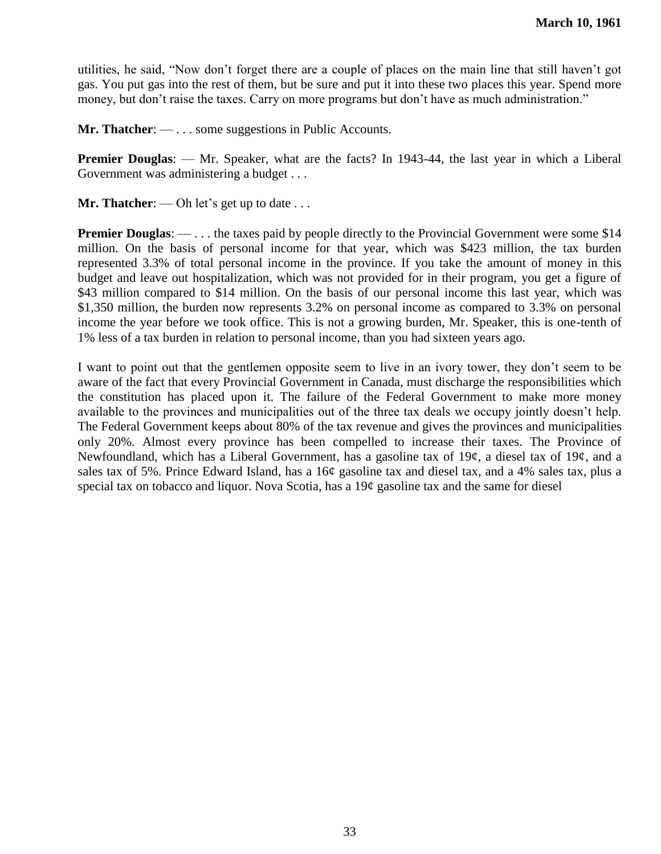utilities, he said, "Now don't forget there are a couple of places on the main line that still haven't got gas. You put gas into the rest of them, but be sure and put it into these two places this year. Spend more money, but don't raise the taxes. Carry on more programs but don't have as much administration."

**Mr. Thatcher**: — . . . some suggestions in Public Accounts.

**Premier Douglas:** — Mr. Speaker, what are the facts? In 1943-44, the last year in which a Liberal Government was administering a budget . . .

**Mr. Thatcher:** — Oh let's get up to date . . .

**Premier Douglas:** — . . . the taxes paid by people directly to the Provincial Government were some \$14 million. On the basis of personal income for that year, which was \$423 million, the tax burden represented 3.3% of total personal income in the province. If you take the amount of money in this budget and leave out hospitalization, which was not provided for in their program, you get a figure of \$43 million compared to \$14 million. On the basis of our personal income this last year, which was \$1,350 million, the burden now represents 3.2% on personal income as compared to 3.3% on personal income the year before we took office. This is not a growing burden, Mr. Speaker, this is one-tenth of 1% less of a tax burden in relation to personal income, than you had sixteen years ago.

I want to point out that the gentlemen opposite seem to live in an ivory tower, they don't seem to be aware of the fact that every Provincial Government in Canada, must discharge the responsibilities which the constitution has placed upon it. The failure of the Federal Government to make more money available to the provinces and municipalities out of the three tax deals we occupy jointly doesn't help. The Federal Government keeps about 80% of the tax revenue and gives the provinces and municipalities only 20%. Almost every province has been compelled to increase their taxes. The Province of Newfoundland, which has a Liberal Government, has a gasoline tax of 19¢, a diesel tax of 19¢, and a sales tax of 5%. Prince Edward Island, has a 16¢ gasoline tax and diesel tax, and a 4% sales tax, plus a special tax on tobacco and liquor. Nova Scotia, has a 19¢ gasoline tax and the same for diesel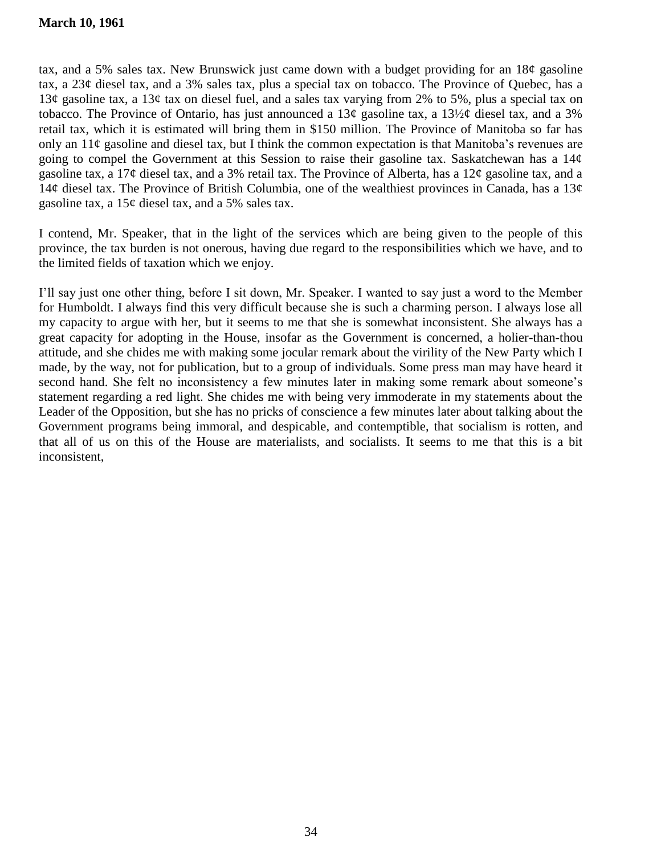tax, and a 5% sales tax. New Brunswick just came down with a budget providing for an  $18¢$  gasoline tax, a 23¢ diesel tax, and a 3% sales tax, plus a special tax on tobacco. The Province of Quebec, has a 13¢ gasoline tax, a 13¢ tax on diesel fuel, and a sales tax varying from 2% to 5%, plus a special tax on tobacco. The Province of Ontario, has just announced a 13¢ gasoline tax, a 13½¢ diesel tax, and a 3% retail tax, which it is estimated will bring them in \$150 million. The Province of Manitoba so far has only an  $11¢$  gasoline and diesel tax, but I think the common expectation is that Manitoba's revenues are going to compel the Government at this Session to raise their gasoline tax. Saskatchewan has a  $14¢$ gasoline tax, a 17¢ diesel tax, and a 3% retail tax. The Province of Alberta, has a 12¢ gasoline tax, and a 14¢ diesel tax. The Province of British Columbia, one of the wealthiest provinces in Canada, has a 13¢ gasoline tax, a 15¢ diesel tax, and a 5% sales tax.

I contend, Mr. Speaker, that in the light of the services which are being given to the people of this province, the tax burden is not onerous, having due regard to the responsibilities which we have, and to the limited fields of taxation which we enjoy.

I'll say just one other thing, before I sit down, Mr. Speaker. I wanted to say just a word to the Member for Humboldt. I always find this very difficult because she is such a charming person. I always lose all my capacity to argue with her, but it seems to me that she is somewhat inconsistent. She always has a great capacity for adopting in the House, insofar as the Government is concerned, a holier-than-thou attitude, and she chides me with making some jocular remark about the virility of the New Party which I made, by the way, not for publication, but to a group of individuals. Some press man may have heard it second hand. She felt no inconsistency a few minutes later in making some remark about someone's statement regarding a red light. She chides me with being very immoderate in my statements about the Leader of the Opposition, but she has no pricks of conscience a few minutes later about talking about the Government programs being immoral, and despicable, and contemptible, that socialism is rotten, and that all of us on this of the House are materialists, and socialists. It seems to me that this is a bit inconsistent,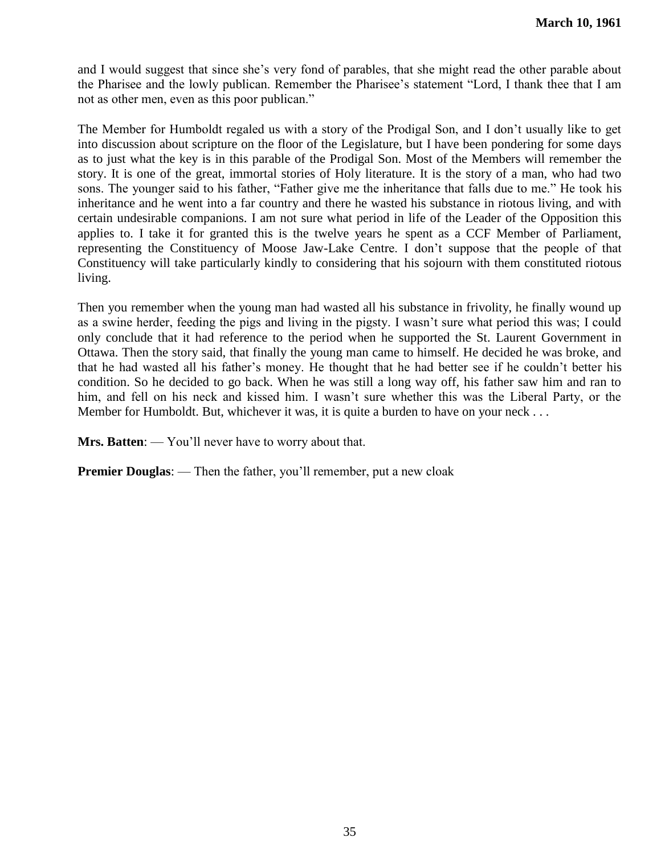and I would suggest that since she's very fond of parables, that she might read the other parable about the Pharisee and the lowly publican. Remember the Pharisee's statement "Lord, I thank thee that I am not as other men, even as this poor publican."

The Member for Humboldt regaled us with a story of the Prodigal Son, and I don't usually like to get into discussion about scripture on the floor of the Legislature, but I have been pondering for some days as to just what the key is in this parable of the Prodigal Son. Most of the Members will remember the story. It is one of the great, immortal stories of Holy literature. It is the story of a man, who had two sons. The younger said to his father, "Father give me the inheritance that falls due to me." He took his inheritance and he went into a far country and there he wasted his substance in riotous living, and with certain undesirable companions. I am not sure what period in life of the Leader of the Opposition this applies to. I take it for granted this is the twelve years he spent as a CCF Member of Parliament, representing the Constituency of Moose Jaw-Lake Centre. I don't suppose that the people of that Constituency will take particularly kindly to considering that his sojourn with them constituted riotous living.

Then you remember when the young man had wasted all his substance in frivolity, he finally wound up as a swine herder, feeding the pigs and living in the pigsty. I wasn't sure what period this was; I could only conclude that it had reference to the period when he supported the St. Laurent Government in Ottawa. Then the story said, that finally the young man came to himself. He decided he was broke, and that he had wasted all his father's money. He thought that he had better see if he couldn't better his condition. So he decided to go back. When he was still a long way off, his father saw him and ran to him, and fell on his neck and kissed him. I wasn't sure whether this was the Liberal Party, or the Member for Humboldt. But, whichever it was, it is quite a burden to have on your neck . . .

**Mrs. Batten**: — You'll never have to worry about that.

**Premier Douglas:** — Then the father, you'll remember, put a new cloak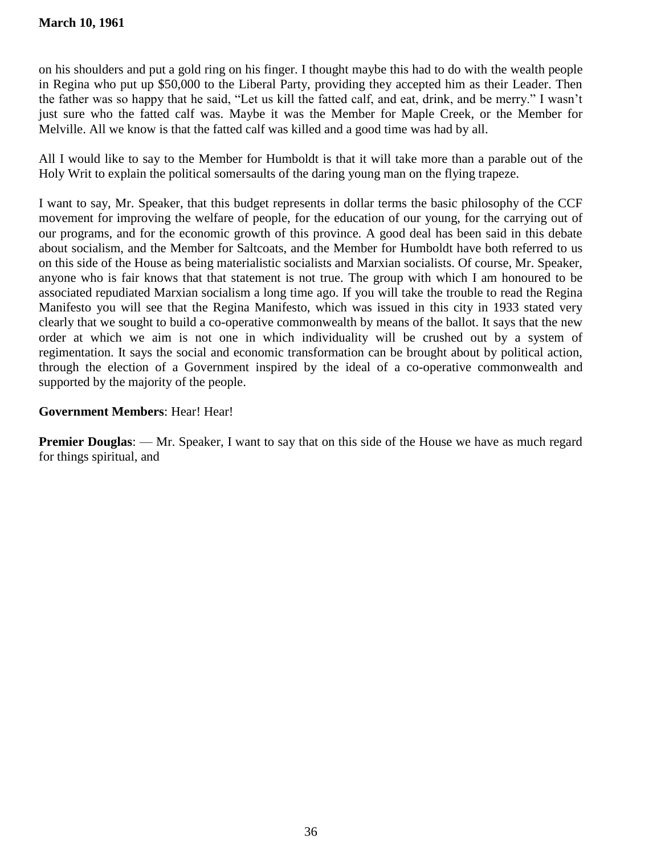on his shoulders and put a gold ring on his finger. I thought maybe this had to do with the wealth people in Regina who put up \$50,000 to the Liberal Party, providing they accepted him as their Leader. Then the father was so happy that he said, "Let us kill the fatted calf, and eat, drink, and be merry." I wasn't just sure who the fatted calf was. Maybe it was the Member for Maple Creek, or the Member for Melville. All we know is that the fatted calf was killed and a good time was had by all.

All I would like to say to the Member for Humboldt is that it will take more than a parable out of the Holy Writ to explain the political somersaults of the daring young man on the flying trapeze.

I want to say, Mr. Speaker, that this budget represents in dollar terms the basic philosophy of the CCF movement for improving the welfare of people, for the education of our young, for the carrying out of our programs, and for the economic growth of this province. A good deal has been said in this debate about socialism, and the Member for Saltcoats, and the Member for Humboldt have both referred to us on this side of the House as being materialistic socialists and Marxian socialists. Of course, Mr. Speaker, anyone who is fair knows that that statement is not true. The group with which I am honoured to be associated repudiated Marxian socialism a long time ago. If you will take the trouble to read the Regina Manifesto you will see that the Regina Manifesto, which was issued in this city in 1933 stated very clearly that we sought to build a co-operative commonwealth by means of the ballot. It says that the new order at which we aim is not one in which individuality will be crushed out by a system of regimentation. It says the social and economic transformation can be brought about by political action, through the election of a Government inspired by the ideal of a co-operative commonwealth and supported by the majority of the people.

# **Government Members**: Hear! Hear!

**Premier Douglas:** — Mr. Speaker, I want to say that on this side of the House we have as much regard for things spiritual, and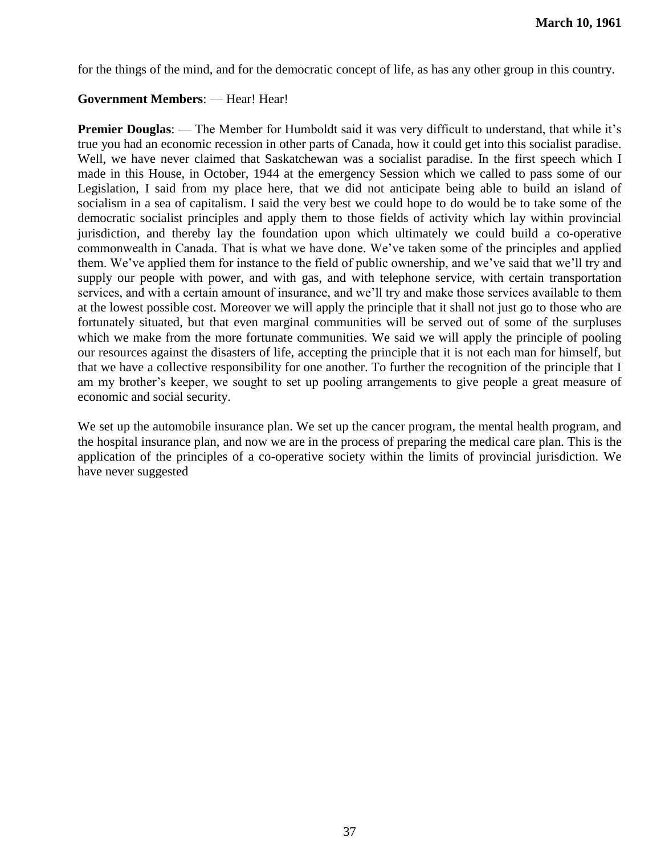for the things of the mind, and for the democratic concept of life, as has any other group in this country.

### **Government Members**: — Hear! Hear!

**Premier Douglas:** — The Member for Humboldt said it was very difficult to understand, that while it's true you had an economic recession in other parts of Canada, how it could get into this socialist paradise. Well, we have never claimed that Saskatchewan was a socialist paradise. In the first speech which I made in this House, in October, 1944 at the emergency Session which we called to pass some of our Legislation, I said from my place here, that we did not anticipate being able to build an island of socialism in a sea of capitalism. I said the very best we could hope to do would be to take some of the democratic socialist principles and apply them to those fields of activity which lay within provincial jurisdiction, and thereby lay the foundation upon which ultimately we could build a co-operative commonwealth in Canada. That is what we have done. We've taken some of the principles and applied them. We've applied them for instance to the field of public ownership, and we've said that we'll try and supply our people with power, and with gas, and with telephone service, with certain transportation services, and with a certain amount of insurance, and we'll try and make those services available to them at the lowest possible cost. Moreover we will apply the principle that it shall not just go to those who are fortunately situated, but that even marginal communities will be served out of some of the surpluses which we make from the more fortunate communities. We said we will apply the principle of pooling our resources against the disasters of life, accepting the principle that it is not each man for himself, but that we have a collective responsibility for one another. To further the recognition of the principle that I am my brother's keeper, we sought to set up pooling arrangements to give people a great measure of economic and social security.

We set up the automobile insurance plan. We set up the cancer program, the mental health program, and the hospital insurance plan, and now we are in the process of preparing the medical care plan. This is the application of the principles of a co-operative society within the limits of provincial jurisdiction. We have never suggested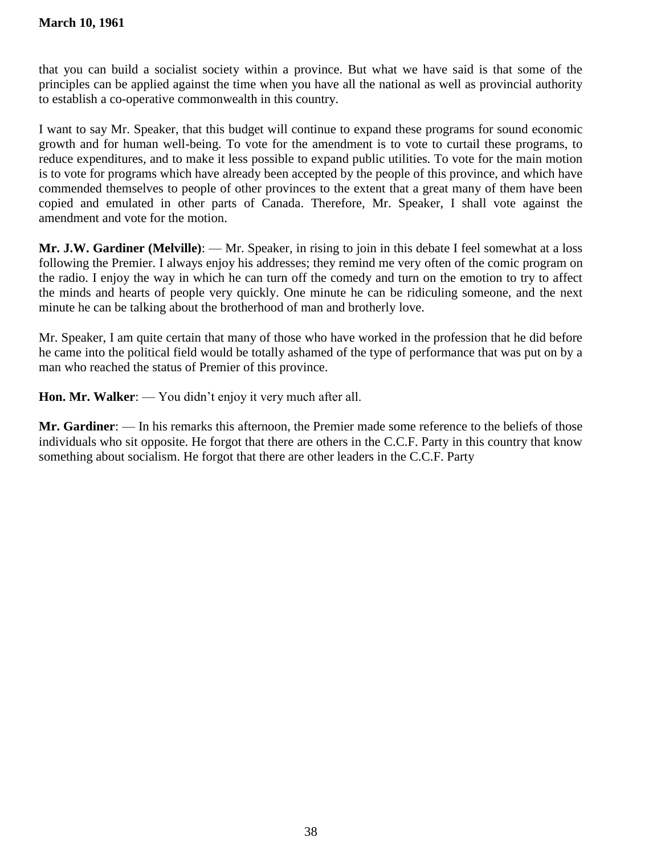that you can build a socialist society within a province. But what we have said is that some of the principles can be applied against the time when you have all the national as well as provincial authority to establish a co-operative commonwealth in this country.

I want to say Mr. Speaker, that this budget will continue to expand these programs for sound economic growth and for human well-being. To vote for the amendment is to vote to curtail these programs, to reduce expenditures, and to make it less possible to expand public utilities. To vote for the main motion is to vote for programs which have already been accepted by the people of this province, and which have commended themselves to people of other provinces to the extent that a great many of them have been copied and emulated in other parts of Canada. Therefore, Mr. Speaker, I shall vote against the amendment and vote for the motion.

**Mr. J.W. Gardiner (Melville)**: — Mr. Speaker, in rising to join in this debate I feel somewhat at a loss following the Premier. I always enjoy his addresses; they remind me very often of the comic program on the radio. I enjoy the way in which he can turn off the comedy and turn on the emotion to try to affect the minds and hearts of people very quickly. One minute he can be ridiculing someone, and the next minute he can be talking about the brotherhood of man and brotherly love.

Mr. Speaker, I am quite certain that many of those who have worked in the profession that he did before he came into the political field would be totally ashamed of the type of performance that was put on by a man who reached the status of Premier of this province.

**Hon. Mr. Walker**: — You didn't enjoy it very much after all.

**Mr. Gardiner**: — In his remarks this afternoon, the Premier made some reference to the beliefs of those individuals who sit opposite. He forgot that there are others in the C.C.F. Party in this country that know something about socialism. He forgot that there are other leaders in the C.C.F. Party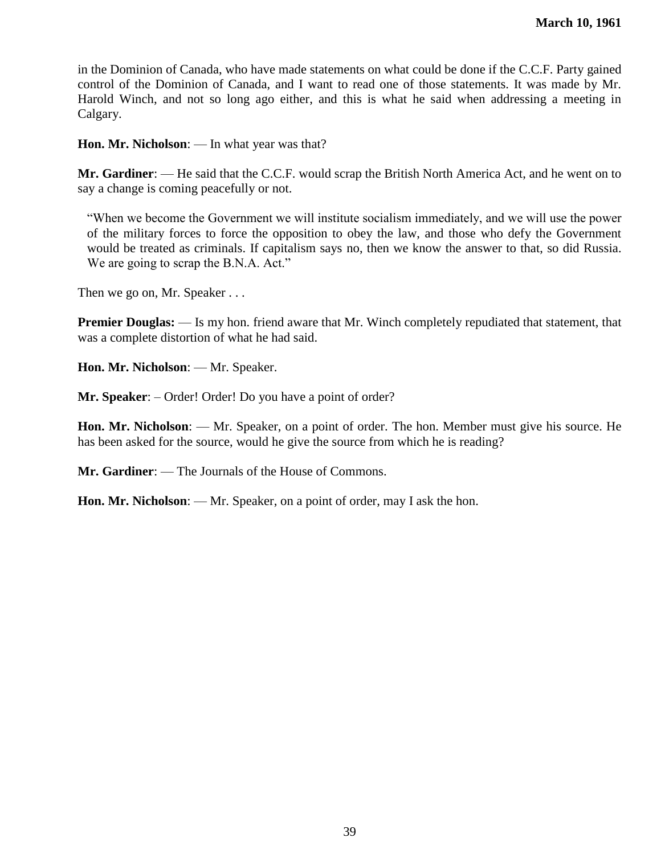in the Dominion of Canada, who have made statements on what could be done if the C.C.F. Party gained control of the Dominion of Canada, and I want to read one of those statements. It was made by Mr. Harold Winch, and not so long ago either, and this is what he said when addressing a meeting in Calgary.

**Hon. Mr. Nicholson**: — In what year was that?

**Mr. Gardiner**: — He said that the C.C.F. would scrap the British North America Act, and he went on to say a change is coming peacefully or not.

―When we become the Government we will institute socialism immediately, and we will use the power of the military forces to force the opposition to obey the law, and those who defy the Government would be treated as criminals. If capitalism says no, then we know the answer to that, so did Russia. We are going to scrap the B.N.A. Act."

Then we go on, Mr. Speaker . . .

**Premier Douglas:** — Is my hon. friend aware that Mr. Winch completely repudiated that statement, that was a complete distortion of what he had said.

**Hon. Mr. Nicholson**: — Mr. Speaker.

**Mr. Speaker**: – Order! Order! Do you have a point of order?

**Hon. Mr. Nicholson**: — Mr. Speaker, on a point of order. The hon. Member must give his source. He has been asked for the source, would he give the source from which he is reading?

**Mr. Gardiner**: — The Journals of the House of Commons.

**Hon. Mr. Nicholson**: — Mr. Speaker, on a point of order, may I ask the hon.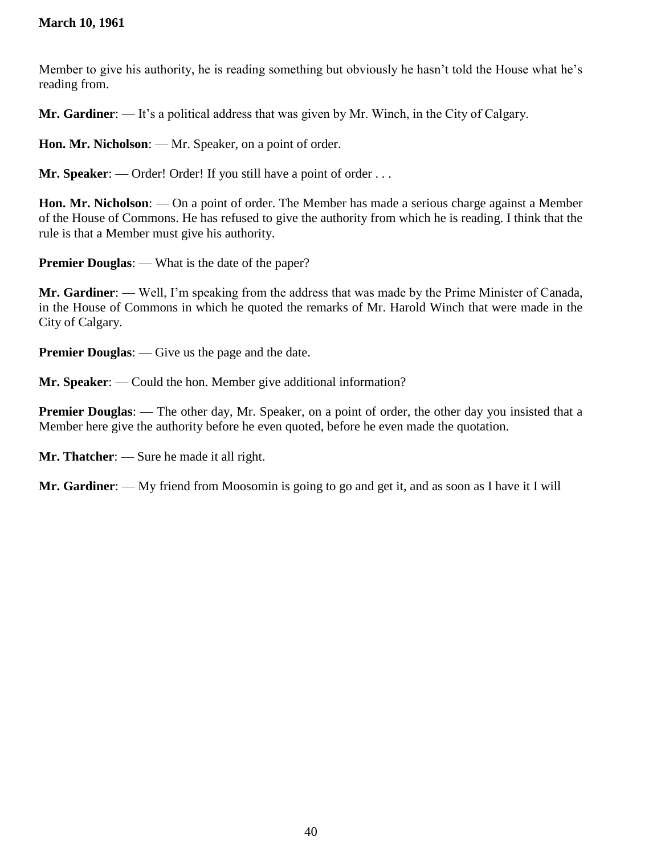# **March 10, 1961**

Member to give his authority, he is reading something but obviously he hasn't told the House what he's reading from.

**Mr. Gardiner**: — It's a political address that was given by Mr. Winch, in the City of Calgary.

**Hon. Mr. Nicholson**: — Mr. Speaker, on a point of order.

**Mr. Speaker:** — Order! Order! If you still have a point of order ...

**Hon. Mr. Nicholson**: — On a point of order. The Member has made a serious charge against a Member of the House of Commons. He has refused to give the authority from which he is reading. I think that the rule is that a Member must give his authority.

**Premier Douglas:** — What is the date of the paper?

**Mr. Gardiner**: — Well, I'm speaking from the address that was made by the Prime Minister of Canada, in the House of Commons in which he quoted the remarks of Mr. Harold Winch that were made in the City of Calgary.

**Premier Douglas:** — Give us the page and the date.

**Mr. Speaker**: — Could the hon. Member give additional information?

**Premier Douglas:** — The other day, Mr. Speaker, on a point of order, the other day you insisted that a Member here give the authority before he even quoted, before he even made the quotation.

**Mr. Thatcher**: — Sure he made it all right.

**Mr. Gardiner**: — My friend from Moosomin is going to go and get it, and as soon as I have it I will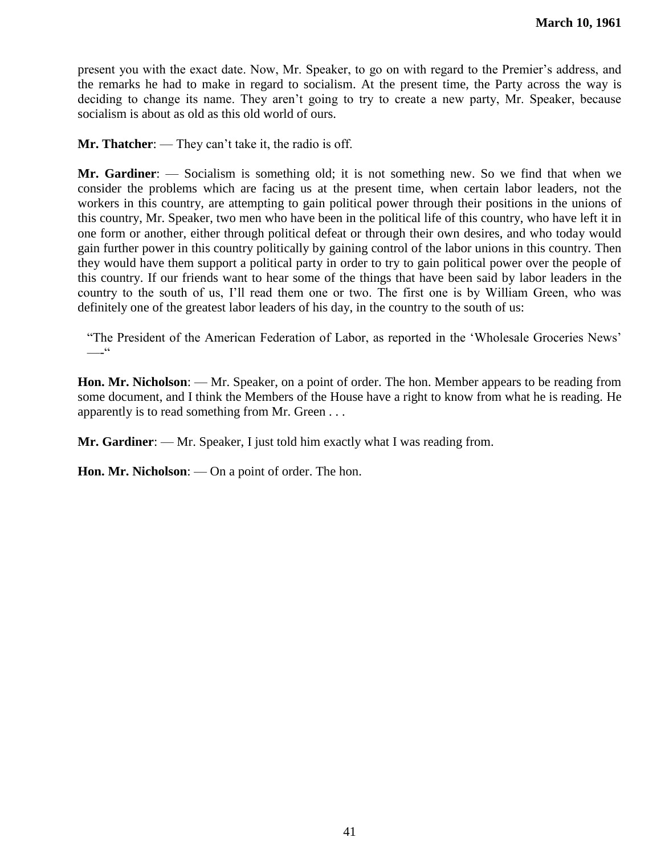present you with the exact date. Now, Mr. Speaker, to go on with regard to the Premier's address, and the remarks he had to make in regard to socialism. At the present time, the Party across the way is deciding to change its name. They aren't going to try to create a new party, Mr. Speaker, because socialism is about as old as this old world of ours.

**Mr. Thatcher**: — They can't take it, the radio is off.

**Mr. Gardiner**: — Socialism is something old; it is not something new. So we find that when we consider the problems which are facing us at the present time, when certain labor leaders, not the workers in this country, are attempting to gain political power through their positions in the unions of this country, Mr. Speaker, two men who have been in the political life of this country, who have left it in one form or another, either through political defeat or through their own desires, and who today would gain further power in this country politically by gaining control of the labor unions in this country. Then they would have them support a political party in order to try to gain political power over the people of this country. If our friends want to hear some of the things that have been said by labor leaders in the country to the south of us, I'll read them one or two. The first one is by William Green, who was definitely one of the greatest labor leaders of his day, in the country to the south of us:

―The President of the American Federation of Labor, as reported in the ‗Wholesale Groceries News'  $-$ - $\frac{c}{c}$ 

**Hon. Mr. Nicholson**: — Mr. Speaker, on a point of order. The hon. Member appears to be reading from some document, and I think the Members of the House have a right to know from what he is reading. He apparently is to read something from Mr. Green . . .

**Mr. Gardiner**: — Mr. Speaker, I just told him exactly what I was reading from.

**Hon. Mr. Nicholson**: — On a point of order. The hon.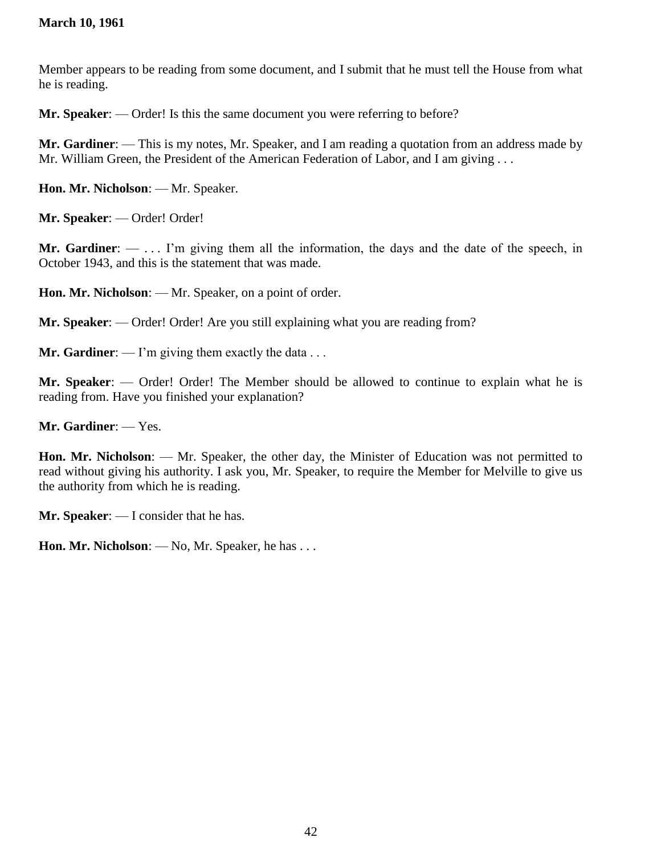# **March 10, 1961**

Member appears to be reading from some document, and I submit that he must tell the House from what he is reading.

**Mr. Speaker**: — Order! Is this the same document you were referring to before?

**Mr. Gardiner**: — This is my notes, Mr. Speaker, and I am reading a quotation from an address made by Mr. William Green, the President of the American Federation of Labor, and I am giving . . .

**Hon. Mr. Nicholson**: — Mr. Speaker.

**Mr. Speaker**: — Order! Order!

**Mr. Gardiner**: — . . . I'm giving them all the information, the days and the date of the speech, in October 1943, and this is the statement that was made.

**Hon. Mr. Nicholson**: — Mr. Speaker, on a point of order.

**Mr. Speaker**: — Order! Order! Are you still explaining what you are reading from?

**Mr. Gardiner:** — I'm giving them exactly the data . . .

**Mr. Speaker**: — Order! Order! The Member should be allowed to continue to explain what he is reading from. Have you finished your explanation?

**Mr. Gardiner**: — Yes.

**Hon. Mr. Nicholson**: — Mr. Speaker, the other day, the Minister of Education was not permitted to read without giving his authority. I ask you, Mr. Speaker, to require the Member for Melville to give us the authority from which he is reading.

**Mr. Speaker**: — I consider that he has.

**Hon. Mr. Nicholson**: — No, Mr. Speaker, he has . . .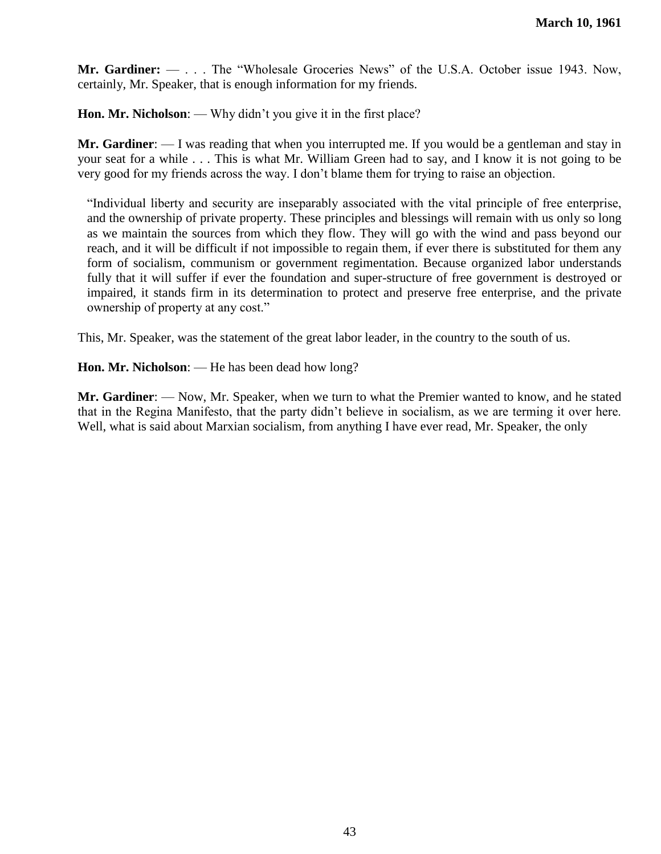**Mr. Gardiner:** — . . . The "Wholesale Groceries News" of the U.S.A. October issue 1943. Now, certainly, Mr. Speaker, that is enough information for my friends.

**Hon. Mr. Nicholson**: — Why didn't you give it in the first place?

**Mr. Gardiner**: — I was reading that when you interrupted me. If you would be a gentleman and stay in your seat for a while . . . This is what Mr. William Green had to say, and I know it is not going to be very good for my friends across the way. I don't blame them for trying to raise an objection.

―Individual liberty and security are inseparably associated with the vital principle of free enterprise, and the ownership of private property. These principles and blessings will remain with us only so long as we maintain the sources from which they flow. They will go with the wind and pass beyond our reach, and it will be difficult if not impossible to regain them, if ever there is substituted for them any form of socialism, communism or government regimentation. Because organized labor understands fully that it will suffer if ever the foundation and super-structure of free government is destroyed or impaired, it stands firm in its determination to protect and preserve free enterprise, and the private ownership of property at any cost."

This, Mr. Speaker, was the statement of the great labor leader, in the country to the south of us.

**Hon. Mr. Nicholson**: — He has been dead how long?

**Mr. Gardiner**: — Now, Mr. Speaker, when we turn to what the Premier wanted to know, and he stated that in the Regina Manifesto, that the party didn't believe in socialism, as we are terming it over here. Well, what is said about Marxian socialism, from anything I have ever read, Mr. Speaker, the only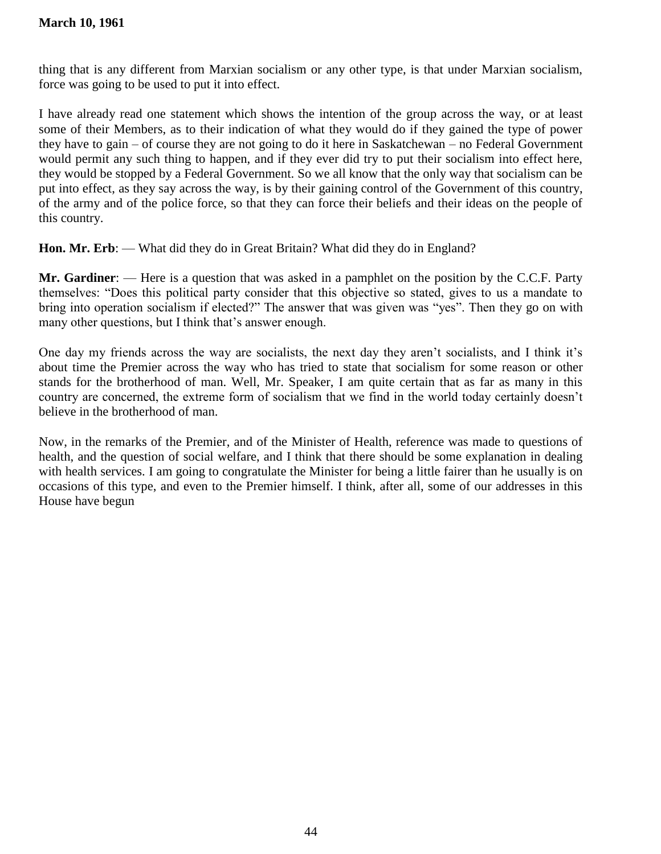thing that is any different from Marxian socialism or any other type, is that under Marxian socialism, force was going to be used to put it into effect.

I have already read one statement which shows the intention of the group across the way, or at least some of their Members, as to their indication of what they would do if they gained the type of power they have to gain – of course they are not going to do it here in Saskatchewan – no Federal Government would permit any such thing to happen, and if they ever did try to put their socialism into effect here, they would be stopped by a Federal Government. So we all know that the only way that socialism can be put into effect, as they say across the way, is by their gaining control of the Government of this country, of the army and of the police force, so that they can force their beliefs and their ideas on the people of this country.

**Hon. Mr. Erb**: — What did they do in Great Britain? What did they do in England?

**Mr. Gardiner**: — Here is a question that was asked in a pamphlet on the position by the C.C.F. Party themselves: ―Does this political party consider that this objective so stated, gives to us a mandate to bring into operation socialism if elected?" The answer that was given was "yes". Then they go on with many other questions, but I think that's answer enough.

One day my friends across the way are socialists, the next day they aren't socialists, and I think it's about time the Premier across the way who has tried to state that socialism for some reason or other stands for the brotherhood of man. Well, Mr. Speaker, I am quite certain that as far as many in this country are concerned, the extreme form of socialism that we find in the world today certainly doesn't believe in the brotherhood of man.

Now, in the remarks of the Premier, and of the Minister of Health, reference was made to questions of health, and the question of social welfare, and I think that there should be some explanation in dealing with health services. I am going to congratulate the Minister for being a little fairer than he usually is on occasions of this type, and even to the Premier himself. I think, after all, some of our addresses in this House have begun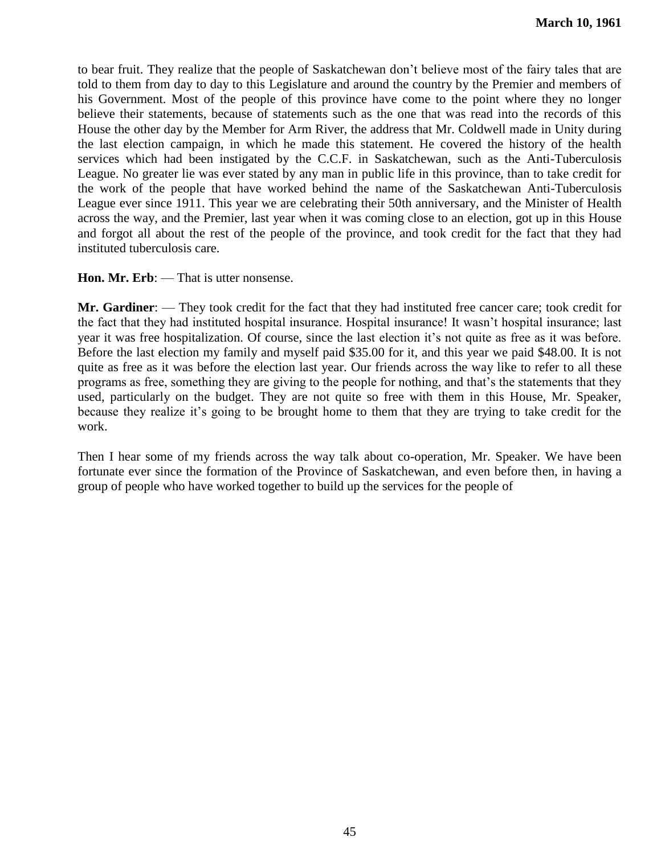to bear fruit. They realize that the people of Saskatchewan don't believe most of the fairy tales that are told to them from day to day to this Legislature and around the country by the Premier and members of his Government. Most of the people of this province have come to the point where they no longer believe their statements, because of statements such as the one that was read into the records of this House the other day by the Member for Arm River, the address that Mr. Coldwell made in Unity during the last election campaign, in which he made this statement. He covered the history of the health services which had been instigated by the C.C.F. in Saskatchewan, such as the Anti-Tuberculosis League. No greater lie was ever stated by any man in public life in this province, than to take credit for the work of the people that have worked behind the name of the Saskatchewan Anti-Tuberculosis League ever since 1911. This year we are celebrating their 50th anniversary, and the Minister of Health across the way, and the Premier, last year when it was coming close to an election, got up in this House and forgot all about the rest of the people of the province, and took credit for the fact that they had instituted tuberculosis care.

#### **Hon. Mr. Erb:** — That is utter nonsense.

**Mr. Gardiner**: — They took credit for the fact that they had instituted free cancer care; took credit for the fact that they had instituted hospital insurance. Hospital insurance! It wasn't hospital insurance; last year it was free hospitalization. Of course, since the last election it's not quite as free as it was before. Before the last election my family and myself paid \$35.00 for it, and this year we paid \$48.00. It is not quite as free as it was before the election last year. Our friends across the way like to refer to all these programs as free, something they are giving to the people for nothing, and that's the statements that they used, particularly on the budget. They are not quite so free with them in this House, Mr. Speaker, because they realize it's going to be brought home to them that they are trying to take credit for the work.

Then I hear some of my friends across the way talk about co-operation, Mr. Speaker. We have been fortunate ever since the formation of the Province of Saskatchewan, and even before then, in having a group of people who have worked together to build up the services for the people of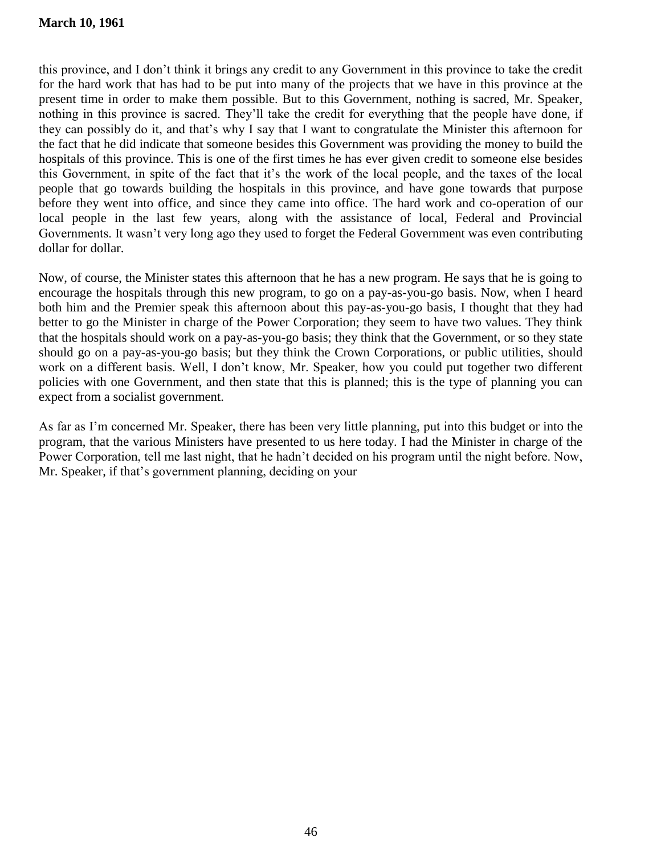## **March 10, 1961**

this province, and I don't think it brings any credit to any Government in this province to take the credit for the hard work that has had to be put into many of the projects that we have in this province at the present time in order to make them possible. But to this Government, nothing is sacred, Mr. Speaker, nothing in this province is sacred. They'll take the credit for everything that the people have done, if they can possibly do it, and that's why I say that I want to congratulate the Minister this afternoon for the fact that he did indicate that someone besides this Government was providing the money to build the hospitals of this province. This is one of the first times he has ever given credit to someone else besides this Government, in spite of the fact that it's the work of the local people, and the taxes of the local people that go towards building the hospitals in this province, and have gone towards that purpose before they went into office, and since they came into office. The hard work and co-operation of our local people in the last few years, along with the assistance of local, Federal and Provincial Governments. It wasn't very long ago they used to forget the Federal Government was even contributing dollar for dollar.

Now, of course, the Minister states this afternoon that he has a new program. He says that he is going to encourage the hospitals through this new program, to go on a pay-as-you-go basis. Now, when I heard both him and the Premier speak this afternoon about this pay-as-you-go basis, I thought that they had better to go the Minister in charge of the Power Corporation; they seem to have two values. They think that the hospitals should work on a pay-as-you-go basis; they think that the Government, or so they state should go on a pay-as-you-go basis; but they think the Crown Corporations, or public utilities, should work on a different basis. Well, I don't know, Mr. Speaker, how you could put together two different policies with one Government, and then state that this is planned; this is the type of planning you can expect from a socialist government.

As far as I'm concerned Mr. Speaker, there has been very little planning, put into this budget or into the program, that the various Ministers have presented to us here today. I had the Minister in charge of the Power Corporation, tell me last night, that he hadn't decided on his program until the night before. Now, Mr. Speaker, if that's government planning, deciding on your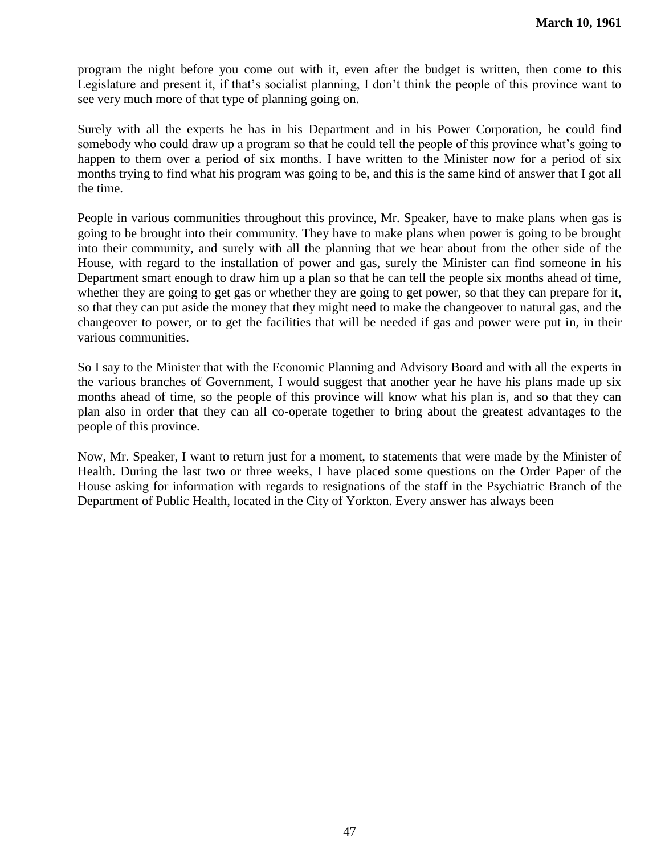program the night before you come out with it, even after the budget is written, then come to this Legislature and present it, if that's socialist planning, I don't think the people of this province want to see very much more of that type of planning going on.

Surely with all the experts he has in his Department and in his Power Corporation, he could find somebody who could draw up a program so that he could tell the people of this province what's going to happen to them over a period of six months. I have written to the Minister now for a period of six months trying to find what his program was going to be, and this is the same kind of answer that I got all the time.

People in various communities throughout this province, Mr. Speaker, have to make plans when gas is going to be brought into their community. They have to make plans when power is going to be brought into their community, and surely with all the planning that we hear about from the other side of the House, with regard to the installation of power and gas, surely the Minister can find someone in his Department smart enough to draw him up a plan so that he can tell the people six months ahead of time, whether they are going to get gas or whether they are going to get power, so that they can prepare for it, so that they can put aside the money that they might need to make the changeover to natural gas, and the changeover to power, or to get the facilities that will be needed if gas and power were put in, in their various communities.

So I say to the Minister that with the Economic Planning and Advisory Board and with all the experts in the various branches of Government, I would suggest that another year he have his plans made up six months ahead of time, so the people of this province will know what his plan is, and so that they can plan also in order that they can all co-operate together to bring about the greatest advantages to the people of this province.

Now, Mr. Speaker, I want to return just for a moment, to statements that were made by the Minister of Health. During the last two or three weeks, I have placed some questions on the Order Paper of the House asking for information with regards to resignations of the staff in the Psychiatric Branch of the Department of Public Health, located in the City of Yorkton. Every answer has always been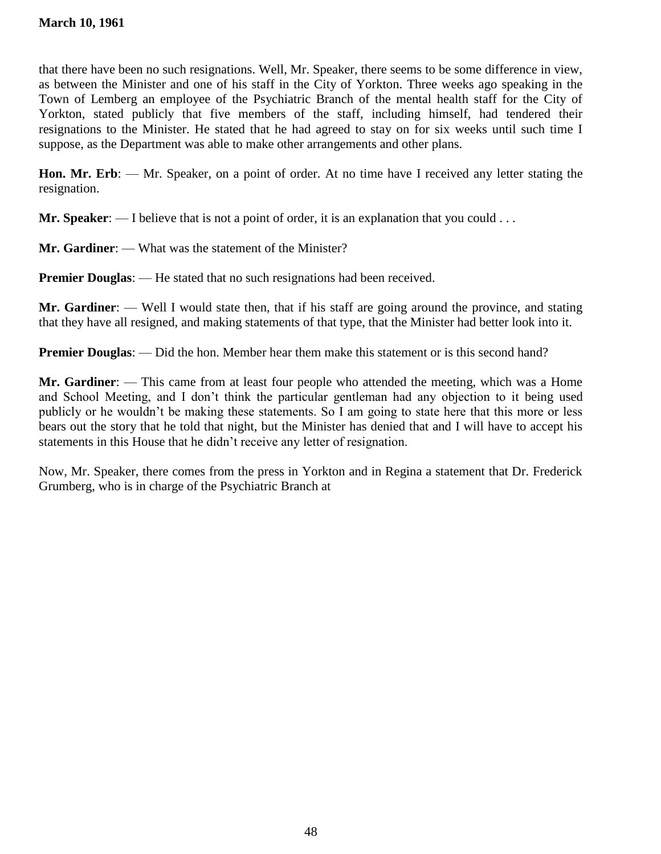that there have been no such resignations. Well, Mr. Speaker, there seems to be some difference in view, as between the Minister and one of his staff in the City of Yorkton. Three weeks ago speaking in the Town of Lemberg an employee of the Psychiatric Branch of the mental health staff for the City of Yorkton, stated publicly that five members of the staff, including himself, had tendered their resignations to the Minister. He stated that he had agreed to stay on for six weeks until such time I suppose, as the Department was able to make other arrangements and other plans.

**Hon. Mr. Erb**: — Mr. Speaker, on a point of order. At no time have I received any letter stating the resignation.

**Mr. Speaker:** — I believe that is not a point of order, it is an explanation that you could . . .

**Mr. Gardiner:** — What was the statement of the Minister?

**Premier Douglas:** — He stated that no such resignations had been received.

**Mr. Gardiner**: — Well I would state then, that if his staff are going around the province, and stating that they have all resigned, and making statements of that type, that the Minister had better look into it.

**Premier Douglas:** — Did the hon. Member hear them make this statement or is this second hand?

**Mr. Gardiner**: — This came from at least four people who attended the meeting, which was a Home and School Meeting, and I don't think the particular gentleman had any objection to it being used publicly or he wouldn't be making these statements. So I am going to state here that this more or less bears out the story that he told that night, but the Minister has denied that and I will have to accept his statements in this House that he didn't receive any letter of resignation.

Now, Mr. Speaker, there comes from the press in Yorkton and in Regina a statement that Dr. Frederick Grumberg, who is in charge of the Psychiatric Branch at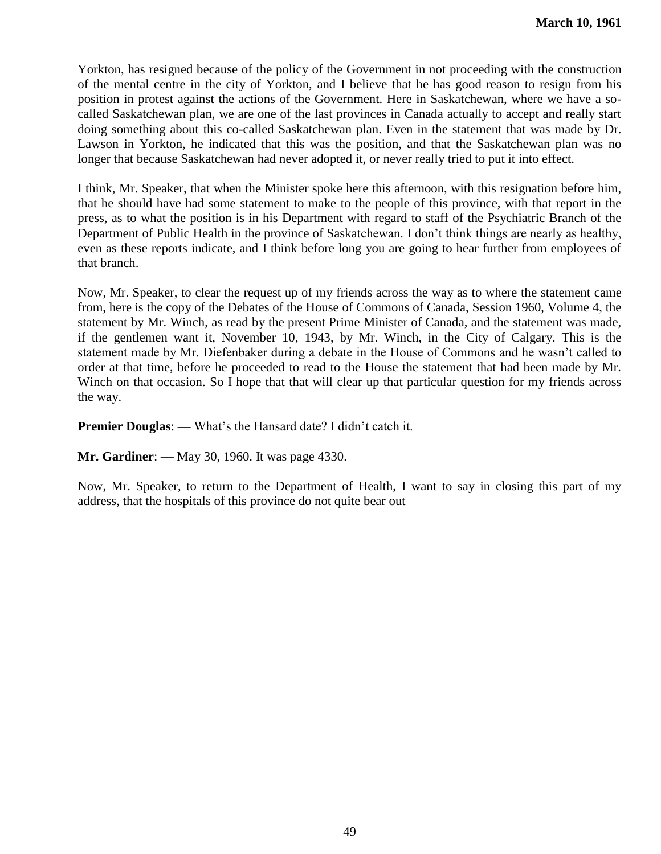Yorkton, has resigned because of the policy of the Government in not proceeding with the construction of the mental centre in the city of Yorkton, and I believe that he has good reason to resign from his position in protest against the actions of the Government. Here in Saskatchewan, where we have a socalled Saskatchewan plan, we are one of the last provinces in Canada actually to accept and really start doing something about this co-called Saskatchewan plan. Even in the statement that was made by Dr. Lawson in Yorkton, he indicated that this was the position, and that the Saskatchewan plan was no longer that because Saskatchewan had never adopted it, or never really tried to put it into effect.

I think, Mr. Speaker, that when the Minister spoke here this afternoon, with this resignation before him, that he should have had some statement to make to the people of this province, with that report in the press, as to what the position is in his Department with regard to staff of the Psychiatric Branch of the Department of Public Health in the province of Saskatchewan. I don't think things are nearly as healthy, even as these reports indicate, and I think before long you are going to hear further from employees of that branch.

Now, Mr. Speaker, to clear the request up of my friends across the way as to where the statement came from, here is the copy of the Debates of the House of Commons of Canada, Session 1960, Volume 4, the statement by Mr. Winch, as read by the present Prime Minister of Canada, and the statement was made, if the gentlemen want it, November 10, 1943, by Mr. Winch, in the City of Calgary. This is the statement made by Mr. Diefenbaker during a debate in the House of Commons and he wasn't called to order at that time, before he proceeded to read to the House the statement that had been made by Mr. Winch on that occasion. So I hope that that will clear up that particular question for my friends across the way.

**Premier Douglas**: — What's the Hansard date? I didn't catch it.

**Mr. Gardiner**: — May 30, 1960. It was page 4330.

Now, Mr. Speaker, to return to the Department of Health, I want to say in closing this part of my address, that the hospitals of this province do not quite bear out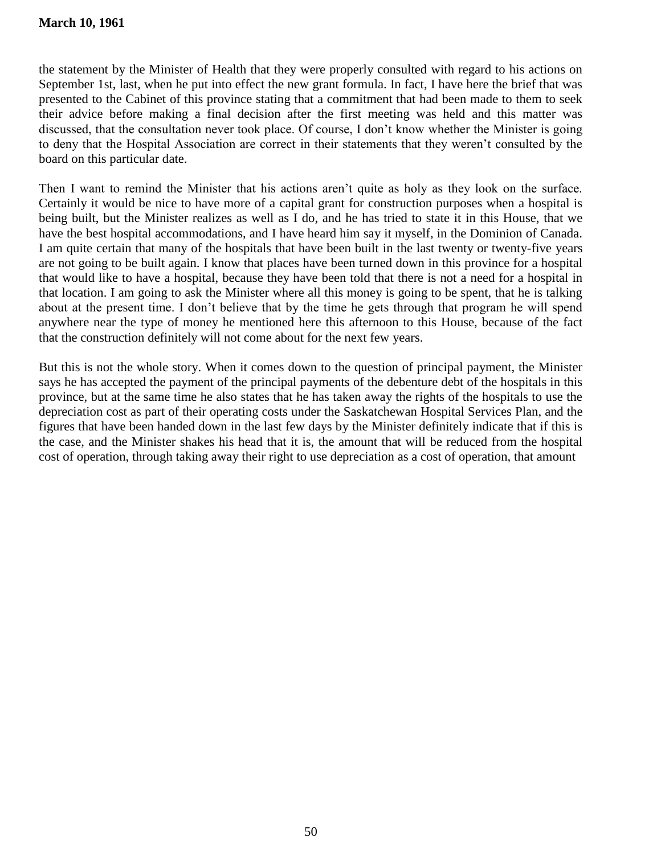the statement by the Minister of Health that they were properly consulted with regard to his actions on September 1st, last, when he put into effect the new grant formula. In fact, I have here the brief that was presented to the Cabinet of this province stating that a commitment that had been made to them to seek their advice before making a final decision after the first meeting was held and this matter was discussed, that the consultation never took place. Of course, I don't know whether the Minister is going to deny that the Hospital Association are correct in their statements that they weren't consulted by the board on this particular date.

Then I want to remind the Minister that his actions aren't quite as holy as they look on the surface. Certainly it would be nice to have more of a capital grant for construction purposes when a hospital is being built, but the Minister realizes as well as I do, and he has tried to state it in this House, that we have the best hospital accommodations, and I have heard him say it myself, in the Dominion of Canada. I am quite certain that many of the hospitals that have been built in the last twenty or twenty-five years are not going to be built again. I know that places have been turned down in this province for a hospital that would like to have a hospital, because they have been told that there is not a need for a hospital in that location. I am going to ask the Minister where all this money is going to be spent, that he is talking about at the present time. I don't believe that by the time he gets through that program he will spend anywhere near the type of money he mentioned here this afternoon to this House, because of the fact that the construction definitely will not come about for the next few years.

But this is not the whole story. When it comes down to the question of principal payment, the Minister says he has accepted the payment of the principal payments of the debenture debt of the hospitals in this province, but at the same time he also states that he has taken away the rights of the hospitals to use the depreciation cost as part of their operating costs under the Saskatchewan Hospital Services Plan, and the figures that have been handed down in the last few days by the Minister definitely indicate that if this is the case, and the Minister shakes his head that it is, the amount that will be reduced from the hospital cost of operation, through taking away their right to use depreciation as a cost of operation, that amount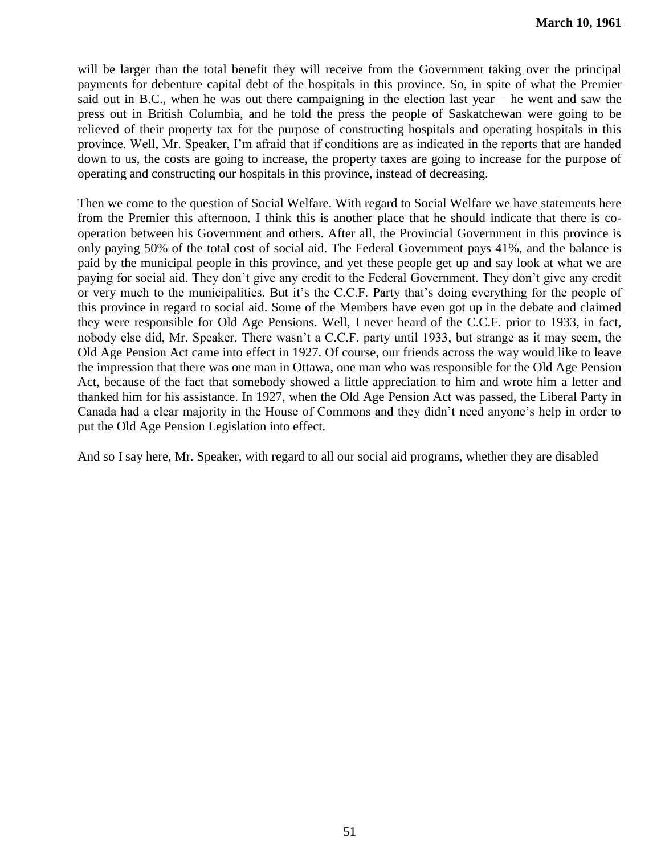will be larger than the total benefit they will receive from the Government taking over the principal payments for debenture capital debt of the hospitals in this province. So, in spite of what the Premier said out in B.C., when he was out there campaigning in the election last year – he went and saw the press out in British Columbia, and he told the press the people of Saskatchewan were going to be relieved of their property tax for the purpose of constructing hospitals and operating hospitals in this province. Well, Mr. Speaker, I'm afraid that if conditions are as indicated in the reports that are handed down to us, the costs are going to increase, the property taxes are going to increase for the purpose of operating and constructing our hospitals in this province, instead of decreasing.

Then we come to the question of Social Welfare. With regard to Social Welfare we have statements here from the Premier this afternoon. I think this is another place that he should indicate that there is cooperation between his Government and others. After all, the Provincial Government in this province is only paying 50% of the total cost of social aid. The Federal Government pays 41%, and the balance is paid by the municipal people in this province, and yet these people get up and say look at what we are paying for social aid. They don't give any credit to the Federal Government. They don't give any credit or very much to the municipalities. But it's the C.C.F. Party that's doing everything for the people of this province in regard to social aid. Some of the Members have even got up in the debate and claimed they were responsible for Old Age Pensions. Well, I never heard of the C.C.F. prior to 1933, in fact, nobody else did, Mr. Speaker. There wasn't a C.C.F. party until 1933, but strange as it may seem, the Old Age Pension Act came into effect in 1927. Of course, our friends across the way would like to leave the impression that there was one man in Ottawa, one man who was responsible for the Old Age Pension Act, because of the fact that somebody showed a little appreciation to him and wrote him a letter and thanked him for his assistance. In 1927, when the Old Age Pension Act was passed, the Liberal Party in Canada had a clear majority in the House of Commons and they didn't need anyone's help in order to put the Old Age Pension Legislation into effect.

And so I say here, Mr. Speaker, with regard to all our social aid programs, whether they are disabled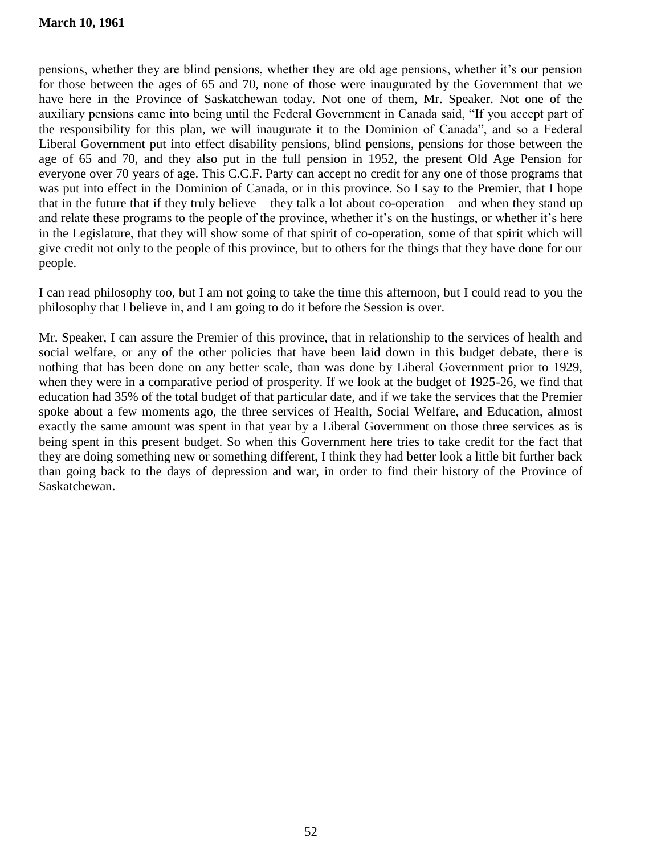pensions, whether they are blind pensions, whether they are old age pensions, whether it's our pension for those between the ages of 65 and 70, none of those were inaugurated by the Government that we have here in the Province of Saskatchewan today. Not one of them, Mr. Speaker. Not one of the auxiliary pensions came into being until the Federal Government in Canada said, "If you accept part of the responsibility for this plan, we will inaugurate it to the Dominion of Canada", and so a Federal Liberal Government put into effect disability pensions, blind pensions, pensions for those between the age of 65 and 70, and they also put in the full pension in 1952, the present Old Age Pension for everyone over 70 years of age. This C.C.F. Party can accept no credit for any one of those programs that was put into effect in the Dominion of Canada, or in this province. So I say to the Premier, that I hope that in the future that if they truly believe – they talk a lot about co-operation – and when they stand up and relate these programs to the people of the province, whether it's on the hustings, or whether it's here in the Legislature, that they will show some of that spirit of co-operation, some of that spirit which will give credit not only to the people of this province, but to others for the things that they have done for our people.

I can read philosophy too, but I am not going to take the time this afternoon, but I could read to you the philosophy that I believe in, and I am going to do it before the Session is over.

Mr. Speaker, I can assure the Premier of this province, that in relationship to the services of health and social welfare, or any of the other policies that have been laid down in this budget debate, there is nothing that has been done on any better scale, than was done by Liberal Government prior to 1929, when they were in a comparative period of prosperity. If we look at the budget of 1925-26, we find that education had 35% of the total budget of that particular date, and if we take the services that the Premier spoke about a few moments ago, the three services of Health, Social Welfare, and Education, almost exactly the same amount was spent in that year by a Liberal Government on those three services as is being spent in this present budget. So when this Government here tries to take credit for the fact that they are doing something new or something different, I think they had better look a little bit further back than going back to the days of depression and war, in order to find their history of the Province of Saskatchewan.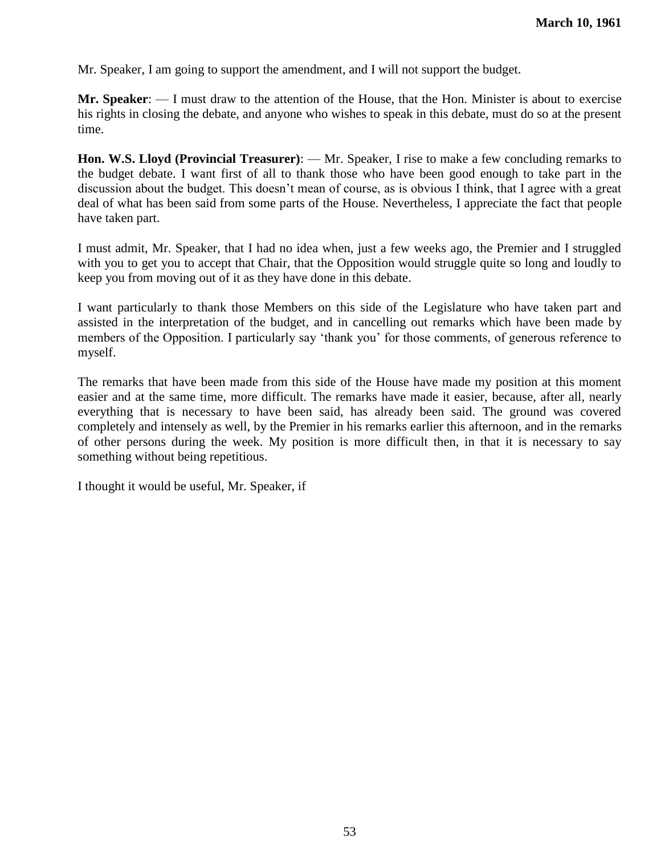Mr. Speaker, I am going to support the amendment, and I will not support the budget.

**Mr. Speaker**: — I must draw to the attention of the House, that the Hon. Minister is about to exercise his rights in closing the debate, and anyone who wishes to speak in this debate, must do so at the present time.

**Hon. W.S. Lloyd (Provincial Treasurer)**: — Mr. Speaker, I rise to make a few concluding remarks to the budget debate. I want first of all to thank those who have been good enough to take part in the discussion about the budget. This doesn't mean of course, as is obvious I think, that I agree with a great deal of what has been said from some parts of the House. Nevertheless, I appreciate the fact that people have taken part.

I must admit, Mr. Speaker, that I had no idea when, just a few weeks ago, the Premier and I struggled with you to get you to accept that Chair, that the Opposition would struggle quite so long and loudly to keep you from moving out of it as they have done in this debate.

I want particularly to thank those Members on this side of the Legislature who have taken part and assisted in the interpretation of the budget, and in cancelling out remarks which have been made by members of the Opposition. I particularly say 'thank you' for those comments, of generous reference to myself.

The remarks that have been made from this side of the House have made my position at this moment easier and at the same time, more difficult. The remarks have made it easier, because, after all, nearly everything that is necessary to have been said, has already been said. The ground was covered completely and intensely as well, by the Premier in his remarks earlier this afternoon, and in the remarks of other persons during the week. My position is more difficult then, in that it is necessary to say something without being repetitious.

I thought it would be useful, Mr. Speaker, if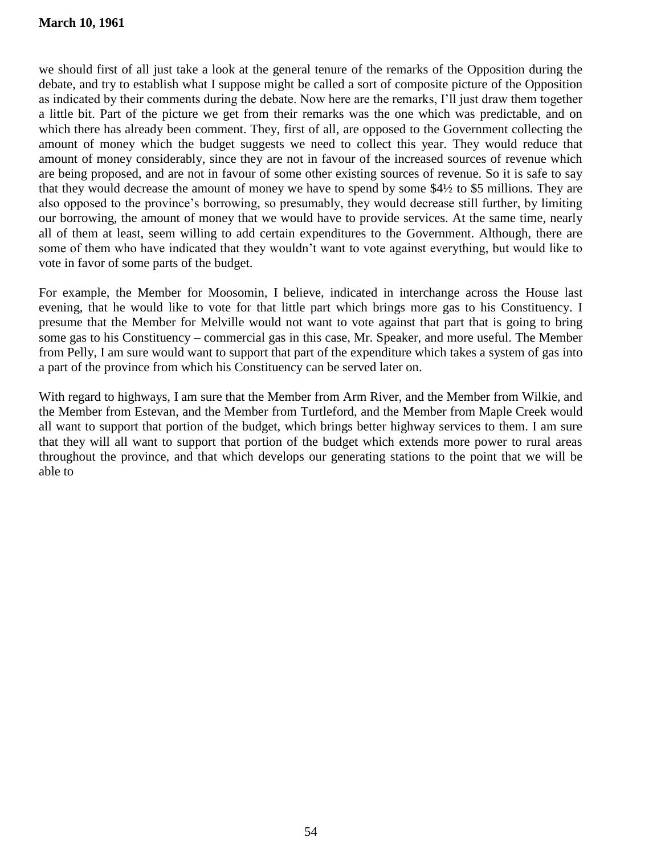# **March 10, 1961**

we should first of all just take a look at the general tenure of the remarks of the Opposition during the debate, and try to establish what I suppose might be called a sort of composite picture of the Opposition as indicated by their comments during the debate. Now here are the remarks, I'll just draw them together a little bit. Part of the picture we get from their remarks was the one which was predictable, and on which there has already been comment. They, first of all, are opposed to the Government collecting the amount of money which the budget suggests we need to collect this year. They would reduce that amount of money considerably, since they are not in favour of the increased sources of revenue which are being proposed, and are not in favour of some other existing sources of revenue. So it is safe to say that they would decrease the amount of money we have to spend by some \$4½ to \$5 millions. They are also opposed to the province's borrowing, so presumably, they would decrease still further, by limiting our borrowing, the amount of money that we would have to provide services. At the same time, nearly all of them at least, seem willing to add certain expenditures to the Government. Although, there are some of them who have indicated that they wouldn't want to vote against everything, but would like to vote in favor of some parts of the budget.

For example, the Member for Moosomin, I believe, indicated in interchange across the House last evening, that he would like to vote for that little part which brings more gas to his Constituency. I presume that the Member for Melville would not want to vote against that part that is going to bring some gas to his Constituency – commercial gas in this case, Mr. Speaker, and more useful. The Member from Pelly, I am sure would want to support that part of the expenditure which takes a system of gas into a part of the province from which his Constituency can be served later on.

With regard to highways, I am sure that the Member from Arm River, and the Member from Wilkie, and the Member from Estevan, and the Member from Turtleford, and the Member from Maple Creek would all want to support that portion of the budget, which brings better highway services to them. I am sure that they will all want to support that portion of the budget which extends more power to rural areas throughout the province, and that which develops our generating stations to the point that we will be able to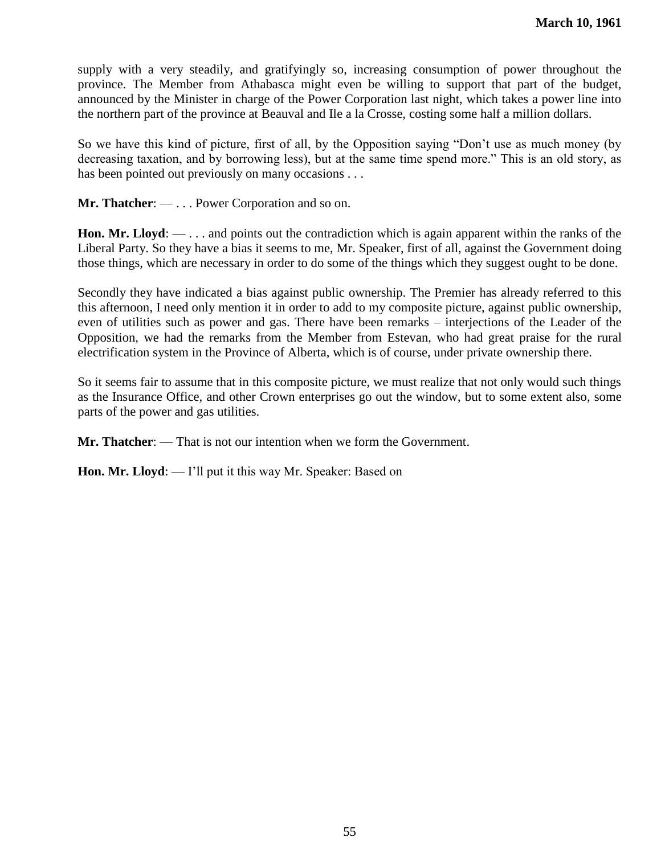supply with a very steadily, and gratifyingly so, increasing consumption of power throughout the province. The Member from Athabasca might even be willing to support that part of the budget, announced by the Minister in charge of the Power Corporation last night, which takes a power line into the northern part of the province at Beauval and Ile a la Crosse, costing some half a million dollars.

So we have this kind of picture, first of all, by the Opposition saying "Don't use as much money (by decreasing taxation, and by borrowing less), but at the same time spend more." This is an old story, as has been pointed out previously on many occasions . . .

**Mr. Thatcher**: — . . . Power Corporation and so on.

**Hon. Mr. Lloyd**: — . . . and points out the contradiction which is again apparent within the ranks of the Liberal Party. So they have a bias it seems to me, Mr. Speaker, first of all, against the Government doing those things, which are necessary in order to do some of the things which they suggest ought to be done.

Secondly they have indicated a bias against public ownership. The Premier has already referred to this this afternoon, I need only mention it in order to add to my composite picture, against public ownership, even of utilities such as power and gas. There have been remarks – interjections of the Leader of the Opposition, we had the remarks from the Member from Estevan, who had great praise for the rural electrification system in the Province of Alberta, which is of course, under private ownership there.

So it seems fair to assume that in this composite picture, we must realize that not only would such things as the Insurance Office, and other Crown enterprises go out the window, but to some extent also, some parts of the power and gas utilities.

**Mr. Thatcher**: — That is not our intention when we form the Government.

**Hon. Mr. Lloyd:** — I'll put it this way Mr. Speaker: Based on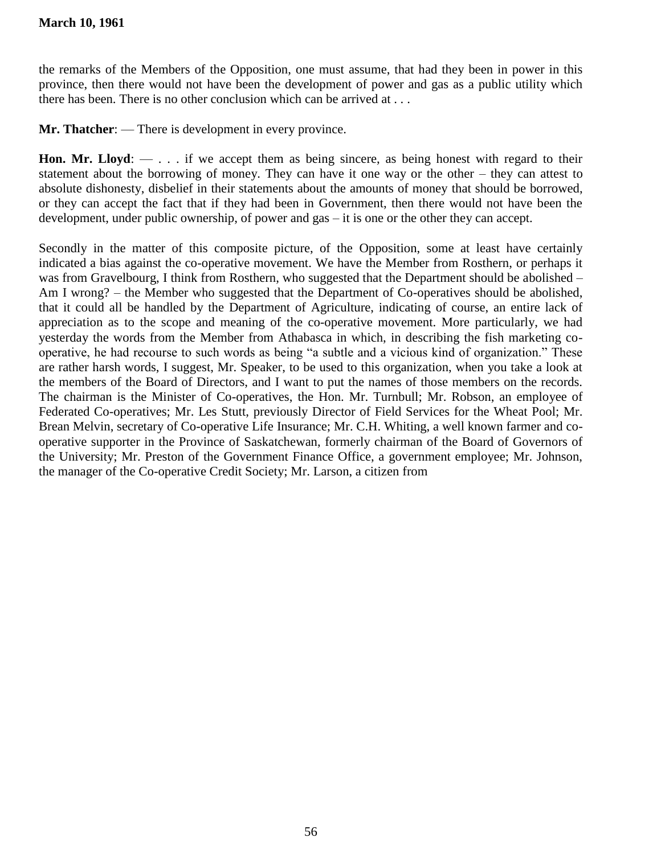the remarks of the Members of the Opposition, one must assume, that had they been in power in this province, then there would not have been the development of power and gas as a public utility which there has been. There is no other conclusion which can be arrived at . . .

**Mr. Thatcher**: — There is development in every province.

**Hon. Mr. Lloyd:**  $\cdots$  if we accept them as being sincere, as being honest with regard to their statement about the borrowing of money. They can have it one way or the other – they can attest to absolute dishonesty, disbelief in their statements about the amounts of money that should be borrowed, or they can accept the fact that if they had been in Government, then there would not have been the development, under public ownership, of power and gas – it is one or the other they can accept.

Secondly in the matter of this composite picture, of the Opposition, some at least have certainly indicated a bias against the co-operative movement. We have the Member from Rosthern, or perhaps it was from Gravelbourg, I think from Rosthern, who suggested that the Department should be abolished – Am I wrong? – the Member who suggested that the Department of Co-operatives should be abolished, that it could all be handled by the Department of Agriculture, indicating of course, an entire lack of appreciation as to the scope and meaning of the co-operative movement. More particularly, we had yesterday the words from the Member from Athabasca in which, in describing the fish marketing cooperative, he had recourse to such words as being "a subtle and a vicious kind of organization." These are rather harsh words, I suggest, Mr. Speaker, to be used to this organization, when you take a look at the members of the Board of Directors, and I want to put the names of those members on the records. The chairman is the Minister of Co-operatives, the Hon. Mr. Turnbull; Mr. Robson, an employee of Federated Co-operatives; Mr. Les Stutt, previously Director of Field Services for the Wheat Pool; Mr. Brean Melvin, secretary of Co-operative Life Insurance; Mr. C.H. Whiting, a well known farmer and cooperative supporter in the Province of Saskatchewan, formerly chairman of the Board of Governors of the University; Mr. Preston of the Government Finance Office, a government employee; Mr. Johnson, the manager of the Co-operative Credit Society; Mr. Larson, a citizen from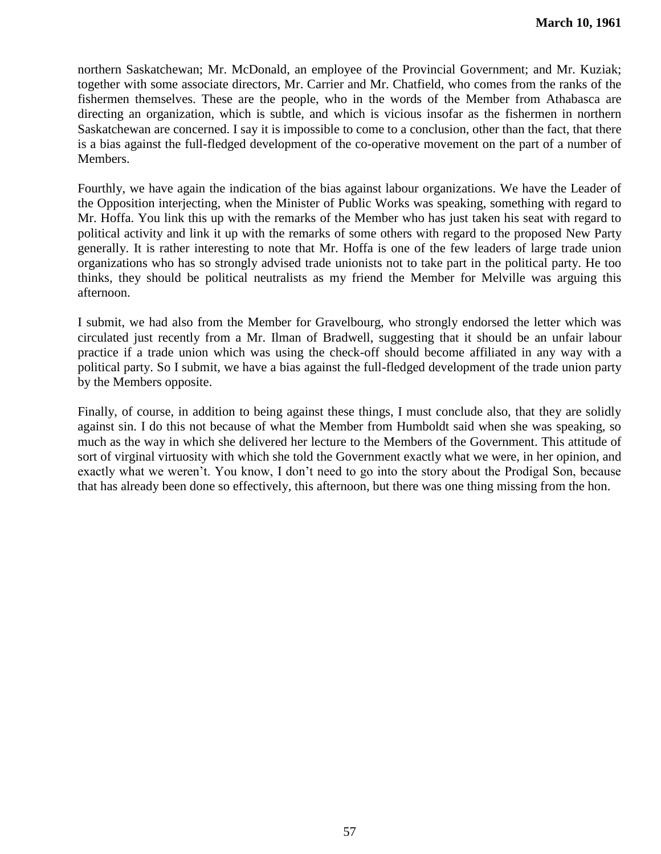northern Saskatchewan; Mr. McDonald, an employee of the Provincial Government; and Mr. Kuziak; together with some associate directors, Mr. Carrier and Mr. Chatfield, who comes from the ranks of the fishermen themselves. These are the people, who in the words of the Member from Athabasca are directing an organization, which is subtle, and which is vicious insofar as the fishermen in northern Saskatchewan are concerned. I say it is impossible to come to a conclusion, other than the fact, that there is a bias against the full-fledged development of the co-operative movement on the part of a number of Members.

Fourthly, we have again the indication of the bias against labour organizations. We have the Leader of the Opposition interjecting, when the Minister of Public Works was speaking, something with regard to Mr. Hoffa. You link this up with the remarks of the Member who has just taken his seat with regard to political activity and link it up with the remarks of some others with regard to the proposed New Party generally. It is rather interesting to note that Mr. Hoffa is one of the few leaders of large trade union organizations who has so strongly advised trade unionists not to take part in the political party. He too thinks, they should be political neutralists as my friend the Member for Melville was arguing this afternoon.

I submit, we had also from the Member for Gravelbourg, who strongly endorsed the letter which was circulated just recently from a Mr. Ilman of Bradwell, suggesting that it should be an unfair labour practice if a trade union which was using the check-off should become affiliated in any way with a political party. So I submit, we have a bias against the full-fledged development of the trade union party by the Members opposite.

Finally, of course, in addition to being against these things, I must conclude also, that they are solidly against sin. I do this not because of what the Member from Humboldt said when she was speaking, so much as the way in which she delivered her lecture to the Members of the Government. This attitude of sort of virginal virtuosity with which she told the Government exactly what we were, in her opinion, and exactly what we weren't. You know, I don't need to go into the story about the Prodigal Son, because that has already been done so effectively, this afternoon, but there was one thing missing from the hon.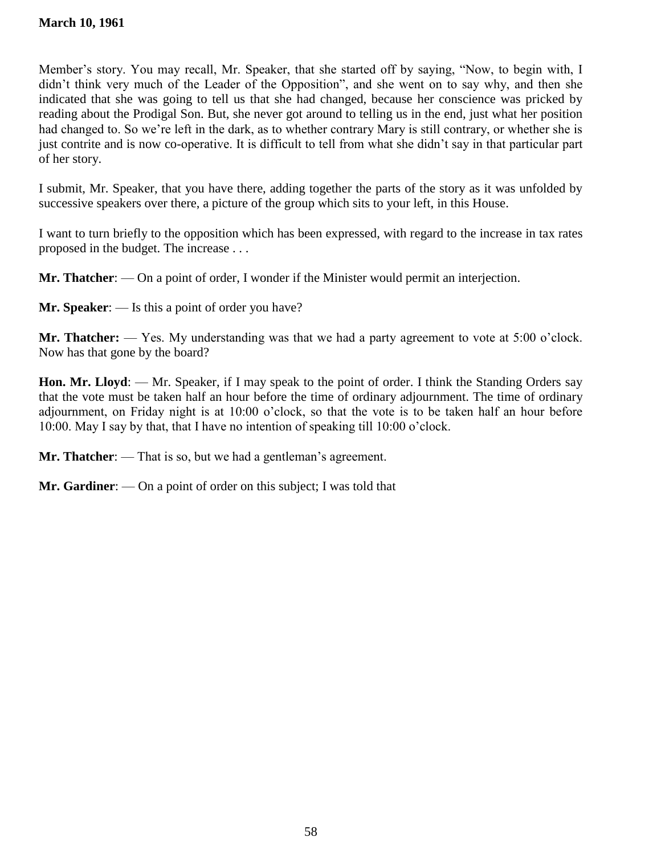Member's story. You may recall, Mr. Speaker, that she started off by saying, "Now, to begin with, I didn't think very much of the Leader of the Opposition", and she went on to say why, and then she indicated that she was going to tell us that she had changed, because her conscience was pricked by reading about the Prodigal Son. But, she never got around to telling us in the end, just what her position had changed to. So we're left in the dark, as to whether contrary Mary is still contrary, or whether she is just contrite and is now co-operative. It is difficult to tell from what she didn't say in that particular part of her story.

I submit, Mr. Speaker, that you have there, adding together the parts of the story as it was unfolded by successive speakers over there, a picture of the group which sits to your left, in this House.

I want to turn briefly to the opposition which has been expressed, with regard to the increase in tax rates proposed in the budget. The increase . . .

**Mr. Thatcher**: — On a point of order, I wonder if the Minister would permit an interjection.

**Mr. Speaker**: — Is this a point of order you have?

**Mr. Thatcher:** — Yes. My understanding was that we had a party agreement to vote at 5:00 o'clock. Now has that gone by the board?

**Hon. Mr. Lloyd**: — Mr. Speaker, if I may speak to the point of order. I think the Standing Orders say that the vote must be taken half an hour before the time of ordinary adjournment. The time of ordinary adjournment, on Friday night is at 10:00 o'clock, so that the vote is to be taken half an hour before 10:00. May I say by that, that I have no intention of speaking till 10:00 o'clock.

**Mr. Thatcher**: — That is so, but we had a gentleman's agreement.

**Mr. Gardiner**: — On a point of order on this subject; I was told that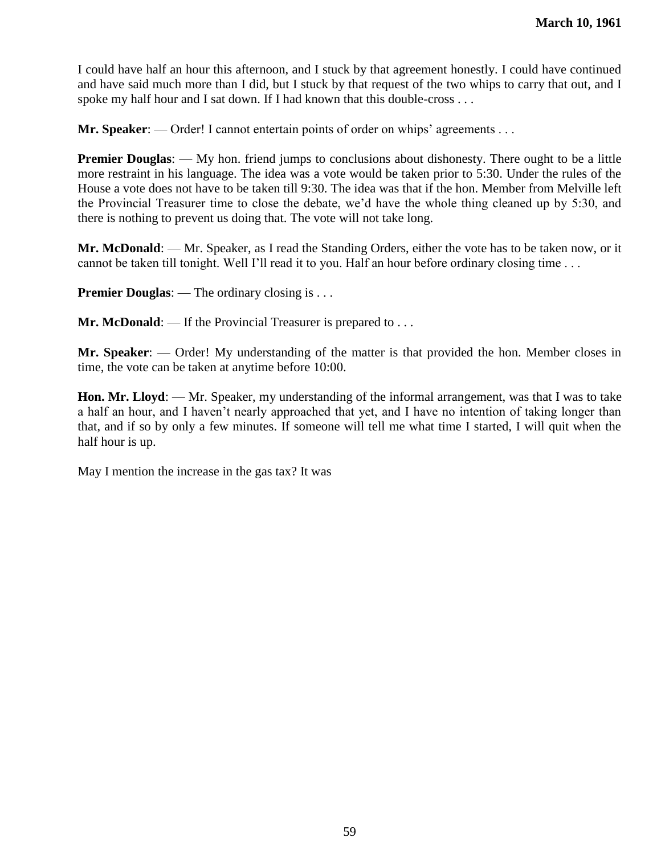I could have half an hour this afternoon, and I stuck by that agreement honestly. I could have continued and have said much more than I did, but I stuck by that request of the two whips to carry that out, and I spoke my half hour and I sat down. If I had known that this double-cross . . .

**Mr. Speaker:** — Order! I cannot entertain points of order on whips' agreements . . .

**Premier Douglas:** — My hon. friend jumps to conclusions about dishonesty. There ought to be a little more restraint in his language. The idea was a vote would be taken prior to 5:30. Under the rules of the House a vote does not have to be taken till 9:30. The idea was that if the hon. Member from Melville left the Provincial Treasurer time to close the debate, we'd have the whole thing cleaned up by 5:30, and there is nothing to prevent us doing that. The vote will not take long.

**Mr. McDonald**: — Mr. Speaker, as I read the Standing Orders, either the vote has to be taken now, or it cannot be taken till tonight. Well I'll read it to you. Half an hour before ordinary closing time . . .

**Premier Douglas:** — The ordinary closing is . . .

**Mr. McDonald:** — If the Provincial Treasurer is prepared to . . .

**Mr. Speaker**: — Order! My understanding of the matter is that provided the hon. Member closes in time, the vote can be taken at anytime before 10:00.

**Hon. Mr. Lloyd**: — Mr. Speaker, my understanding of the informal arrangement, was that I was to take a half an hour, and I haven't nearly approached that yet, and I have no intention of taking longer than that, and if so by only a few minutes. If someone will tell me what time I started, I will quit when the half hour is up.

May I mention the increase in the gas tax? It was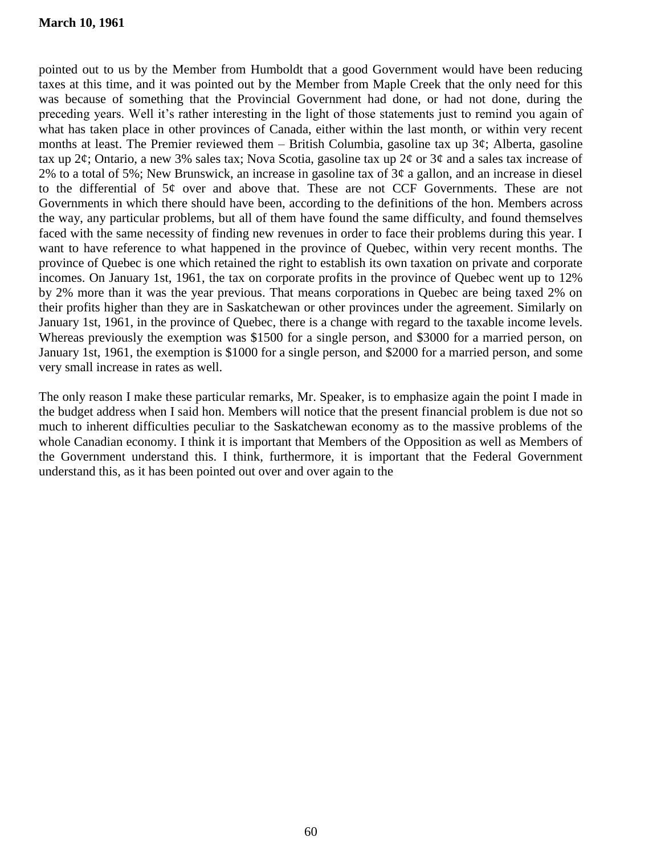### **March 10, 1961**

pointed out to us by the Member from Humboldt that a good Government would have been reducing taxes at this time, and it was pointed out by the Member from Maple Creek that the only need for this was because of something that the Provincial Government had done, or had not done, during the preceding years. Well it's rather interesting in the light of those statements just to remind you again of what has taken place in other provinces of Canada, either within the last month, or within very recent months at least. The Premier reviewed them – British Columbia, gasoline tax up  $3¢$ ; Alberta, gasoline tax up 2¢; Ontario, a new 3% sales tax; Nova Scotia, gasoline tax up 2¢ or 3¢ and a sales tax increase of 2% to a total of 5%; New Brunswick, an increase in gasoline tax of  $3¢$  a gallon, and an increase in diesel to the differential of  $5¢$  over and above that. These are not CCF Governments. These are not Governments in which there should have been, according to the definitions of the hon. Members across the way, any particular problems, but all of them have found the same difficulty, and found themselves faced with the same necessity of finding new revenues in order to face their problems during this year. I want to have reference to what happened in the province of Quebec, within very recent months. The province of Quebec is one which retained the right to establish its own taxation on private and corporate incomes. On January 1st, 1961, the tax on corporate profits in the province of Quebec went up to 12% by 2% more than it was the year previous. That means corporations in Quebec are being taxed 2% on their profits higher than they are in Saskatchewan or other provinces under the agreement. Similarly on January 1st, 1961, in the province of Quebec, there is a change with regard to the taxable income levels. Whereas previously the exemption was \$1500 for a single person, and \$3000 for a married person, on January 1st, 1961, the exemption is \$1000 for a single person, and \$2000 for a married person, and some very small increase in rates as well.

The only reason I make these particular remarks, Mr. Speaker, is to emphasize again the point I made in the budget address when I said hon. Members will notice that the present financial problem is due not so much to inherent difficulties peculiar to the Saskatchewan economy as to the massive problems of the whole Canadian economy. I think it is important that Members of the Opposition as well as Members of the Government understand this. I think, furthermore, it is important that the Federal Government understand this, as it has been pointed out over and over again to the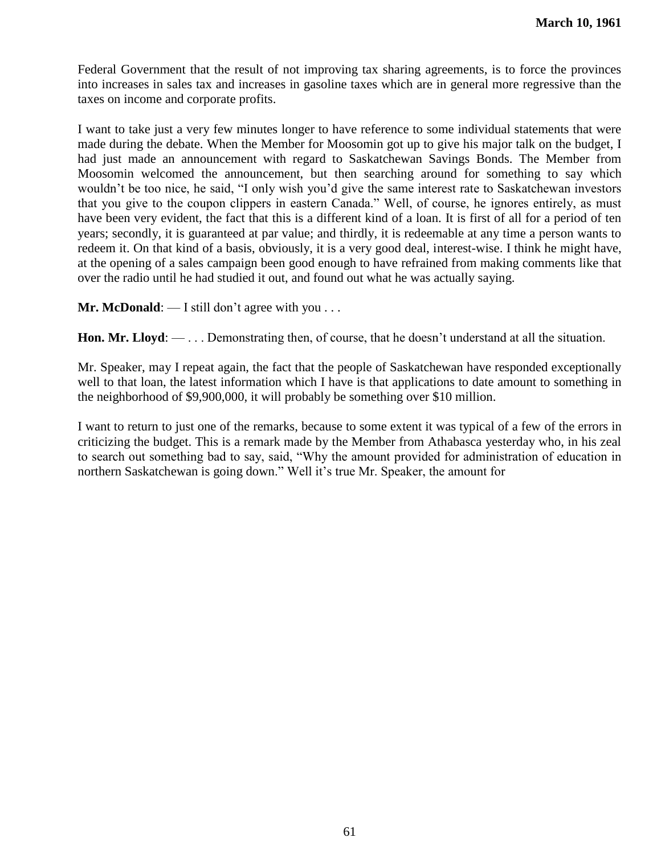Federal Government that the result of not improving tax sharing agreements, is to force the provinces into increases in sales tax and increases in gasoline taxes which are in general more regressive than the taxes on income and corporate profits.

I want to take just a very few minutes longer to have reference to some individual statements that were made during the debate. When the Member for Moosomin got up to give his major talk on the budget, I had just made an announcement with regard to Saskatchewan Savings Bonds. The Member from Moosomin welcomed the announcement, but then searching around for something to say which wouldn't be too nice, he said, "I only wish you'd give the same interest rate to Saskatchewan investors that you give to the coupon clippers in eastern Canada." Well, of course, he ignores entirely, as must have been very evident, the fact that this is a different kind of a loan. It is first of all for a period of ten years; secondly, it is guaranteed at par value; and thirdly, it is redeemable at any time a person wants to redeem it. On that kind of a basis, obviously, it is a very good deal, interest-wise. I think he might have, at the opening of a sales campaign been good enough to have refrained from making comments like that over the radio until he had studied it out, and found out what he was actually saying.

**Mr. McDonald:** — I still don't agree with you . . .

**Hon. Mr. Lloyd**: — . . . Demonstrating then, of course, that he doesn't understand at all the situation.

Mr. Speaker, may I repeat again, the fact that the people of Saskatchewan have responded exceptionally well to that loan, the latest information which I have is that applications to date amount to something in the neighborhood of \$9,900,000, it will probably be something over \$10 million.

I want to return to just one of the remarks, because to some extent it was typical of a few of the errors in criticizing the budget. This is a remark made by the Member from Athabasca yesterday who, in his zeal to search out something bad to say, said, "Why the amount provided for administration of education in northern Saskatchewan is going down." Well it's true Mr. Speaker, the amount for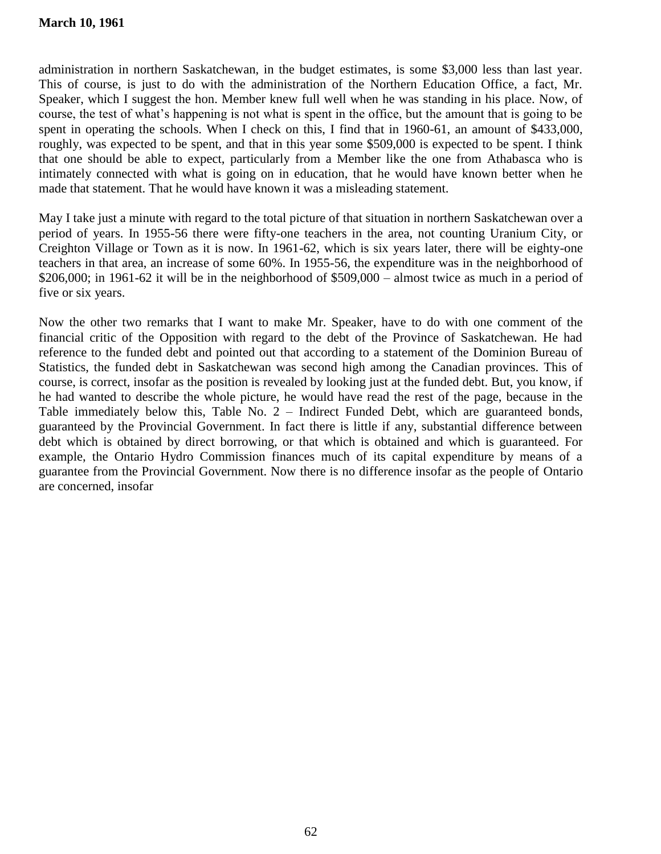administration in northern Saskatchewan, in the budget estimates, is some \$3,000 less than last year. This of course, is just to do with the administration of the Northern Education Office, a fact, Mr. Speaker, which I suggest the hon. Member knew full well when he was standing in his place. Now, of course, the test of what's happening is not what is spent in the office, but the amount that is going to be spent in operating the schools. When I check on this, I find that in 1960-61, an amount of \$433,000, roughly, was expected to be spent, and that in this year some \$509,000 is expected to be spent. I think that one should be able to expect, particularly from a Member like the one from Athabasca who is intimately connected with what is going on in education, that he would have known better when he made that statement. That he would have known it was a misleading statement.

May I take just a minute with regard to the total picture of that situation in northern Saskatchewan over a period of years. In 1955-56 there were fifty-one teachers in the area, not counting Uranium City, or Creighton Village or Town as it is now. In 1961-62, which is six years later, there will be eighty-one teachers in that area, an increase of some 60%. In 1955-56, the expenditure was in the neighborhood of \$206,000; in 1961-62 it will be in the neighborhood of \$509,000 – almost twice as much in a period of five or six years.

Now the other two remarks that I want to make Mr. Speaker, have to do with one comment of the financial critic of the Opposition with regard to the debt of the Province of Saskatchewan. He had reference to the funded debt and pointed out that according to a statement of the Dominion Bureau of Statistics, the funded debt in Saskatchewan was second high among the Canadian provinces. This of course, is correct, insofar as the position is revealed by looking just at the funded debt. But, you know, if he had wanted to describe the whole picture, he would have read the rest of the page, because in the Table immediately below this, Table No. 2 – Indirect Funded Debt, which are guaranteed bonds, guaranteed by the Provincial Government. In fact there is little if any, substantial difference between debt which is obtained by direct borrowing, or that which is obtained and which is guaranteed. For example, the Ontario Hydro Commission finances much of its capital expenditure by means of a guarantee from the Provincial Government. Now there is no difference insofar as the people of Ontario are concerned, insofar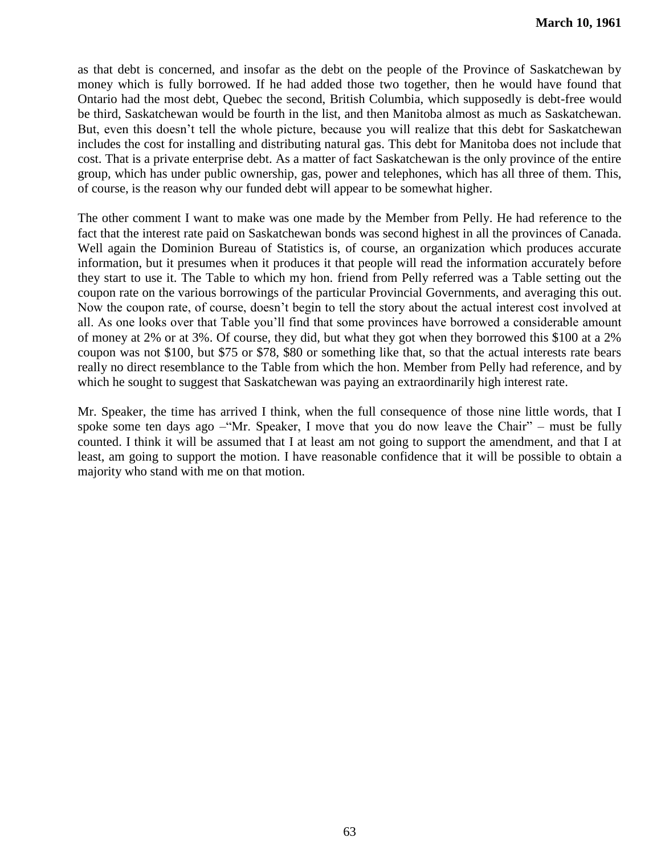as that debt is concerned, and insofar as the debt on the people of the Province of Saskatchewan by money which is fully borrowed. If he had added those two together, then he would have found that Ontario had the most debt, Quebec the second, British Columbia, which supposedly is debt-free would be third, Saskatchewan would be fourth in the list, and then Manitoba almost as much as Saskatchewan. But, even this doesn't tell the whole picture, because you will realize that this debt for Saskatchewan includes the cost for installing and distributing natural gas. This debt for Manitoba does not include that cost. That is a private enterprise debt. As a matter of fact Saskatchewan is the only province of the entire group, which has under public ownership, gas, power and telephones, which has all three of them. This, of course, is the reason why our funded debt will appear to be somewhat higher.

The other comment I want to make was one made by the Member from Pelly. He had reference to the fact that the interest rate paid on Saskatchewan bonds was second highest in all the provinces of Canada. Well again the Dominion Bureau of Statistics is, of course, an organization which produces accurate information, but it presumes when it produces it that people will read the information accurately before they start to use it. The Table to which my hon. friend from Pelly referred was a Table setting out the coupon rate on the various borrowings of the particular Provincial Governments, and averaging this out. Now the coupon rate, of course, doesn't begin to tell the story about the actual interest cost involved at all. As one looks over that Table you'll find that some provinces have borrowed a considerable amount of money at 2% or at 3%. Of course, they did, but what they got when they borrowed this \$100 at a 2% coupon was not \$100, but \$75 or \$78, \$80 or something like that, so that the actual interests rate bears really no direct resemblance to the Table from which the hon. Member from Pelly had reference, and by which he sought to suggest that Saskatchewan was paying an extraordinarily high interest rate.

Mr. Speaker, the time has arrived I think, when the full consequence of those nine little words, that I spoke some ten days ago – "Mr. Speaker, I move that you do now leave the Chair" – must be fully counted. I think it will be assumed that I at least am not going to support the amendment, and that I at least, am going to support the motion. I have reasonable confidence that it will be possible to obtain a majority who stand with me on that motion.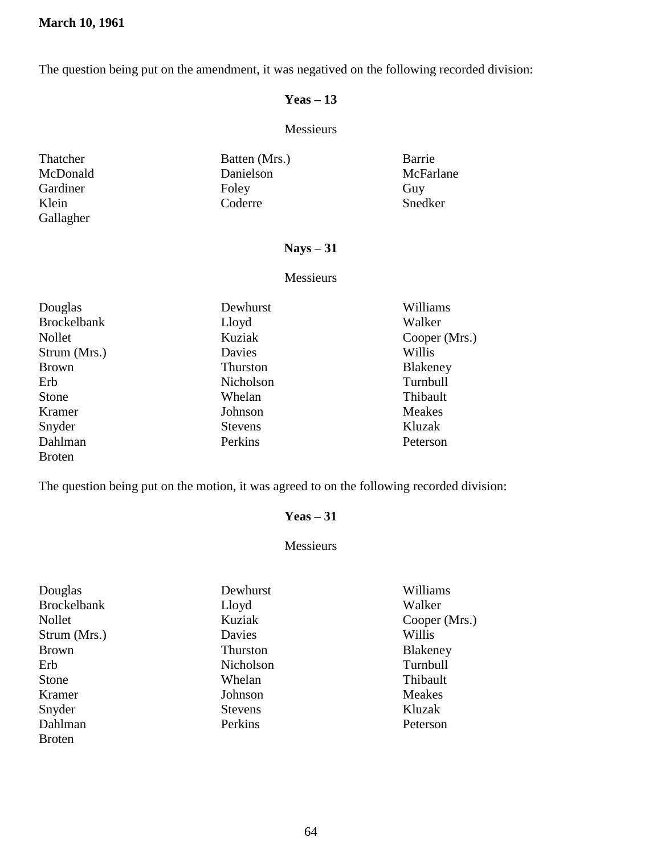The question being put on the amendment, it was negatived on the following recorded division:

# **Yeas – 13**

# Messieurs

| Thatcher  | Batten (Mrs.) | Barrie    |
|-----------|---------------|-----------|
| McDonald  | Danielson     | McFarlane |
| Gardiner  | Foley         | Guy       |
| Klein     | Coderre       | Snedker   |
| Gallagher |               |           |

# **Nays – 31**

#### Messieurs

| Douglas            | Dewhurst       | Williams        |
|--------------------|----------------|-----------------|
| <b>Brockelbank</b> | Lloyd          | Walker          |
| Nollet             | Kuziak         | Cooper (Mrs.)   |
| Strum (Mrs.)       | Davies         | Willis          |
| <b>Brown</b>       | Thurston       | <b>Blakeney</b> |
| Erb                | Nicholson      | Turnbull        |
| Stone              | Whelan         | Thibault        |
| Kramer             | Johnson        | <b>Meakes</b>   |
| Snyder             | <b>Stevens</b> | Kluzak          |
| Dahlman            | Perkins        | Peterson        |
| <b>Broten</b>      |                |                 |

The question being put on the motion, it was agreed to on the following recorded division:

## **Yeas – 31**

### Messieurs

| Douglas            | Dewhurst       | Williams        |
|--------------------|----------------|-----------------|
| <b>Brockelbank</b> | Lloyd          | Walker          |
| Nollet             | Kuziak         | Cooper (Mrs.)   |
| Strum (Mrs.)       | Davies         | Willis          |
| <b>Brown</b>       | Thurston       | <b>Blakeney</b> |
| Erb                | Nicholson      | Turnbull        |
| Stone              | Whelan         | Thibault        |
| Kramer             | Johnson        | <b>Meakes</b>   |
| Snyder             | <b>Stevens</b> | Kluzak          |
| Dahlman            | Perkins        | Peterson        |
| <b>Broten</b>      |                |                 |